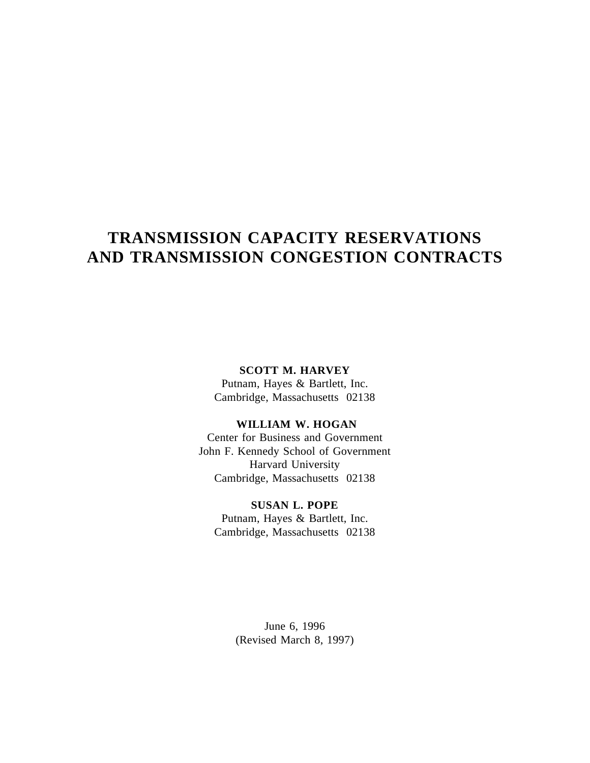# **TRANSMISSION CAPACITY RESERVATIONS AND TRANSMISSION CONGESTION CONTRACTS**

# **SCOTT M. HARVEY**

Putnam, Hayes & Bartlett, Inc. Cambridge, Massachusetts 02138

# **WILLIAM W. HOGAN**

Center for Business and Government John F. Kennedy School of Government Harvard University Cambridge, Massachusetts 02138

# **SUSAN L. POPE**

Putnam, Hayes & Bartlett, Inc. Cambridge, Massachusetts 02138

> June 6, 1996 (Revised March 8, 1997)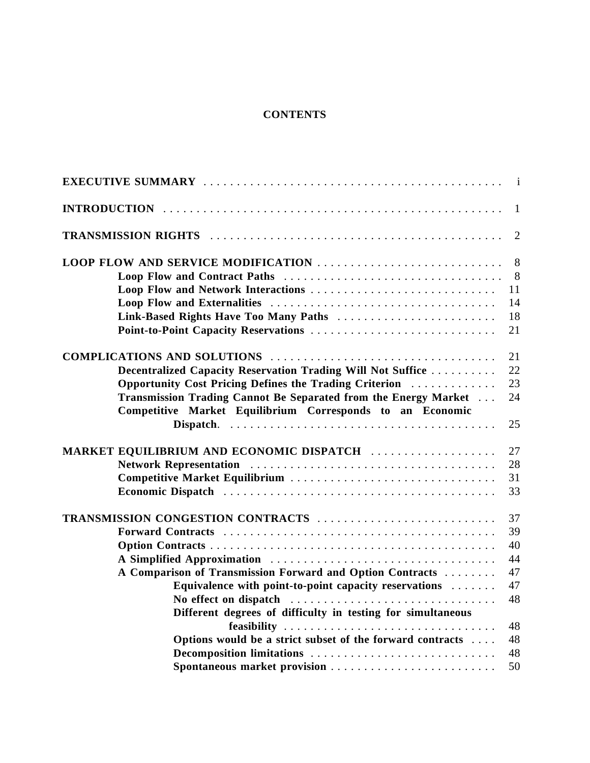# **CONTENTS**

|                                                                 | $\overline{1}$ |
|-----------------------------------------------------------------|----------------|
|                                                                 | 1              |
|                                                                 | $\overline{2}$ |
| LOOP FLOW AND SERVICE MODIFICATION                              | 8              |
|                                                                 | 8              |
| Loop Flow and Network Interactions                              | 11             |
|                                                                 | 14             |
| Link-Based Rights Have Too Many Paths                           | 18             |
| Point-to-Point Capacity Reservations                            | 21             |
|                                                                 | 21             |
| Decentralized Capacity Reservation Trading Will Not Suffice     | 22             |
| Opportunity Cost Pricing Defines the Trading Criterion          | 23             |
| Transmission Trading Cannot Be Separated from the Energy Market | 24             |
| Competitive Market Equilibrium Corresponds to an Economic       | 25             |
| MARKET EQUILIBRIUM AND ECONOMIC DISPATCH                        | 27             |
|                                                                 | 28             |
| Competitive Market Equilibrium                                  | 31             |
|                                                                 | 33             |
| <b>TRANSMISSION CONGESTION CONTRACTS</b>                        | 37             |
|                                                                 | 39             |
|                                                                 | 40             |
|                                                                 | 44             |
| A Comparison of Transmission Forward and Option Contracts       | 47             |
| Equivalence with point-to-point capacity reservations           | 47             |
| No effect on dispatch                                           | 48             |
| Different degrees of difficulty in testing for simultaneous     |                |
| feasibility                                                     | 48             |
| Options would be a strict subset of the forward contracts       | 48             |
| Decomposition limitations                                       | 48             |
|                                                                 | 50             |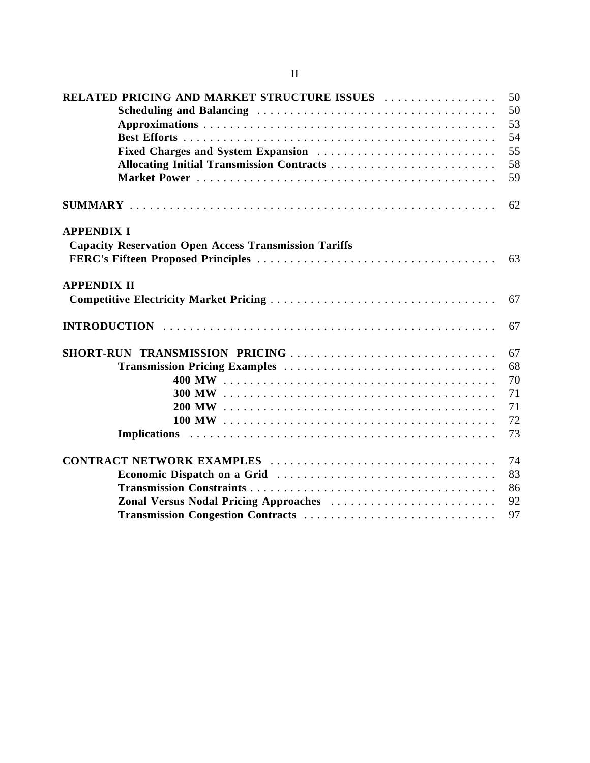| RELATED PRICING AND MARKET STRUCTURE ISSUES                  | 50 |
|--------------------------------------------------------------|----|
|                                                              | 50 |
|                                                              | 53 |
|                                                              | 54 |
| Fixed Charges and System Expansion                           | 55 |
|                                                              | 58 |
|                                                              | 59 |
|                                                              | 62 |
| <b>APPENDIX I</b>                                            |    |
| <b>Capacity Reservation Open Access Transmission Tariffs</b> |    |
|                                                              | 63 |
| <b>APPENDIX II</b>                                           |    |
|                                                              | 67 |
|                                                              | 67 |
|                                                              | 67 |
|                                                              | 68 |
|                                                              | 70 |
|                                                              | 71 |
|                                                              | 71 |
|                                                              | 72 |
|                                                              | 73 |
|                                                              | 74 |
|                                                              | 83 |
|                                                              | 86 |
| Zonal Versus Nodal Pricing Approaches                        | 92 |
| Transmission Congestion Contracts                            | 97 |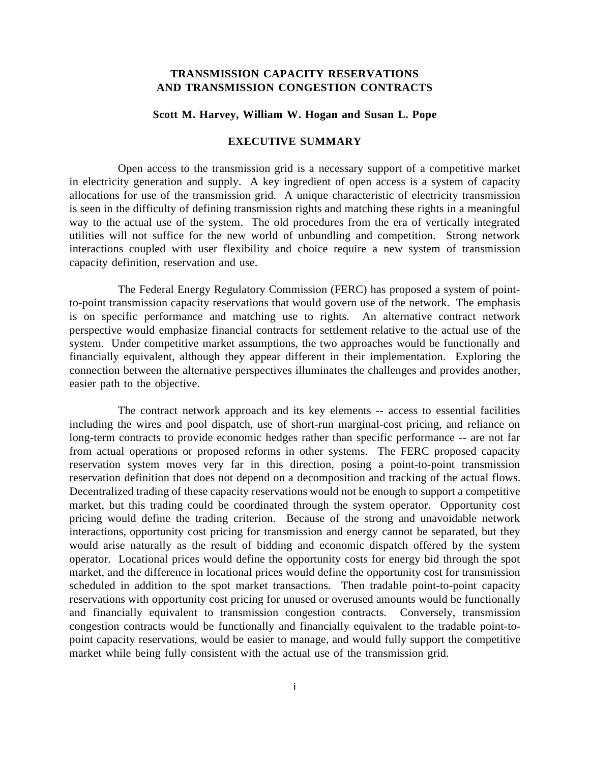# **TRANSMISSION CAPACITY RESERVATIONS AND TRANSMISSION CONGESTION CONTRACTS**

#### **Scott M. Harvey, William W. Hogan and Susan L. Pope**

## **EXECUTIVE SUMMARY**

Open access to the transmission grid is a necessary support of a competitive market in electricity generation and supply. A key ingredient of open access is a system of capacity allocations for use of the transmission grid. A unique characteristic of electricity transmission is seen in the difficulty of defining transmission rights and matching these rights in a meaningful way to the actual use of the system. The old procedures from the era of vertically integrated utilities will not suffice for the new world of unbundling and competition. Strong network interactions coupled with user flexibility and choice require a new system of transmission capacity definition, reservation and use.

The Federal Energy Regulatory Commission (FERC) has proposed a system of pointto-point transmission capacity reservations that would govern use of the network. The emphasis is on specific performance and matching use to rights. An alternative contract network perspective would emphasize financial contracts for settlement relative to the actual use of the system. Under competitive market assumptions, the two approaches would be functionally and financially equivalent, although they appear different in their implementation. Exploring the connection between the alternative perspectives illuminates the challenges and provides another, easier path to the objective.

The contract network approach and its key elements -- access to essential facilities including the wires and pool dispatch, use of short-run marginal-cost pricing, and reliance on long-term contracts to provide economic hedges rather than specific performance -- are not far from actual operations or proposed reforms in other systems. The FERC proposed capacity reservation system moves very far in this direction, posing a point-to-point transmission reservation definition that does not depend on a decomposition and tracking of the actual flows. Decentralized trading of these capacity reservations would not be enough to support a competitive market, but this trading could be coordinated through the system operator. Opportunity cost pricing would define the trading criterion. Because of the strong and unavoidable network interactions, opportunity cost pricing for transmission and energy cannot be separated, but they would arise naturally as the result of bidding and economic dispatch offered by the system operator. Locational prices would define the opportunity costs for energy bid through the spot market, and the difference in locational prices would define the opportunity cost for transmission scheduled in addition to the spot market transactions. Then tradable point-to-point capacity reservations with opportunity cost pricing for unused or overused amounts would be functionally and financially equivalent to transmission congestion contracts. Conversely, transmission congestion contracts would be functionally and financially equivalent to the tradable point-topoint capacity reservations, would be easier to manage, and would fully support the competitive market while being fully consistent with the actual use of the transmission grid.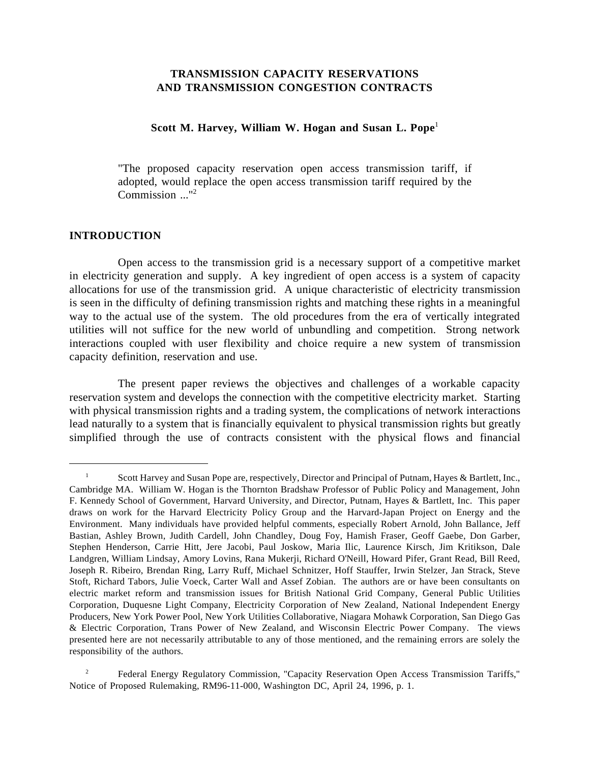# **TRANSMISSION CAPACITY RESERVATIONS AND TRANSMISSION CONGESTION CONTRACTS**

# **Scott M. Harvey, William W. Hogan and Susan L. Pope**<sup>1</sup>

"The proposed capacity reservation open access transmission tariff, if adopted, would replace the open access transmission tariff required by the Commission ..."2

# **INTRODUCTION**

 $\overline{a}$ 

Open access to the transmission grid is a necessary support of a competitive market in electricity generation and supply. A key ingredient of open access is a system of capacity allocations for use of the transmission grid. A unique characteristic of electricity transmission is seen in the difficulty of defining transmission rights and matching these rights in a meaningful way to the actual use of the system. The old procedures from the era of vertically integrated utilities will not suffice for the new world of unbundling and competition. Strong network interactions coupled with user flexibility and choice require a new system of transmission capacity definition, reservation and use.

The present paper reviews the objectives and challenges of a workable capacity reservation system and develops the connection with the competitive electricity market. Starting with physical transmission rights and a trading system, the complications of network interactions lead naturally to a system that is financially equivalent to physical transmission rights but greatly simplified through the use of contracts consistent with the physical flows and financial

<sup>&</sup>lt;sup>1</sup> Scott Harvey and Susan Pope are, respectively, Director and Principal of Putnam, Hayes & Bartlett, Inc., Cambridge MA. William W. Hogan is the Thornton Bradshaw Professor of Public Policy and Management, John F. Kennedy School of Government, Harvard University, and Director, Putnam, Hayes & Bartlett, Inc. This paper draws on work for the Harvard Electricity Policy Group and the Harvard-Japan Project on Energy and the Environment. Many individuals have provided helpful comments, especially Robert Arnold, John Ballance, Jeff Bastian, Ashley Brown, Judith Cardell, John Chandley, Doug Foy, Hamish Fraser, Geoff Gaebe, Don Garber, Stephen Henderson, Carrie Hitt, Jere Jacobi, Paul Joskow, Maria Ilic, Laurence Kirsch, Jim Kritikson, Dale Landgren, William Lindsay, Amory Lovins, Rana Mukerji, Richard O'Neill, Howard Pifer, Grant Read, Bill Reed, Joseph R. Ribeiro, Brendan Ring, Larry Ruff, Michael Schnitzer, Hoff Stauffer, Irwin Stelzer, Jan Strack, Steve Stoft, Richard Tabors, Julie Voeck, Carter Wall and Assef Zobian. The authors are or have been consultants on electric market reform and transmission issues for British National Grid Company, General Public Utilities Corporation, Duquesne Light Company, Electricity Corporation of New Zealand, National Independent Energy Producers, New York Power Pool, New York Utilities Collaborative, Niagara Mohawk Corporation, San Diego Gas & Electric Corporation, Trans Power of New Zealand, and Wisconsin Electric Power Company. The views presented here are not necessarily attributable to any of those mentioned, and the remaining errors are solely the responsibility of the authors.

 <sup>2</sup> Federal Energy Regulatory Commission, "Capacity Reservation Open Access Transmission Tariffs," Notice of Proposed Rulemaking, RM96-11-000, Washington DC, April 24, 1996, p. 1.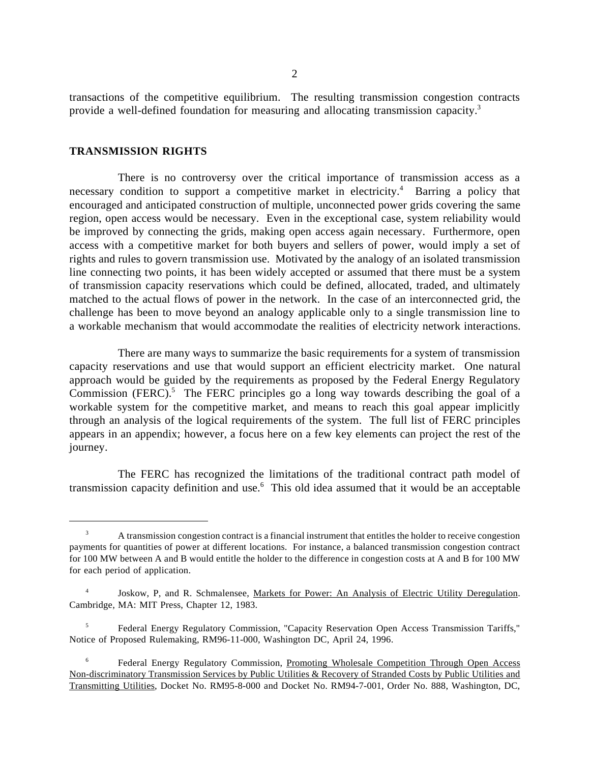transactions of the competitive equilibrium. The resulting transmission congestion contracts provide a well-defined foundation for measuring and allocating transmission capacity.3

## **TRANSMISSION RIGHTS**

 $\overline{a}$ 

There is no controversy over the critical importance of transmission access as a necessary condition to support a competitive market in electricity.<sup>4</sup> Barring a policy that encouraged and anticipated construction of multiple, unconnected power grids covering the same region, open access would be necessary. Even in the exceptional case, system reliability would be improved by connecting the grids, making open access again necessary. Furthermore, open access with a competitive market for both buyers and sellers of power, would imply a set of rights and rules to govern transmission use. Motivated by the analogy of an isolated transmission line connecting two points, it has been widely accepted or assumed that there must be a system of transmission capacity reservations which could be defined, allocated, traded, and ultimately matched to the actual flows of power in the network. In the case of an interconnected grid, the challenge has been to move beyond an analogy applicable only to a single transmission line to a workable mechanism that would accommodate the realities of electricity network interactions.

There are many ways to summarize the basic requirements for a system of transmission capacity reservations and use that would support an efficient electricity market. One natural approach would be guided by the requirements as proposed by the Federal Energy Regulatory Commission (FERC).<sup>5</sup> The FERC principles go a long way towards describing the goal of a workable system for the competitive market, and means to reach this goal appear implicitly through an analysis of the logical requirements of the system. The full list of FERC principles appears in an appendix; however, a focus here on a few key elements can project the rest of the journey.

The FERC has recognized the limitations of the traditional contract path model of transmission capacity definition and use.<sup>6</sup> This old idea assumed that it would be an acceptable

 5 Federal Energy Regulatory Commission, "Capacity Reservation Open Access Transmission Tariffs," Notice of Proposed Rulemaking, RM96-11-000, Washington DC, April 24, 1996.

<sup>&</sup>lt;sup>3</sup> A transmission congestion contract is a financial instrument that entitles the holder to receive congestion payments for quantities of power at different locations. For instance, a balanced transmission congestion contract for 100 MW between A and B would entitle the holder to the difference in congestion costs at A and B for 100 MW for each period of application.

Joskow, P, and R. Schmalensee, Markets for Power: An Analysis of Electric Utility Deregulation. Cambridge, MA: MIT Press, Chapter 12, 1983.

<sup>&</sup>lt;sup>6</sup> Federal Energy Regulatory Commission, Promoting Wholesale Competition Through Open Access Non-discriminatory Transmission Services by Public Utilities & Recovery of Stranded Costs by Public Utilities and Transmitting Utilities, Docket No. RM95-8-000 and Docket No. RM94-7-001, Order No. 888, Washington, DC,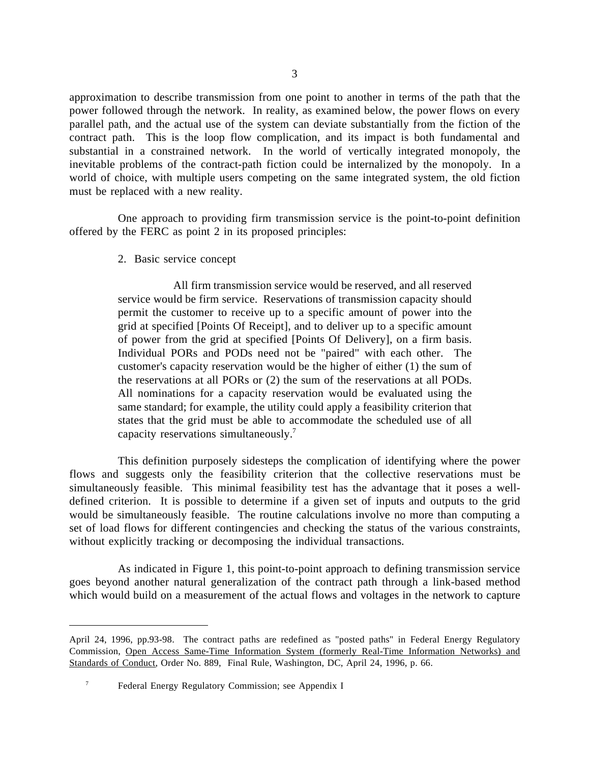approximation to describe transmission from one point to another in terms of the path that the power followed through the network. In reality, as examined below, the power flows on every parallel path, and the actual use of the system can deviate substantially from the fiction of the contract path. This is the loop flow complication, and its impact is both fundamental and substantial in a constrained network. In the world of vertically integrated monopoly, the inevitable problems of the contract-path fiction could be internalized by the monopoly. In a world of choice, with multiple users competing on the same integrated system, the old fiction must be replaced with a new reality.

One approach to providing firm transmission service is the point-to-point definition offered by the FERC as point 2 in its proposed principles:

2. Basic service concept

All firm transmission service would be reserved, and all reserved service would be firm service. Reservations of transmission capacity should permit the customer to receive up to a specific amount of power into the grid at specified [Points Of Receipt], and to deliver up to a specific amount of power from the grid at specified [Points Of Delivery], on a firm basis. Individual PORs and PODs need not be "paired" with each other. The customer's capacity reservation would be the higher of either (1) the sum of the reservations at all PORs or (2) the sum of the reservations at all PODs. All nominations for a capacity reservation would be evaluated using the same standard; for example, the utility could apply a feasibility criterion that states that the grid must be able to accommodate the scheduled use of all capacity reservations simultaneously.7

This definition purposely sidesteps the complication of identifying where the power flows and suggests only the feasibility criterion that the collective reservations must be simultaneously feasible. This minimal feasibility test has the advantage that it poses a welldefined criterion. It is possible to determine if a given set of inputs and outputs to the grid would be simultaneously feasible. The routine calculations involve no more than computing a set of load flows for different contingencies and checking the status of the various constraints, without explicitly tracking or decomposing the individual transactions.

As indicated in Figure 1, this point-to-point approach to defining transmission service goes beyond another natural generalization of the contract path through a link-based method which would build on a measurement of the actual flows and voltages in the network to capture

April 24, 1996, pp.93-98. The contract paths are redefined as "posted paths" in Federal Energy Regulatory Commission, Open Access Same-Time Information System (formerly Real-Time Information Networks) and Standards of Conduct, Order No. 889, Final Rule, Washington, DC, April 24, 1996, p. 66.

 <sup>7</sup> Federal Energy Regulatory Commission; see Appendix I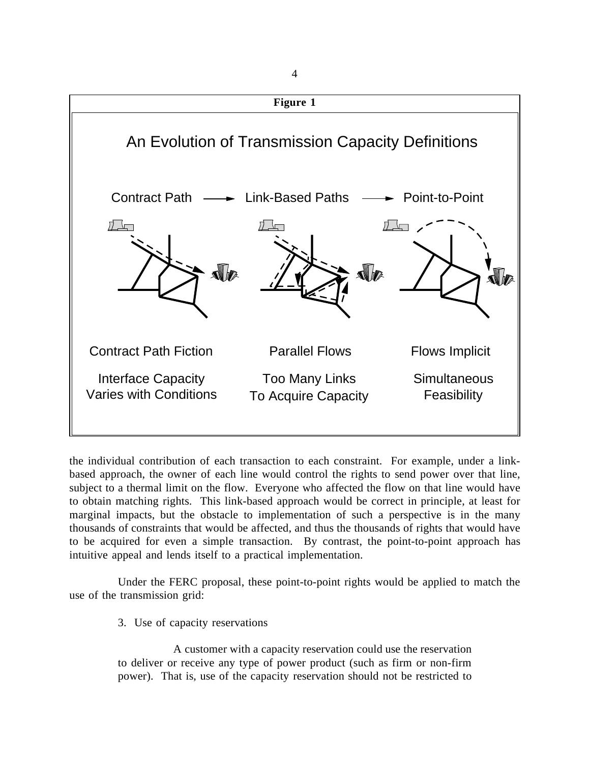

the individual contribution of each transaction to each constraint. For example, under a linkbased approach, the owner of each line would control the rights to send power over that line, subject to a thermal limit on the flow. Everyone who affected the flow on that line would have to obtain matching rights. This link-based approach would be correct in principle, at least for marginal impacts, but the obstacle to implementation of such a perspective is in the many thousands of constraints that would be affected, and thus the thousands of rights that would have to be acquired for even a simple transaction. By contrast, the point-to-point approach has intuitive appeal and lends itself to a practical implementation.

Under the FERC proposal, these point-to-point rights would be applied to match the use of the transmission grid:

3. Use of capacity reservations

A customer with a capacity reservation could use the reservation to deliver or receive any type of power product (such as firm or non-firm power). That is, use of the capacity reservation should not be restricted to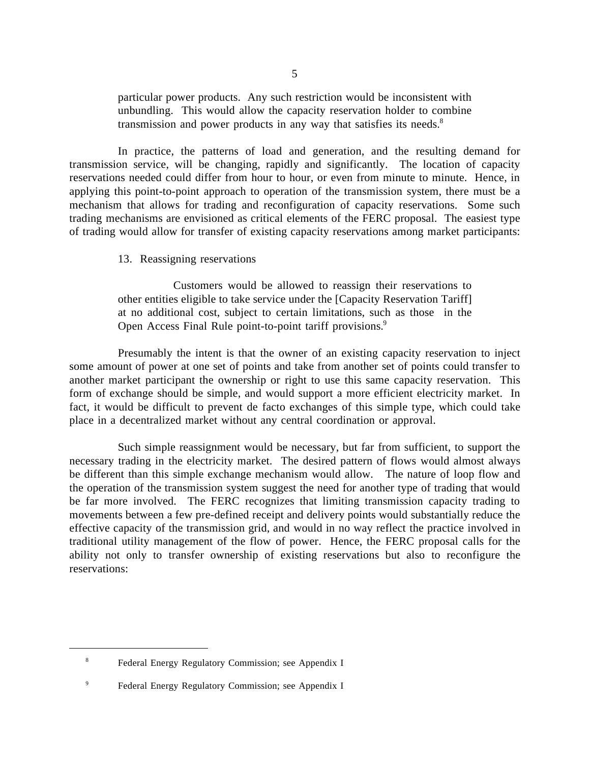particular power products. Any such restriction would be inconsistent with unbundling. This would allow the capacity reservation holder to combine transmission and power products in any way that satisfies its needs.<sup>8</sup>

In practice, the patterns of load and generation, and the resulting demand for transmission service, will be changing, rapidly and significantly. The location of capacity reservations needed could differ from hour to hour, or even from minute to minute. Hence, in applying this point-to-point approach to operation of the transmission system, there must be a mechanism that allows for trading and reconfiguration of capacity reservations. Some such trading mechanisms are envisioned as critical elements of the FERC proposal. The easiest type of trading would allow for transfer of existing capacity reservations among market participants:

13. Reassigning reservations

Customers would be allowed to reassign their reservations to other entities eligible to take service under the [Capacity Reservation Tariff] at no additional cost, subject to certain limitations, such as those in the Open Access Final Rule point-to-point tariff provisions.<sup>9</sup>

Presumably the intent is that the owner of an existing capacity reservation to inject some amount of power at one set of points and take from another set of points could transfer to another market participant the ownership or right to use this same capacity reservation. This form of exchange should be simple, and would support a more efficient electricity market. In fact, it would be difficult to prevent de facto exchanges of this simple type, which could take place in a decentralized market without any central coordination or approval.

Such simple reassignment would be necessary, but far from sufficient, to support the necessary trading in the electricity market. The desired pattern of flows would almost always be different than this simple exchange mechanism would allow. The nature of loop flow and the operation of the transmission system suggest the need for another type of trading that would be far more involved. The FERC recognizes that limiting transmission capacity trading to movements between a few pre-defined receipt and delivery points would substantially reduce the effective capacity of the transmission grid, and would in no way reflect the practice involved in traditional utility management of the flow of power. Hence, the FERC proposal calls for the ability not only to transfer ownership of existing reservations but also to reconfigure the reservations:

 <sup>8</sup> Federal Energy Regulatory Commission; see Appendix I

 <sup>9</sup> Federal Energy Regulatory Commission; see Appendix I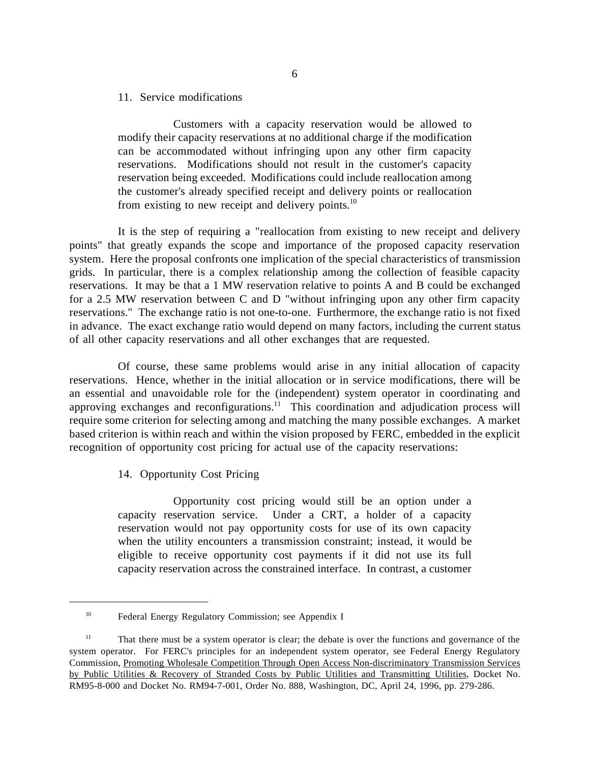## 11. Service modifications

Customers with a capacity reservation would be allowed to modify their capacity reservations at no additional charge if the modification can be accommodated without infringing upon any other firm capacity reservations. Modifications should not result in the customer's capacity reservation being exceeded. Modifications could include reallocation among the customer's already specified receipt and delivery points or reallocation from existing to new receipt and delivery points. $^{10}$ 

 It is the step of requiring a "reallocation from existing to new receipt and delivery points" that greatly expands the scope and importance of the proposed capacity reservation system. Here the proposal confronts one implication of the special characteristics of transmission grids. In particular, there is a complex relationship among the collection of feasible capacity reservations. It may be that a 1 MW reservation relative to points A and B could be exchanged for a 2.5 MW reservation between C and D "without infringing upon any other firm capacity reservations." The exchange ratio is not one-to-one. Furthermore, the exchange ratio is not fixed in advance. The exact exchange ratio would depend on many factors, including the current status of all other capacity reservations and all other exchanges that are requested.

Of course, these same problems would arise in any initial allocation of capacity reservations. Hence, whether in the initial allocation or in service modifications, there will be an essential and unavoidable role for the (independent) system operator in coordinating and approving exchanges and reconfigurations.<sup>11</sup> This coordination and adjudication process will require some criterion for selecting among and matching the many possible exchanges. A market based criterion is within reach and within the vision proposed by FERC, embedded in the explicit recognition of opportunity cost pricing for actual use of the capacity reservations:

14. Opportunity Cost Pricing

 $\overline{a}$ 

Opportunity cost pricing would still be an option under a capacity reservation service. Under a CRT, a holder of a capacity reservation would not pay opportunity costs for use of its own capacity when the utility encounters a transmission constraint; instead, it would be eligible to receive opportunity cost payments if it did not use its full capacity reservation across the constrained interface. In contrast, a customer

<sup>&</sup>lt;sup>10</sup> Federal Energy Regulatory Commission; see Appendix I

<sup>&</sup>lt;sup>11</sup> That there must be a system operator is clear; the debate is over the functions and governance of the system operator. For FERC's principles for an independent system operator, see Federal Energy Regulatory Commission, Promoting Wholesale Competition Through Open Access Non-discriminatory Transmission Services by Public Utilities & Recovery of Stranded Costs by Public Utilities and Transmitting Utilities, Docket No. RM95-8-000 and Docket No. RM94-7-001, Order No. 888, Washington, DC, April 24, 1996, pp. 279-286.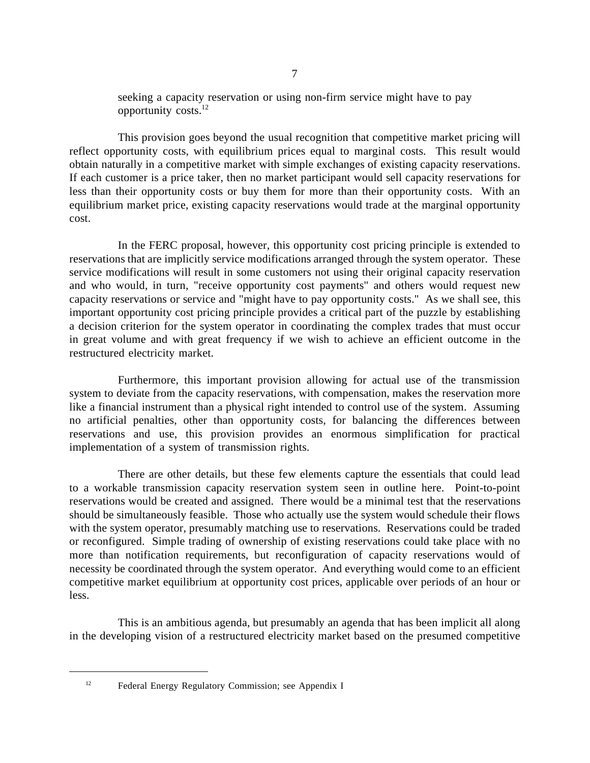seeking a capacity reservation or using non-firm service might have to pay opportunity costs.12

This provision goes beyond the usual recognition that competitive market pricing will reflect opportunity costs, with equilibrium prices equal to marginal costs. This result would obtain naturally in a competitive market with simple exchanges of existing capacity reservations. If each customer is a price taker, then no market participant would sell capacity reservations for less than their opportunity costs or buy them for more than their opportunity costs. With an equilibrium market price, existing capacity reservations would trade at the marginal opportunity cost.

In the FERC proposal, however, this opportunity cost pricing principle is extended to reservations that are implicitly service modifications arranged through the system operator. These service modifications will result in some customers not using their original capacity reservation and who would, in turn, "receive opportunity cost payments" and others would request new capacity reservations or service and "might have to pay opportunity costs." As we shall see, this important opportunity cost pricing principle provides a critical part of the puzzle by establishing a decision criterion for the system operator in coordinating the complex trades that must occur in great volume and with great frequency if we wish to achieve an efficient outcome in the restructured electricity market.

Furthermore, this important provision allowing for actual use of the transmission system to deviate from the capacity reservations, with compensation, makes the reservation more like a financial instrument than a physical right intended to control use of the system. Assuming no artificial penalties, other than opportunity costs, for balancing the differences between reservations and use, this provision provides an enormous simplification for practical implementation of a system of transmission rights.

There are other details, but these few elements capture the essentials that could lead to a workable transmission capacity reservation system seen in outline here. Point-to-point reservations would be created and assigned. There would be a minimal test that the reservations should be simultaneously feasible. Those who actually use the system would schedule their flows with the system operator, presumably matching use to reservations. Reservations could be traded or reconfigured. Simple trading of ownership of existing reservations could take place with no more than notification requirements, but reconfiguration of capacity reservations would of necessity be coordinated through the system operator. And everything would come to an efficient competitive market equilibrium at opportunity cost prices, applicable over periods of an hour or less.

This is an ambitious agenda, but presumably an agenda that has been implicit all along in the developing vision of a restructured electricity market based on the presumed competitive

<sup>12</sup> Federal Energy Regulatory Commission; see Appendix I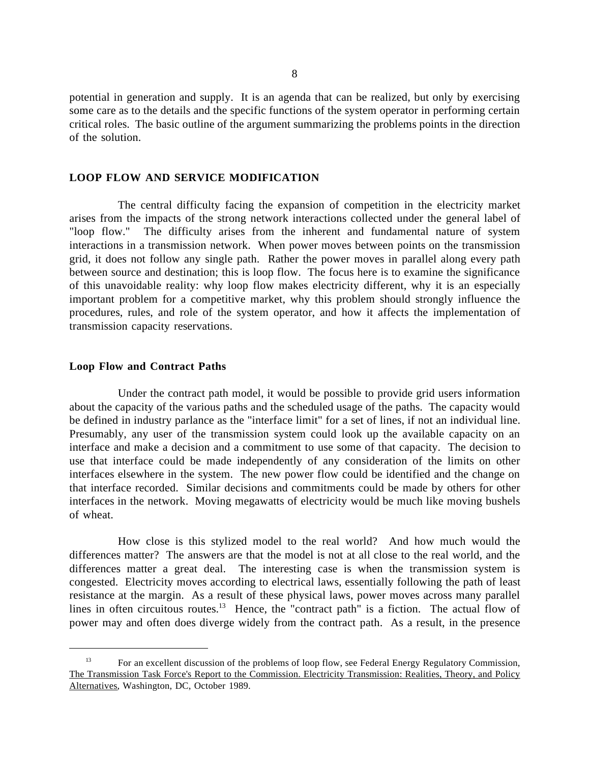potential in generation and supply. It is an agenda that can be realized, but only by exercising some care as to the details and the specific functions of the system operator in performing certain critical roles. The basic outline of the argument summarizing the problems points in the direction of the solution.

# **LOOP FLOW AND SERVICE MODIFICATION**

The central difficulty facing the expansion of competition in the electricity market arises from the impacts of the strong network interactions collected under the general label of "loop flow." The difficulty arises from the inherent and fundamental nature of system interactions in a transmission network. When power moves between points on the transmission grid, it does not follow any single path. Rather the power moves in parallel along every path between source and destination; this is loop flow. The focus here is to examine the significance of this unavoidable reality: why loop flow makes electricity different, why it is an especially important problem for a competitive market, why this problem should strongly influence the procedures, rules, and role of the system operator, and how it affects the implementation of transmission capacity reservations.

#### **Loop Flow and Contract Paths**

 $\overline{a}$ 

Under the contract path model, it would be possible to provide grid users information about the capacity of the various paths and the scheduled usage of the paths. The capacity would be defined in industry parlance as the "interface limit" for a set of lines, if not an individual line. Presumably, any user of the transmission system could look up the available capacity on an interface and make a decision and a commitment to use some of that capacity. The decision to use that interface could be made independently of any consideration of the limits on other interfaces elsewhere in the system. The new power flow could be identified and the change on that interface recorded. Similar decisions and commitments could be made by others for other interfaces in the network. Moving megawatts of electricity would be much like moving bushels of wheat.

How close is this stylized model to the real world? And how much would the differences matter? The answers are that the model is not at all close to the real world, and the differences matter a great deal. The interesting case is when the transmission system is congested. Electricity moves according to electrical laws, essentially following the path of least resistance at the margin. As a result of these physical laws, power moves across many parallel lines in often circuitous routes.<sup>13</sup> Hence, the "contract path" is a fiction. The actual flow of power may and often does diverge widely from the contract path. As a result, in the presence

<sup>&</sup>lt;sup>13</sup> For an excellent discussion of the problems of loop flow, see Federal Energy Regulatory Commission, The Transmission Task Force's Report to the Commission. Electricity Transmission: Realities, Theory, and Policy Alternatives, Washington, DC, October 1989.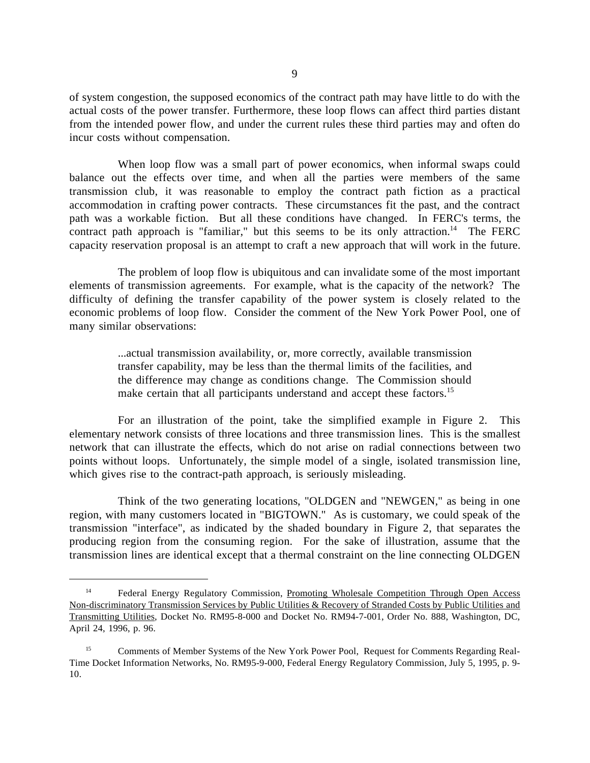of system congestion, the supposed economics of the contract path may have little to do with the actual costs of the power transfer. Furthermore, these loop flows can affect third parties distant from the intended power flow, and under the current rules these third parties may and often do incur costs without compensation.

When loop flow was a small part of power economics, when informal swaps could balance out the effects over time, and when all the parties were members of the same transmission club, it was reasonable to employ the contract path fiction as a practical accommodation in crafting power contracts. These circumstances fit the past, and the contract path was a workable fiction. But all these conditions have changed. In FERC's terms, the contract path approach is "familiar," but this seems to be its only attraction.<sup>14</sup> The FERC capacity reservation proposal is an attempt to craft a new approach that will work in the future.

The problem of loop flow is ubiquitous and can invalidate some of the most important elements of transmission agreements. For example, what is the capacity of the network? The difficulty of defining the transfer capability of the power system is closely related to the economic problems of loop flow. Consider the comment of the New York Power Pool, one of many similar observations:

> ...actual transmission availability, or, more correctly, available transmission transfer capability, may be less than the thermal limits of the facilities, and the difference may change as conditions change. The Commission should make certain that all participants understand and accept these factors.<sup>15</sup>

For an illustration of the point, take the simplified example in Figure 2. This elementary network consists of three locations and three transmission lines. This is the smallest network that can illustrate the effects, which do not arise on radial connections between two points without loops. Unfortunately, the simple model of a single, isolated transmission line, which gives rise to the contract-path approach, is seriously misleading.

Think of the two generating locations, "OLDGEN and "NEWGEN," as being in one region, with many customers located in "BIGTOWN." As is customary, we could speak of the transmission "interface", as indicated by the shaded boundary in Figure 2, that separates the producing region from the consuming region. For the sake of illustration, assume that the transmission lines are identical except that a thermal constraint on the line connecting OLDGEN

<sup>&</sup>lt;sup>14</sup> Federal Energy Regulatory Commission, Promoting Wholesale Competition Through Open Access Non-discriminatory Transmission Services by Public Utilities & Recovery of Stranded Costs by Public Utilities and Transmitting Utilities, Docket No. RM95-8-000 and Docket No. RM94-7-001, Order No. 888, Washington, DC, April 24, 1996, p. 96.

 <sup>15</sup> Comments of Member Systems of the New York Power Pool, Request for Comments Regarding Real-Time Docket Information Networks, No. RM95-9-000, Federal Energy Regulatory Commission, July 5, 1995, p. 9- 10.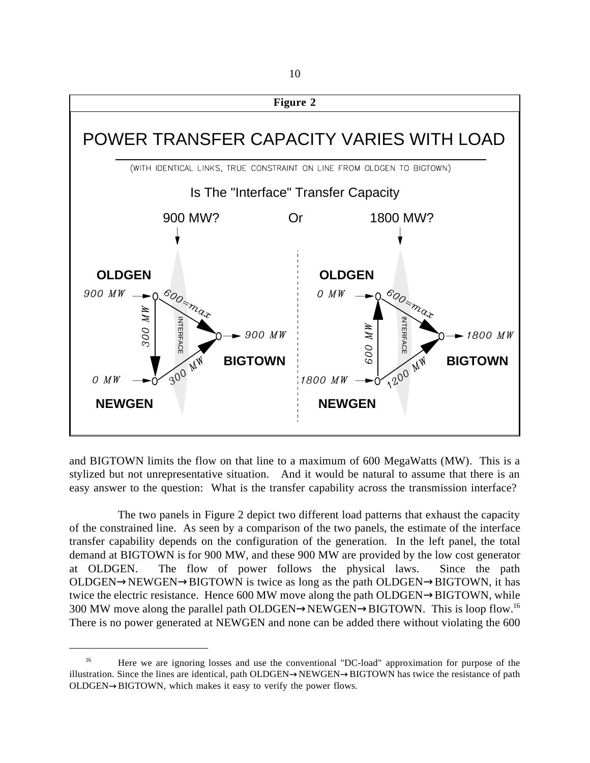

and BIGTOWN limits the flow on that line to a maximum of 600 MegaWatts (MW). This is a stylized but not unrepresentative situation. And it would be natural to assume that there is an easy answer to the question: What is the transfer capability across the transmission interface?

The two panels in Figure 2 depict two different load patterns that exhaust the capacity of the constrained line. As seen by a comparison of the two panels, the estimate of the interface transfer capability depends on the configuration of the generation. In the left panel, the total demand at BIGTOWN is for 900 MW, and these 900 MW are provided by the low cost generator at OLDGEN. The flow of power follows the physical laws. Since the path  $OLDGEN \rightarrow NEWGEN \rightarrow BIGTOWN$  is twice as long as the path  $OLDGEN \rightarrow BIGTOWN$ , it has twice the electric resistance. Hence 600 MW move along the path OLDGEN→BIGTOWN, while 300 MW move along the parallel path OLDGEN→NEWGEN→BIGTOWN. This is loop flow.<sup>16</sup> There is no power generated at NEWGEN and none can be added there without violating the 600

<sup>&</sup>lt;sup>16</sup> Here we are ignoring losses and use the conventional "DC-load" approximation for purpose of the illustration. Since the lines are identical, path OLDGEN→NEWGEN→BIGTOWN has twice the resistance of path OLDGEN→BIGTOWN, which makes it easy to verify the power flows.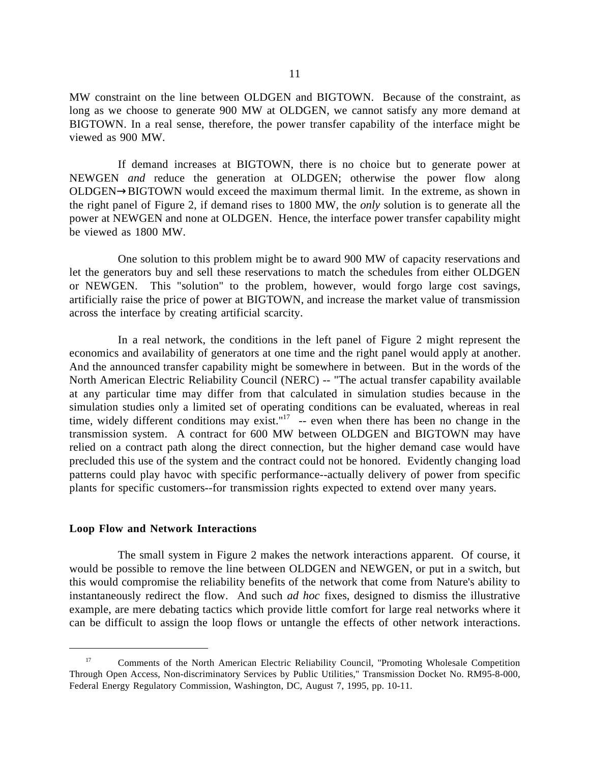MW constraint on the line between OLDGEN and BIGTOWN. Because of the constraint, as long as we choose to generate 900 MW at OLDGEN, we cannot satisfy any more demand at BIGTOWN. In a real sense, therefore, the power transfer capability of the interface might be viewed as 900 MW.

If demand increases at BIGTOWN, there is no choice but to generate power at NEWGEN *and* reduce the generation at OLDGEN; otherwise the power flow along OLDGEN→BIGTOWN would exceed the maximum thermal limit. In the extreme, as shown in the right panel of Figure 2, if demand rises to 1800 MW, the *only* solution is to generate all the power at NEWGEN and none at OLDGEN. Hence, the interface power transfer capability might be viewed as 1800 MW.

One solution to this problem might be to award 900 MW of capacity reservations and let the generators buy and sell these reservations to match the schedules from either OLDGEN or NEWGEN. This "solution" to the problem, however, would forgo large cost savings, artificially raise the price of power at BIGTOWN, and increase the market value of transmission across the interface by creating artificial scarcity.

In a real network, the conditions in the left panel of Figure 2 might represent the economics and availability of generators at one time and the right panel would apply at another. And the announced transfer capability might be somewhere in between. But in the words of the North American Electric Reliability Council (NERC) -- "The actual transfer capability available at any particular time may differ from that calculated in simulation studies because in the simulation studies only a limited set of operating conditions can be evaluated, whereas in real time, widely different conditions may exist."<sup>17</sup>  $-$  even when there has been no change in the transmission system. A contract for 600 MW between OLDGEN and BIGTOWN may have relied on a contract path along the direct connection, but the higher demand case would have precluded this use of the system and the contract could not be honored. Evidently changing load patterns could play havoc with specific performance--actually delivery of power from specific plants for specific customers--for transmission rights expected to extend over many years.

#### **Loop Flow and Network Interactions**

 $\overline{a}$ 

The small system in Figure 2 makes the network interactions apparent. Of course, it would be possible to remove the line between OLDGEN and NEWGEN, or put in a switch, but this would compromise the reliability benefits of the network that come from Nature's ability to instantaneously redirect the flow. And such *ad hoc* fixes, designed to dismiss the illustrative example, are mere debating tactics which provide little comfort for large real networks where it can be difficult to assign the loop flows or untangle the effects of other network interactions.

<sup>&</sup>lt;sup>17</sup> Comments of the North American Electric Reliability Council, "Promoting Wholesale Competition Through Open Access, Non-discriminatory Services by Public Utilities," Transmission Docket No. RM95-8-000, Federal Energy Regulatory Commission, Washington, DC, August 7, 1995, pp. 10-11.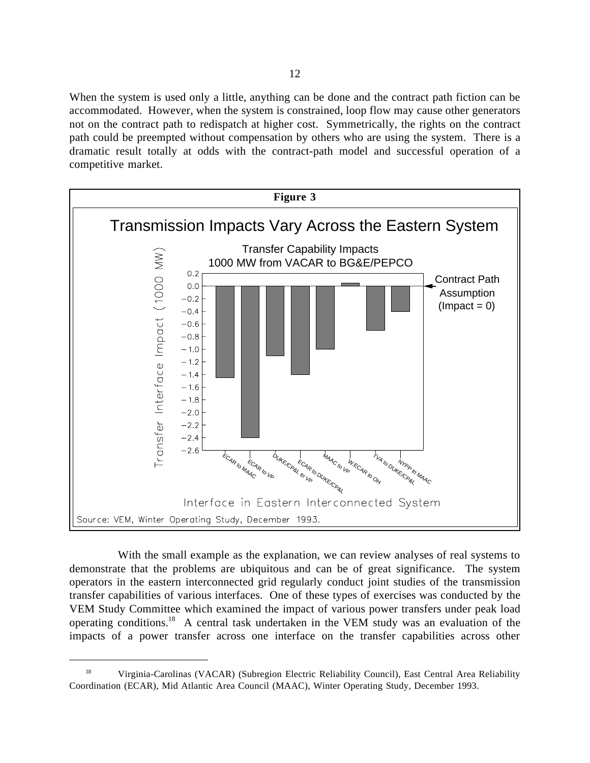When the system is used only a little, anything can be done and the contract path fiction can be accommodated. However, when the system is constrained, loop flow may cause other generators not on the contract path to redispatch at higher cost. Symmetrically, the rights on the contract path could be preempted without compensation by others who are using the system. There is a dramatic result totally at odds with the contract-path model and successful operation of a competitive market.



With the small example as the explanation, we can review analyses of real systems to demonstrate that the problems are ubiquitous and can be of great significance. The system operators in the eastern interconnected grid regularly conduct joint studies of the transmission transfer capabilities of various interfaces. One of these types of exercises was conducted by the VEM Study Committee which examined the impact of various power transfers under peak load operating conditions.18 A central task undertaken in the VEM study was an evaluation of the impacts of a power transfer across one interface on the transfer capabilities across other

<sup>&</sup>lt;sup>18</sup> Virginia-Carolinas (VACAR) (Subregion Electric Reliability Council), East Central Area Reliability Coordination (ECAR), Mid Atlantic Area Council (MAAC), Winter Operating Study, December 1993.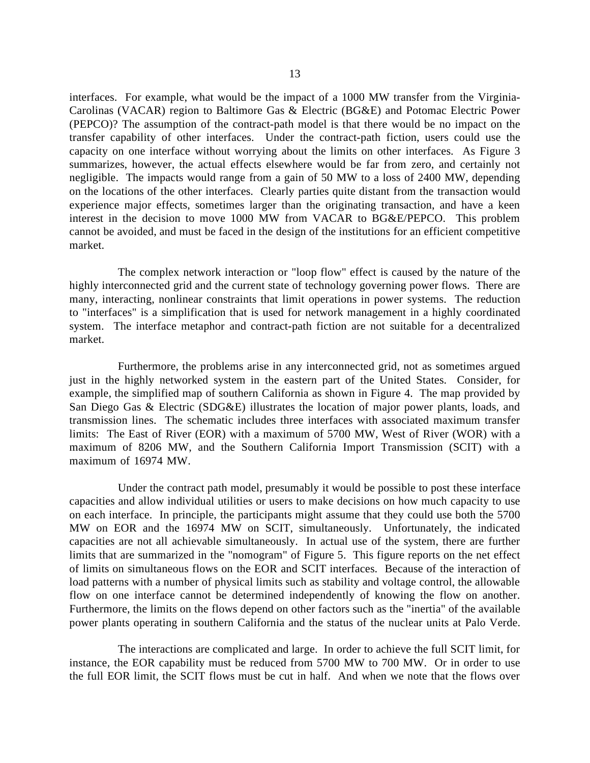interfaces. For example, what would be the impact of a 1000 MW transfer from the Virginia-Carolinas (VACAR) region to Baltimore Gas & Electric (BG&E) and Potomac Electric Power (PEPCO)? The assumption of the contract-path model is that there would be no impact on the transfer capability of other interfaces. Under the contract-path fiction, users could use the capacity on one interface without worrying about the limits on other interfaces. As Figure 3 summarizes, however, the actual effects elsewhere would be far from zero, and certainly not negligible. The impacts would range from a gain of 50 MW to a loss of 2400 MW, depending on the locations of the other interfaces. Clearly parties quite distant from the transaction would experience major effects, sometimes larger than the originating transaction, and have a keen interest in the decision to move 1000 MW from VACAR to BG&E/PEPCO. This problem cannot be avoided, and must be faced in the design of the institutions for an efficient competitive market.

The complex network interaction or "loop flow" effect is caused by the nature of the highly interconnected grid and the current state of technology governing power flows. There are many, interacting, nonlinear constraints that limit operations in power systems. The reduction to "interfaces" is a simplification that is used for network management in a highly coordinated system. The interface metaphor and contract-path fiction are not suitable for a decentralized market.

Furthermore, the problems arise in any interconnected grid, not as sometimes argued just in the highly networked system in the eastern part of the United States. Consider, for example, the simplified map of southern California as shown in Figure 4. The map provided by San Diego Gas & Electric (SDG&E) illustrates the location of major power plants, loads, and transmission lines. The schematic includes three interfaces with associated maximum transfer limits: The East of River (EOR) with a maximum of 5700 MW, West of River (WOR) with a maximum of 8206 MW, and the Southern California Import Transmission (SCIT) with a maximum of 16974 MW.

Under the contract path model, presumably it would be possible to post these interface capacities and allow individual utilities or users to make decisions on how much capacity to use on each interface. In principle, the participants might assume that they could use both the 5700 MW on EOR and the 16974 MW on SCIT, simultaneously. Unfortunately, the indicated capacities are not all achievable simultaneously. In actual use of the system, there are further limits that are summarized in the "nomogram" of Figure 5. This figure reports on the net effect of limits on simultaneous flows on the EOR and SCIT interfaces. Because of the interaction of load patterns with a number of physical limits such as stability and voltage control, the allowable flow on one interface cannot be determined independently of knowing the flow on another. Furthermore, the limits on the flows depend on other factors such as the "inertia" of the available power plants operating in southern California and the status of the nuclear units at Palo Verde.

The interactions are complicated and large. In order to achieve the full SCIT limit, for instance, the EOR capability must be reduced from 5700 MW to 700 MW. Or in order to use the full EOR limit, the SCIT flows must be cut in half. And when we note that the flows over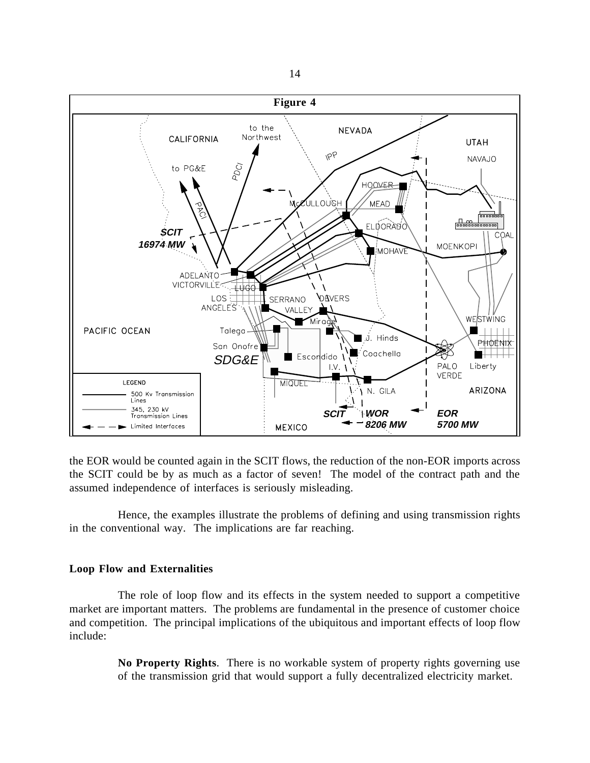

the EOR would be counted again in the SCIT flows, the reduction of the non-EOR imports across the SCIT could be by as much as a factor of seven! The model of the contract path and the assumed independence of interfaces is seriously misleading.

Hence, the examples illustrate the problems of defining and using transmission rights in the conventional way. The implications are far reaching.

# **Loop Flow and Externalities**

The role of loop flow and its effects in the system needed to support a competitive market are important matters. The problems are fundamental in the presence of customer choice and competition. The principal implications of the ubiquitous and important effects of loop flow include:

> **No Property Rights**. There is no workable system of property rights governing use of the transmission grid that would support a fully decentralized electricity market.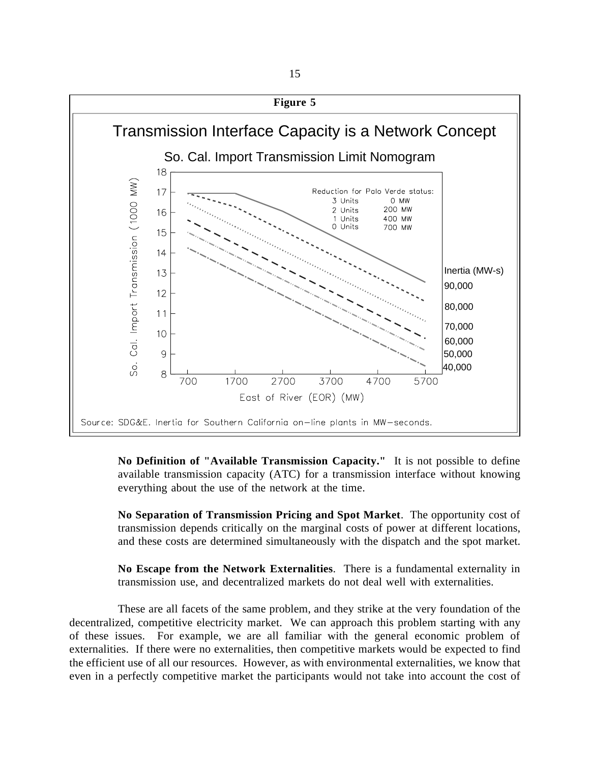

**No Definition of "Available Transmission Capacity."** It is not possible to define available transmission capacity (ATC) for a transmission interface without knowing everything about the use of the network at the time.

**No Separation of Transmission Pricing and Spot Market**. The opportunity cost of transmission depends critically on the marginal costs of power at different locations, and these costs are determined simultaneously with the dispatch and the spot market.

**No Escape from the Network Externalities**. There is a fundamental externality in transmission use, and decentralized markets do not deal well with externalities.

 These are all facets of the same problem, and they strike at the very foundation of the decentralized, competitive electricity market. We can approach this problem starting with any of these issues. For example, we are all familiar with the general economic problem of externalities. If there were no externalities, then competitive markets would be expected to find the efficient use of all our resources. However, as with environmental externalities, we know that even in a perfectly competitive market the participants would not take into account the cost of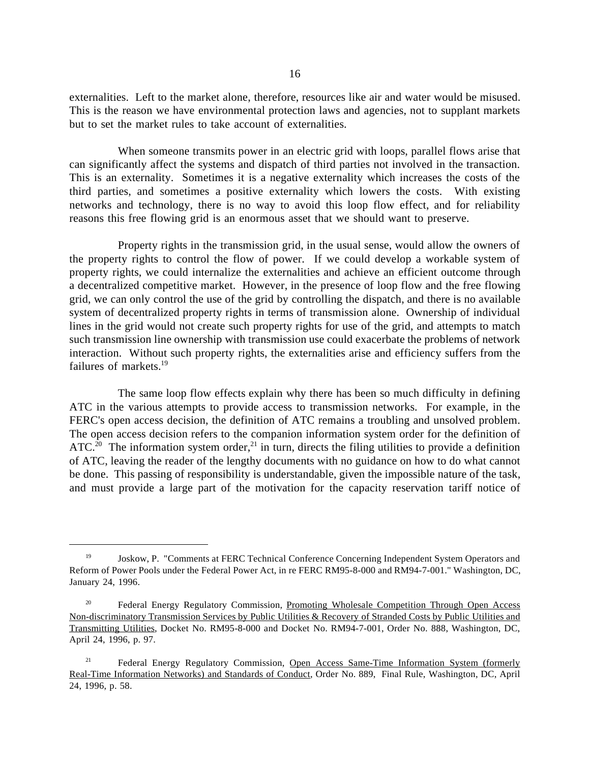externalities. Left to the market alone, therefore, resources like air and water would be misused. This is the reason we have environmental protection laws and agencies, not to supplant markets but to set the market rules to take account of externalities.

When someone transmits power in an electric grid with loops, parallel flows arise that can significantly affect the systems and dispatch of third parties not involved in the transaction. This is an externality. Sometimes it is a negative externality which increases the costs of the third parties, and sometimes a positive externality which lowers the costs. With existing networks and technology, there is no way to avoid this loop flow effect, and for reliability reasons this free flowing grid is an enormous asset that we should want to preserve.

Property rights in the transmission grid, in the usual sense, would allow the owners of the property rights to control the flow of power. If we could develop a workable system of property rights, we could internalize the externalities and achieve an efficient outcome through a decentralized competitive market. However, in the presence of loop flow and the free flowing grid, we can only control the use of the grid by controlling the dispatch, and there is no available system of decentralized property rights in terms of transmission alone. Ownership of individual lines in the grid would not create such property rights for use of the grid, and attempts to match such transmission line ownership with transmission use could exacerbate the problems of network interaction. Without such property rights, the externalities arise and efficiency suffers from the failures of markets.19

The same loop flow effects explain why there has been so much difficulty in defining ATC in the various attempts to provide access to transmission networks. For example, in the FERC's open access decision, the definition of ATC remains a troubling and unsolved problem. The open access decision refers to the companion information system order for the definition of ATC.<sup>20</sup> The information system order,<sup>21</sup> in turn, directs the filing utilities to provide a definition of ATC, leaving the reader of the lengthy documents with no guidance on how to do what cannot be done. This passing of responsibility is understandable, given the impossible nature of the task, and must provide a large part of the motivation for the capacity reservation tariff notice of

<sup>&</sup>lt;sup>19</sup> Joskow, P. "Comments at FERC Technical Conference Concerning Independent System Operators and Reform of Power Pools under the Federal Power Act, in re FERC RM95-8-000 and RM94-7-001." Washington, DC, January 24, 1996.

<sup>&</sup>lt;sup>20</sup> Federal Energy Regulatory Commission, Promoting Wholesale Competition Through Open Access Non-discriminatory Transmission Services by Public Utilities & Recovery of Stranded Costs by Public Utilities and Transmitting Utilities, Docket No. RM95-8-000 and Docket No. RM94-7-001, Order No. 888, Washington, DC, April 24, 1996, p. 97.

 <sup>21</sup> Federal Energy Regulatory Commission, Open Access Same-Time Information System (formerly Real-Time Information Networks) and Standards of Conduct, Order No. 889, Final Rule, Washington, DC, April 24, 1996, p. 58.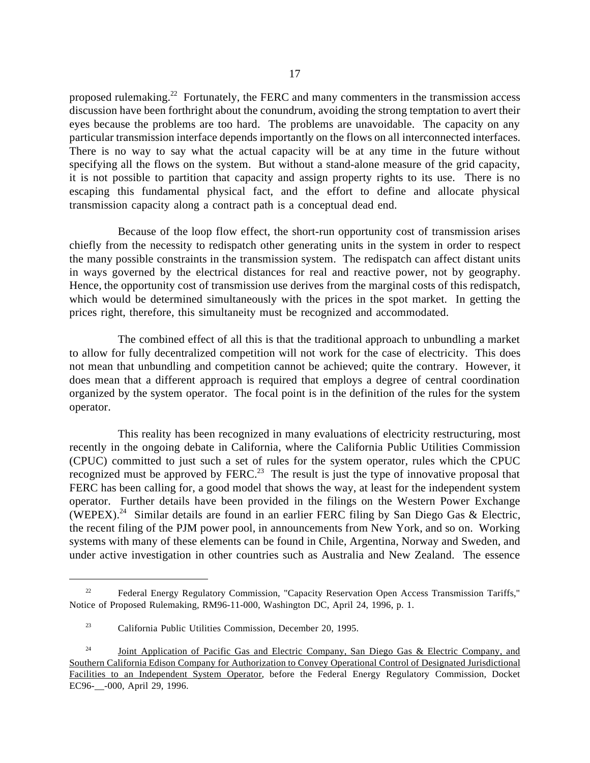proposed rulemaking.22 Fortunately, the FERC and many commenters in the transmission access discussion have been forthright about the conundrum, avoiding the strong temptation to avert their eyes because the problems are too hard. The problems are unavoidable. The capacity on any particular transmission interface depends importantly on the flows on all interconnected interfaces. There is no way to say what the actual capacity will be at any time in the future without specifying all the flows on the system. But without a stand-alone measure of the grid capacity, it is not possible to partition that capacity and assign property rights to its use. There is no escaping this fundamental physical fact, and the effort to define and allocate physical transmission capacity along a contract path is a conceptual dead end.

Because of the loop flow effect, the short-run opportunity cost of transmission arises chiefly from the necessity to redispatch other generating units in the system in order to respect the many possible constraints in the transmission system. The redispatch can affect distant units in ways governed by the electrical distances for real and reactive power, not by geography. Hence, the opportunity cost of transmission use derives from the marginal costs of this redispatch, which would be determined simultaneously with the prices in the spot market. In getting the prices right, therefore, this simultaneity must be recognized and accommodated.

The combined effect of all this is that the traditional approach to unbundling a market to allow for fully decentralized competition will not work for the case of electricity. This does not mean that unbundling and competition cannot be achieved; quite the contrary. However, it does mean that a different approach is required that employs a degree of central coordination organized by the system operator. The focal point is in the definition of the rules for the system operator.

This reality has been recognized in many evaluations of electricity restructuring, most recently in the ongoing debate in California, where the California Public Utilities Commission (CPUC) committed to just such a set of rules for the system operator, rules which the CPUC recognized must be approved by FERC.<sup>23</sup> The result is just the type of innovative proposal that FERC has been calling for, a good model that shows the way, at least for the independent system operator. Further details have been provided in the filings on the Western Power Exchange (WEPEX).<sup>24</sup> Similar details are found in an earlier FERC filing by San Diego Gas & Electric, the recent filing of the PJM power pool, in announcements from New York, and so on. Working systems with many of these elements can be found in Chile, Argentina, Norway and Sweden, and under active investigation in other countries such as Australia and New Zealand. The essence

<sup>&</sup>lt;sup>22</sup> Federal Energy Regulatory Commission, "Capacity Reservation Open Access Transmission Tariffs," Notice of Proposed Rulemaking, RM96-11-000, Washington DC, April 24, 1996, p. 1.

 <sup>23</sup> California Public Utilities Commission, December 20, 1995.

<sup>&</sup>lt;sup>24</sup> Joint Application of Pacific Gas and Electric Company, San Diego Gas & Electric Company, and Southern California Edison Company for Authorization to Convey Operational Control of Designated Jurisdictional Facilities to an Independent System Operator, before the Federal Energy Regulatory Commission, Docket EC96-\_\_-000, April 29, 1996.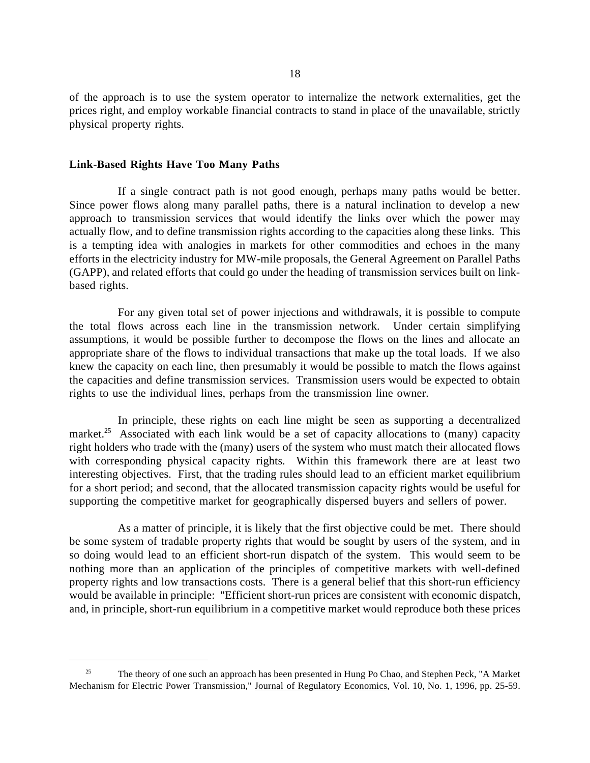of the approach is to use the system operator to internalize the network externalities, get the prices right, and employ workable financial contracts to stand in place of the unavailable, strictly physical property rights.

## **Link-Based Rights Have Too Many Paths**

 $\overline{a}$ 

If a single contract path is not good enough, perhaps many paths would be better. Since power flows along many parallel paths, there is a natural inclination to develop a new approach to transmission services that would identify the links over which the power may actually flow, and to define transmission rights according to the capacities along these links. This is a tempting idea with analogies in markets for other commodities and echoes in the many efforts in the electricity industry for MW-mile proposals, the General Agreement on Parallel Paths (GAPP), and related efforts that could go under the heading of transmission services built on linkbased rights.

For any given total set of power injections and withdrawals, it is possible to compute the total flows across each line in the transmission network. Under certain simplifying assumptions, it would be possible further to decompose the flows on the lines and allocate an appropriate share of the flows to individual transactions that make up the total loads. If we also knew the capacity on each line, then presumably it would be possible to match the flows against the capacities and define transmission services. Transmission users would be expected to obtain rights to use the individual lines, perhaps from the transmission line owner.

In principle, these rights on each line might be seen as supporting a decentralized market.<sup>25</sup> Associated with each link would be a set of capacity allocations to (many) capacity right holders who trade with the (many) users of the system who must match their allocated flows with corresponding physical capacity rights. Within this framework there are at least two interesting objectives. First, that the trading rules should lead to an efficient market equilibrium for a short period; and second, that the allocated transmission capacity rights would be useful for supporting the competitive market for geographically dispersed buyers and sellers of power.

As a matter of principle, it is likely that the first objective could be met. There should be some system of tradable property rights that would be sought by users of the system, and in so doing would lead to an efficient short-run dispatch of the system. This would seem to be nothing more than an application of the principles of competitive markets with well-defined property rights and low transactions costs. There is a general belief that this short-run efficiency would be available in principle: "Efficient short-run prices are consistent with economic dispatch, and, in principle, short-run equilibrium in a competitive market would reproduce both these prices

<sup>&</sup>lt;sup>25</sup> The theory of one such an approach has been presented in Hung Po Chao, and Stephen Peck, "A Market" Mechanism for Electric Power Transmission," Journal of Regulatory Economics, Vol. 10, No. 1, 1996, pp. 25-59.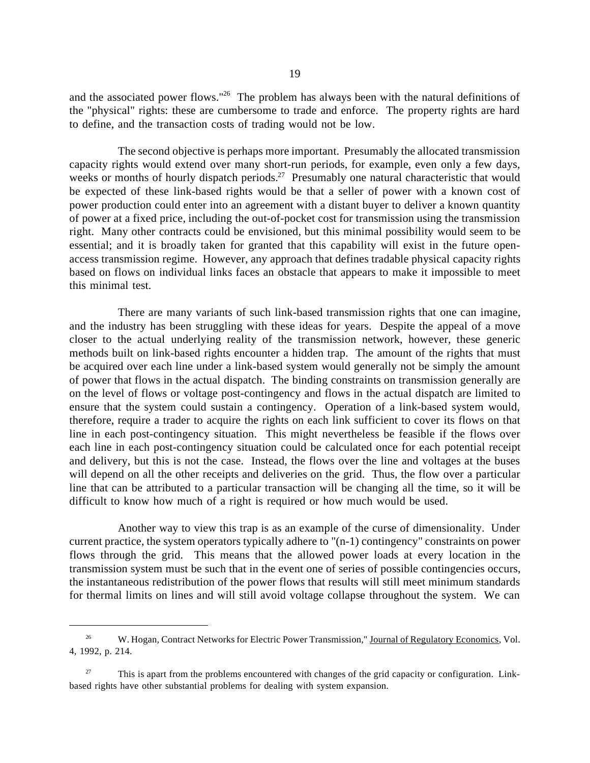and the associated power flows."<sup>26</sup> The problem has always been with the natural definitions of the "physical" rights: these are cumbersome to trade and enforce. The property rights are hard to define, and the transaction costs of trading would not be low.

The second objective is perhaps more important. Presumably the allocated transmission capacity rights would extend over many short-run periods, for example, even only a few days, weeks or months of hourly dispatch periods.<sup>27</sup> Presumably one natural characteristic that would be expected of these link-based rights would be that a seller of power with a known cost of power production could enter into an agreement with a distant buyer to deliver a known quantity of power at a fixed price, including the out-of-pocket cost for transmission using the transmission right. Many other contracts could be envisioned, but this minimal possibility would seem to be essential; and it is broadly taken for granted that this capability will exist in the future openaccess transmission regime. However, any approach that defines tradable physical capacity rights based on flows on individual links faces an obstacle that appears to make it impossible to meet this minimal test.

There are many variants of such link-based transmission rights that one can imagine, and the industry has been struggling with these ideas for years. Despite the appeal of a move closer to the actual underlying reality of the transmission network, however, these generic methods built on link-based rights encounter a hidden trap. The amount of the rights that must be acquired over each line under a link-based system would generally not be simply the amount of power that flows in the actual dispatch. The binding constraints on transmission generally are on the level of flows or voltage post-contingency and flows in the actual dispatch are limited to ensure that the system could sustain a contingency. Operation of a link-based system would, therefore, require a trader to acquire the rights on each link sufficient to cover its flows on that line in each post-contingency situation. This might nevertheless be feasible if the flows over each line in each post-contingency situation could be calculated once for each potential receipt and delivery, but this is not the case. Instead, the flows over the line and voltages at the buses will depend on all the other receipts and deliveries on the grid. Thus, the flow over a particular line that can be attributed to a particular transaction will be changing all the time, so it will be difficult to know how much of a right is required or how much would be used.

Another way to view this trap is as an example of the curse of dimensionality. Under current practice, the system operators typically adhere to "(n-1) contingency" constraints on power flows through the grid. This means that the allowed power loads at every location in the transmission system must be such that in the event one of series of possible contingencies occurs, the instantaneous redistribution of the power flows that results will still meet minimum standards for thermal limits on lines and will still avoid voltage collapse throughout the system. We can

<sup>&</sup>lt;sup>26</sup> W. Hogan, Contract Networks for Electric Power Transmission," Journal of Regulatory Economics, Vol. 4, 1992, p. 214.

 $27$  This is apart from the problems encountered with changes of the grid capacity or configuration. Linkbased rights have other substantial problems for dealing with system expansion.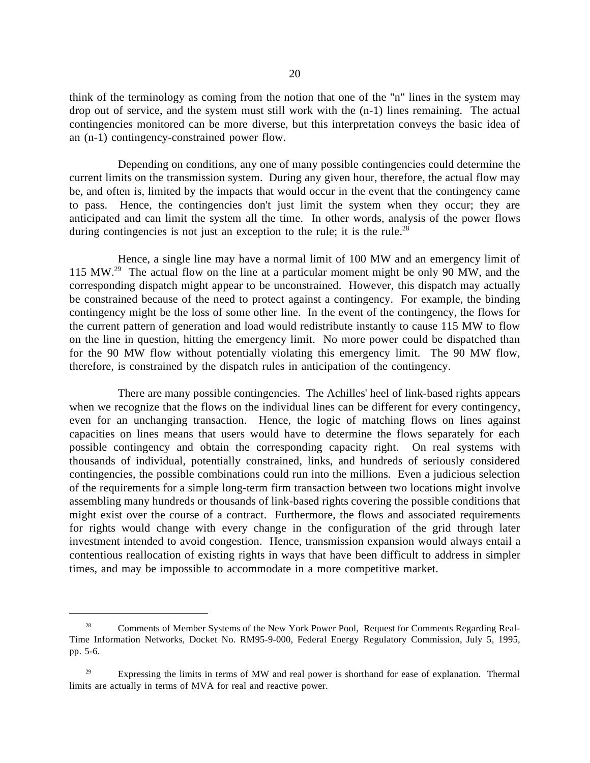think of the terminology as coming from the notion that one of the "n" lines in the system may drop out of service, and the system must still work with the (n-1) lines remaining. The actual contingencies monitored can be more diverse, but this interpretation conveys the basic idea of an (n-1) contingency-constrained power flow.

Depending on conditions, any one of many possible contingencies could determine the current limits on the transmission system. During any given hour, therefore, the actual flow may be, and often is, limited by the impacts that would occur in the event that the contingency came to pass. Hence, the contingencies don't just limit the system when they occur; they are anticipated and can limit the system all the time. In other words, analysis of the power flows during contingencies is not just an exception to the rule; it is the rule.<sup>28</sup>

Hence, a single line may have a normal limit of 100 MW and an emergency limit of 115 MW.29 The actual flow on the line at a particular moment might be only 90 MW, and the corresponding dispatch might appear to be unconstrained. However, this dispatch may actually be constrained because of the need to protect against a contingency. For example, the binding contingency might be the loss of some other line. In the event of the contingency, the flows for the current pattern of generation and load would redistribute instantly to cause 115 MW to flow on the line in question, hitting the emergency limit. No more power could be dispatched than for the 90 MW flow without potentially violating this emergency limit. The 90 MW flow, therefore, is constrained by the dispatch rules in anticipation of the contingency.

There are many possible contingencies. The Achilles' heel of link-based rights appears when we recognize that the flows on the individual lines can be different for every contingency, even for an unchanging transaction. Hence, the logic of matching flows on lines against capacities on lines means that users would have to determine the flows separately for each possible contingency and obtain the corresponding capacity right. On real systems with thousands of individual, potentially constrained, links, and hundreds of seriously considered contingencies, the possible combinations could run into the millions. Even a judicious selection of the requirements for a simple long-term firm transaction between two locations might involve assembling many hundreds or thousands of link-based rights covering the possible conditions that might exist over the course of a contract. Furthermore, the flows and associated requirements for rights would change with every change in the configuration of the grid through later investment intended to avoid congestion. Hence, transmission expansion would always entail a contentious reallocation of existing rights in ways that have been difficult to address in simpler times, and may be impossible to accommodate in a more competitive market.

<sup>&</sup>lt;sup>28</sup> Comments of Member Systems of the New York Power Pool, Request for Comments Regarding Real-Time Information Networks, Docket No. RM95-9-000, Federal Energy Regulatory Commission, July 5, 1995, pp. 5-6.

<sup>&</sup>lt;sup>29</sup> Expressing the limits in terms of MW and real power is shorthand for ease of explanation. Thermal limits are actually in terms of MVA for real and reactive power.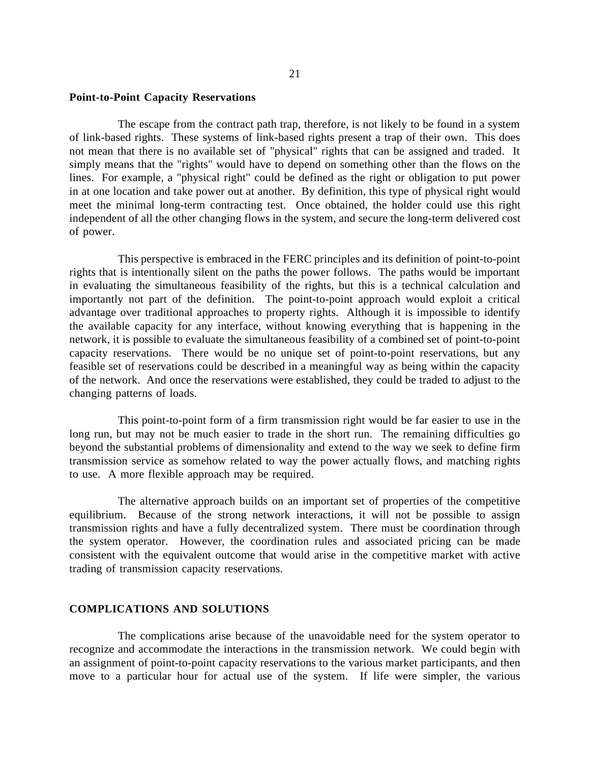## **Point-to-Point Capacity Reservations**

The escape from the contract path trap, therefore, is not likely to be found in a system of link-based rights. These systems of link-based rights present a trap of their own. This does not mean that there is no available set of "physical" rights that can be assigned and traded. It simply means that the "rights" would have to depend on something other than the flows on the lines. For example, a "physical right" could be defined as the right or obligation to put power in at one location and take power out at another. By definition, this type of physical right would meet the minimal long-term contracting test. Once obtained, the holder could use this right independent of all the other changing flows in the system, and secure the long-term delivered cost of power.

This perspective is embraced in the FERC principles and its definition of point-to-point rights that is intentionally silent on the paths the power follows. The paths would be important in evaluating the simultaneous feasibility of the rights, but this is a technical calculation and importantly not part of the definition. The point-to-point approach would exploit a critical advantage over traditional approaches to property rights. Although it is impossible to identify the available capacity for any interface, without knowing everything that is happening in the network, it is possible to evaluate the simultaneous feasibility of a combined set of point-to-point capacity reservations. There would be no unique set of point-to-point reservations, but any feasible set of reservations could be described in a meaningful way as being within the capacity of the network. And once the reservations were established, they could be traded to adjust to the changing patterns of loads.

This point-to-point form of a firm transmission right would be far easier to use in the long run, but may not be much easier to trade in the short run. The remaining difficulties go beyond the substantial problems of dimensionality and extend to the way we seek to define firm transmission service as somehow related to way the power actually flows, and matching rights to use. A more flexible approach may be required.

The alternative approach builds on an important set of properties of the competitive equilibrium. Because of the strong network interactions, it will not be possible to assign transmission rights and have a fully decentralized system. There must be coordination through the system operator. However, the coordination rules and associated pricing can be made consistent with the equivalent outcome that would arise in the competitive market with active trading of transmission capacity reservations.

# **COMPLICATIONS AND SOLUTIONS**

The complications arise because of the unavoidable need for the system operator to recognize and accommodate the interactions in the transmission network. We could begin with an assignment of point-to-point capacity reservations to the various market participants, and then move to a particular hour for actual use of the system. If life were simpler, the various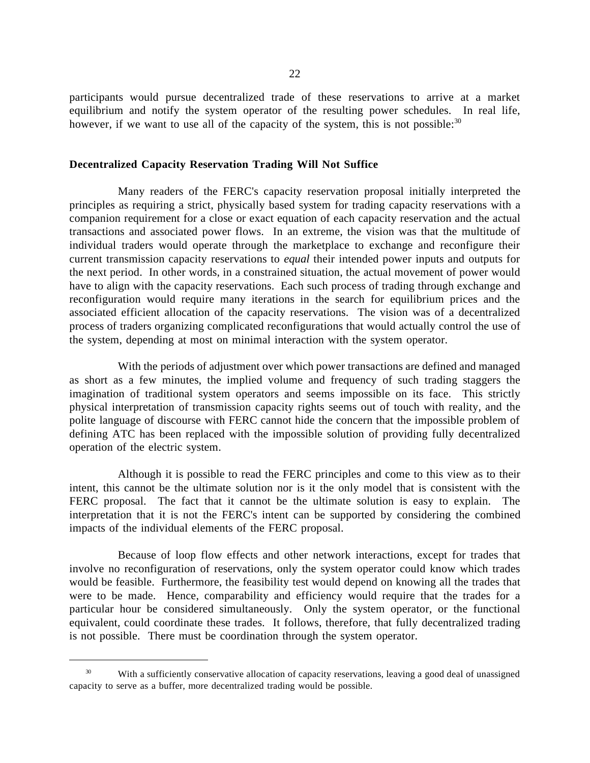participants would pursue decentralized trade of these reservations to arrive at a market equilibrium and notify the system operator of the resulting power schedules. In real life, however, if we want to use all of the capacity of the system, this is not possible: $30$ 

## **Decentralized Capacity Reservation Trading Will Not Suffice**

Many readers of the FERC's capacity reservation proposal initially interpreted the principles as requiring a strict, physically based system for trading capacity reservations with a companion requirement for a close or exact equation of each capacity reservation and the actual transactions and associated power flows. In an extreme, the vision was that the multitude of individual traders would operate through the marketplace to exchange and reconfigure their current transmission capacity reservations to *equal* their intended power inputs and outputs for the next period. In other words, in a constrained situation, the actual movement of power would have to align with the capacity reservations. Each such process of trading through exchange and reconfiguration would require many iterations in the search for equilibrium prices and the associated efficient allocation of the capacity reservations. The vision was of a decentralized process of traders organizing complicated reconfigurations that would actually control the use of the system, depending at most on minimal interaction with the system operator.

With the periods of adjustment over which power transactions are defined and managed as short as a few minutes, the implied volume and frequency of such trading staggers the imagination of traditional system operators and seems impossible on its face. This strictly physical interpretation of transmission capacity rights seems out of touch with reality, and the polite language of discourse with FERC cannot hide the concern that the impossible problem of defining ATC has been replaced with the impossible solution of providing fully decentralized operation of the electric system.

Although it is possible to read the FERC principles and come to this view as to their intent, this cannot be the ultimate solution nor is it the only model that is consistent with the FERC proposal. The fact that it cannot be the ultimate solution is easy to explain. The interpretation that it is not the FERC's intent can be supported by considering the combined impacts of the individual elements of the FERC proposal.

Because of loop flow effects and other network interactions, except for trades that involve no reconfiguration of reservations, only the system operator could know which trades would be feasible. Furthermore, the feasibility test would depend on knowing all the trades that were to be made. Hence, comparability and efficiency would require that the trades for a particular hour be considered simultaneously. Only the system operator, or the functional equivalent, could coordinate these trades. It follows, therefore, that fully decentralized trading is not possible. There must be coordination through the system operator.

<sup>&</sup>lt;sup>30</sup> With a sufficiently conservative allocation of capacity reservations, leaving a good deal of unassigned capacity to serve as a buffer, more decentralized trading would be possible.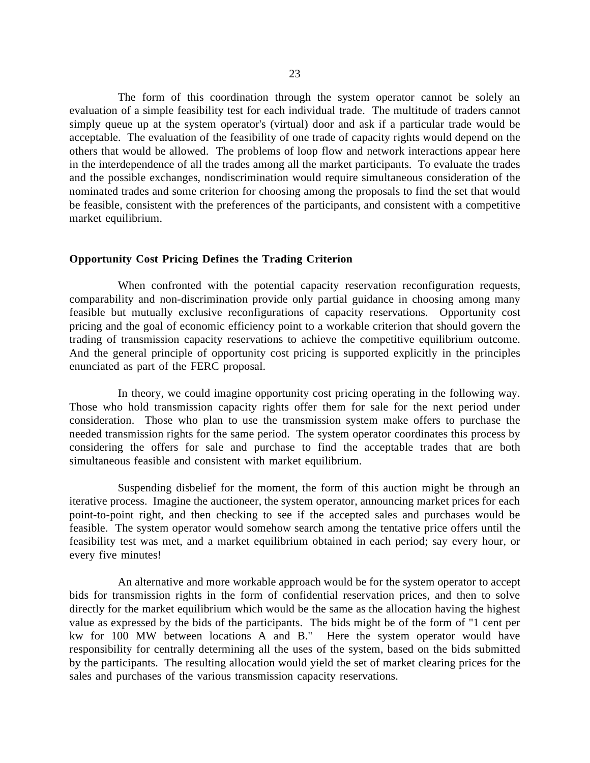The form of this coordination through the system operator cannot be solely an evaluation of a simple feasibility test for each individual trade. The multitude of traders cannot simply queue up at the system operator's (virtual) door and ask if a particular trade would be acceptable. The evaluation of the feasibility of one trade of capacity rights would depend on the others that would be allowed. The problems of loop flow and network interactions appear here in the interdependence of all the trades among all the market participants. To evaluate the trades and the possible exchanges, nondiscrimination would require simultaneous consideration of the nominated trades and some criterion for choosing among the proposals to find the set that would be feasible, consistent with the preferences of the participants, and consistent with a competitive market equilibrium.

#### **Opportunity Cost Pricing Defines the Trading Criterion**

When confronted with the potential capacity reservation reconfiguration requests, comparability and non-discrimination provide only partial guidance in choosing among many feasible but mutually exclusive reconfigurations of capacity reservations. Opportunity cost pricing and the goal of economic efficiency point to a workable criterion that should govern the trading of transmission capacity reservations to achieve the competitive equilibrium outcome. And the general principle of opportunity cost pricing is supported explicitly in the principles enunciated as part of the FERC proposal.

In theory, we could imagine opportunity cost pricing operating in the following way. Those who hold transmission capacity rights offer them for sale for the next period under consideration. Those who plan to use the transmission system make offers to purchase the needed transmission rights for the same period. The system operator coordinates this process by considering the offers for sale and purchase to find the acceptable trades that are both simultaneous feasible and consistent with market equilibrium.

Suspending disbelief for the moment, the form of this auction might be through an iterative process. Imagine the auctioneer, the system operator, announcing market prices for each point-to-point right, and then checking to see if the accepted sales and purchases would be feasible. The system operator would somehow search among the tentative price offers until the feasibility test was met, and a market equilibrium obtained in each period; say every hour, or every five minutes!

An alternative and more workable approach would be for the system operator to accept bids for transmission rights in the form of confidential reservation prices, and then to solve directly for the market equilibrium which would be the same as the allocation having the highest value as expressed by the bids of the participants. The bids might be of the form of "1 cent per kw for 100 MW between locations A and B." Here the system operator would have responsibility for centrally determining all the uses of the system, based on the bids submitted by the participants. The resulting allocation would yield the set of market clearing prices for the sales and purchases of the various transmission capacity reservations.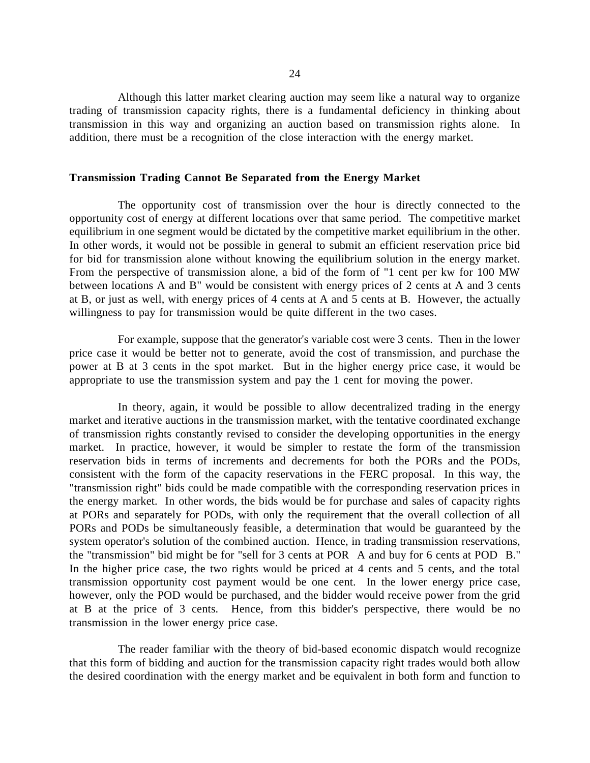Although this latter market clearing auction may seem like a natural way to organize trading of transmission capacity rights, there is a fundamental deficiency in thinking about transmission in this way and organizing an auction based on transmission rights alone. In addition, there must be a recognition of the close interaction with the energy market.

#### **Transmission Trading Cannot Be Separated from the Energy Market**

The opportunity cost of transmission over the hour is directly connected to the opportunity cost of energy at different locations over that same period. The competitive market equilibrium in one segment would be dictated by the competitive market equilibrium in the other. In other words, it would not be possible in general to submit an efficient reservation price bid for bid for transmission alone without knowing the equilibrium solution in the energy market. From the perspective of transmission alone, a bid of the form of "1 cent per kw for 100 MW between locations A and B" would be consistent with energy prices of 2 cents at A and 3 cents at B, or just as well, with energy prices of 4 cents at A and 5 cents at B. However, the actually willingness to pay for transmission would be quite different in the two cases.

For example, suppose that the generator's variable cost were 3 cents. Then in the lower price case it would be better not to generate, avoid the cost of transmission, and purchase the power at B at 3 cents in the spot market. But in the higher energy price case, it would be appropriate to use the transmission system and pay the 1 cent for moving the power.

In theory, again, it would be possible to allow decentralized trading in the energy market and iterative auctions in the transmission market, with the tentative coordinated exchange of transmission rights constantly revised to consider the developing opportunities in the energy market. In practice, however, it would be simpler to restate the form of the transmission reservation bids in terms of increments and decrements for both the PORs and the PODs, consistent with the form of the capacity reservations in the FERC proposal. In this way, the "transmission right" bids could be made compatible with the corresponding reservation prices in the energy market. In other words, the bids would be for purchase and sales of capacity rights at PORs and separately for PODs, with only the requirement that the overall collection of all PORs and PODs be simultaneously feasible, a determination that would be guaranteed by the system operator's solution of the combined auction. Hence, in trading transmission reservations, the "transmission" bid might be for "sell for 3 cents at POR A and buy for 6 cents at POD B." In the higher price case, the two rights would be priced at 4 cents and 5 cents, and the total transmission opportunity cost payment would be one cent. In the lower energy price case, however, only the POD would be purchased, and the bidder would receive power from the grid at B at the price of 3 cents. Hence, from this bidder's perspective, there would be no transmission in the lower energy price case.

The reader familiar with the theory of bid-based economic dispatch would recognize that this form of bidding and auction for the transmission capacity right trades would both allow the desired coordination with the energy market and be equivalent in both form and function to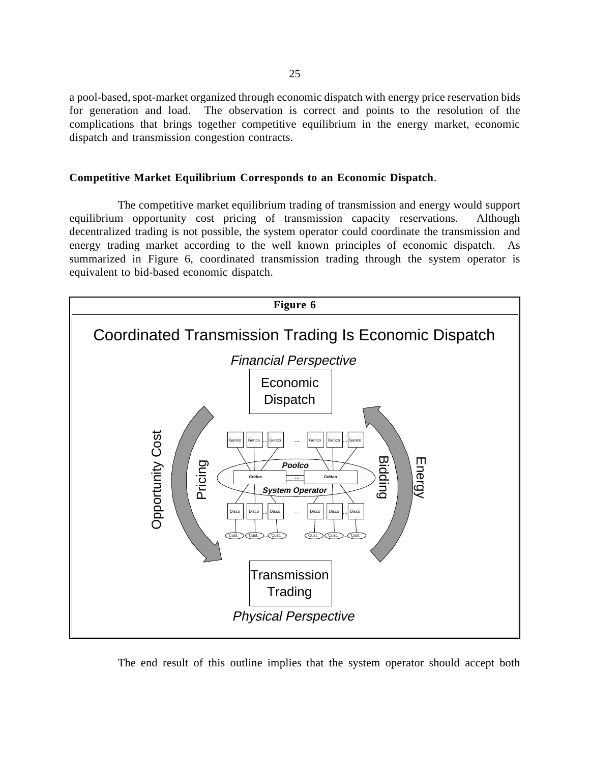a pool-based, spot-market organized through economic dispatch with energy price reservation bids for generation and load. The observation is correct and points to the resolution of the complications that brings together competitive equilibrium in the energy market, economic dispatch and transmission congestion contracts.

# **Competitive Market Equilibrium Corresponds to an Economic Dispatch**.

The competitive market equilibrium trading of transmission and energy would support equilibrium opportunity cost pricing of transmission capacity reservations. Although decentralized trading is not possible, the system operator could coordinate the transmission and energy trading market according to the well known principles of economic dispatch. As summarized in Figure 6, coordinated transmission trading through the system operator is equivalent to bid-based economic dispatch.



The end result of this outline implies that the system operator should accept both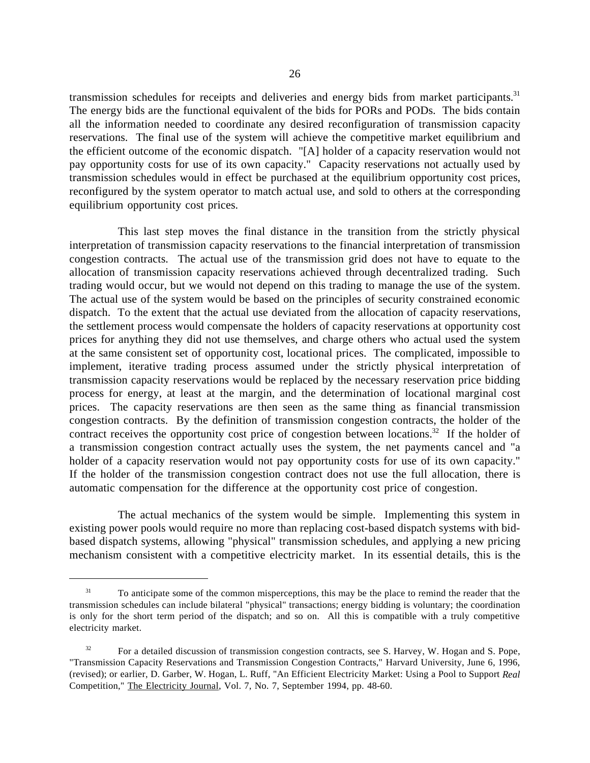transmission schedules for receipts and deliveries and energy bids from market participants.<sup>31</sup> The energy bids are the functional equivalent of the bids for PORs and PODs. The bids contain all the information needed to coordinate any desired reconfiguration of transmission capacity reservations. The final use of the system will achieve the competitive market equilibrium and the efficient outcome of the economic dispatch. "[A] holder of a capacity reservation would not pay opportunity costs for use of its own capacity." Capacity reservations not actually used by transmission schedules would in effect be purchased at the equilibrium opportunity cost prices, reconfigured by the system operator to match actual use, and sold to others at the corresponding equilibrium opportunity cost prices.

This last step moves the final distance in the transition from the strictly physical interpretation of transmission capacity reservations to the financial interpretation of transmission congestion contracts. The actual use of the transmission grid does not have to equate to the allocation of transmission capacity reservations achieved through decentralized trading. Such trading would occur, but we would not depend on this trading to manage the use of the system. The actual use of the system would be based on the principles of security constrained economic dispatch. To the extent that the actual use deviated from the allocation of capacity reservations, the settlement process would compensate the holders of capacity reservations at opportunity cost prices for anything they did not use themselves, and charge others who actual used the system at the same consistent set of opportunity cost, locational prices. The complicated, impossible to implement, iterative trading process assumed under the strictly physical interpretation of transmission capacity reservations would be replaced by the necessary reservation price bidding process for energy, at least at the margin, and the determination of locational marginal cost prices. The capacity reservations are then seen as the same thing as financial transmission congestion contracts. By the definition of transmission congestion contracts, the holder of the contract receives the opportunity cost price of congestion between locations.<sup>32</sup> If the holder of a transmission congestion contract actually uses the system, the net payments cancel and "a holder of a capacity reservation would not pay opportunity costs for use of its own capacity." If the holder of the transmission congestion contract does not use the full allocation, there is automatic compensation for the difference at the opportunity cost price of congestion.

The actual mechanics of the system would be simple. Implementing this system in existing power pools would require no more than replacing cost-based dispatch systems with bidbased dispatch systems, allowing "physical" transmission schedules, and applying a new pricing mechanism consistent with a competitive electricity market. In its essential details, this is the

<sup>&</sup>lt;sup>31</sup> To anticipate some of the common misperceptions, this may be the place to remind the reader that the transmission schedules can include bilateral "physical" transactions; energy bidding is voluntary; the coordination is only for the short term period of the dispatch; and so on. All this is compatible with a truly competitive electricity market.

 $32$  For a detailed discussion of transmission congestion contracts, see S. Harvey, W. Hogan and S. Pope, "Transmission Capacity Reservations and Transmission Congestion Contracts," Harvard University, June 6, 1996, (revised); or earlier, D. Garber, W. Hogan, L. Ruff, "An Efficient Electricity Market: Using a Pool to Support *Real* Competition," The Electricity Journal, Vol. 7, No. 7, September 1994, pp. 48-60.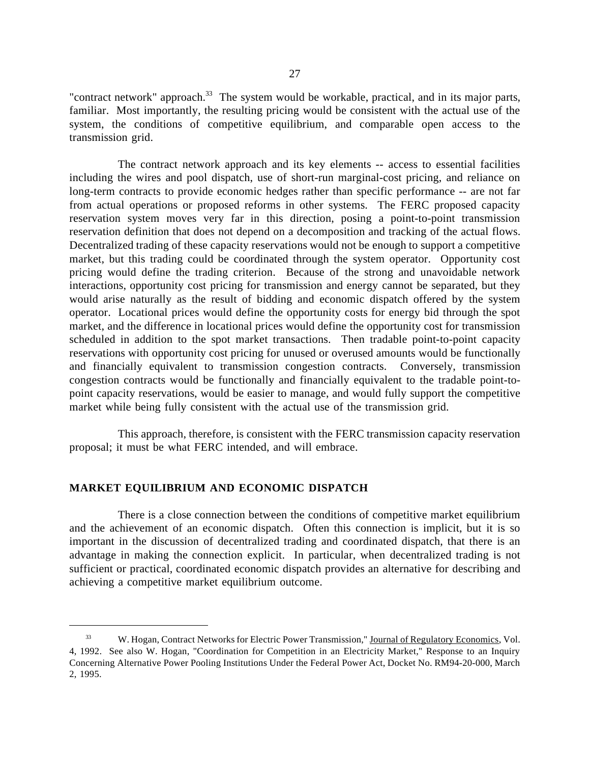"contract network" approach.<sup>33</sup> The system would be workable, practical, and in its major parts, familiar. Most importantly, the resulting pricing would be consistent with the actual use of the system, the conditions of competitive equilibrium, and comparable open access to the transmission grid.

The contract network approach and its key elements -- access to essential facilities including the wires and pool dispatch, use of short-run marginal-cost pricing, and reliance on long-term contracts to provide economic hedges rather than specific performance -- are not far from actual operations or proposed reforms in other systems. The FERC proposed capacity reservation system moves very far in this direction, posing a point-to-point transmission reservation definition that does not depend on a decomposition and tracking of the actual flows. Decentralized trading of these capacity reservations would not be enough to support a competitive market, but this trading could be coordinated through the system operator. Opportunity cost pricing would define the trading criterion. Because of the strong and unavoidable network interactions, opportunity cost pricing for transmission and energy cannot be separated, but they would arise naturally as the result of bidding and economic dispatch offered by the system operator. Locational prices would define the opportunity costs for energy bid through the spot market, and the difference in locational prices would define the opportunity cost for transmission scheduled in addition to the spot market transactions. Then tradable point-to-point capacity reservations with opportunity cost pricing for unused or overused amounts would be functionally and financially equivalent to transmission congestion contracts. Conversely, transmission congestion contracts would be functionally and financially equivalent to the tradable point-topoint capacity reservations, would be easier to manage, and would fully support the competitive market while being fully consistent with the actual use of the transmission grid.

This approach, therefore, is consistent with the FERC transmission capacity reservation proposal; it must be what FERC intended, and will embrace.

# **MARKET EQUILIBRIUM AND ECONOMIC DISPATCH**

 $\overline{a}$ 

There is a close connection between the conditions of competitive market equilibrium and the achievement of an economic dispatch. Often this connection is implicit, but it is so important in the discussion of decentralized trading and coordinated dispatch, that there is an advantage in making the connection explicit. In particular, when decentralized trading is not sufficient or practical, coordinated economic dispatch provides an alternative for describing and achieving a competitive market equilibrium outcome.

<sup>&</sup>lt;sup>33</sup> W. Hogan, Contract Networks for Electric Power Transmission," Journal of Regulatory Economics, Vol. 4, 1992. See also W. Hogan, "Coordination for Competition in an Electricity Market," Response to an Inquiry Concerning Alternative Power Pooling Institutions Under the Federal Power Act, Docket No. RM94-20-000, March 2, 1995.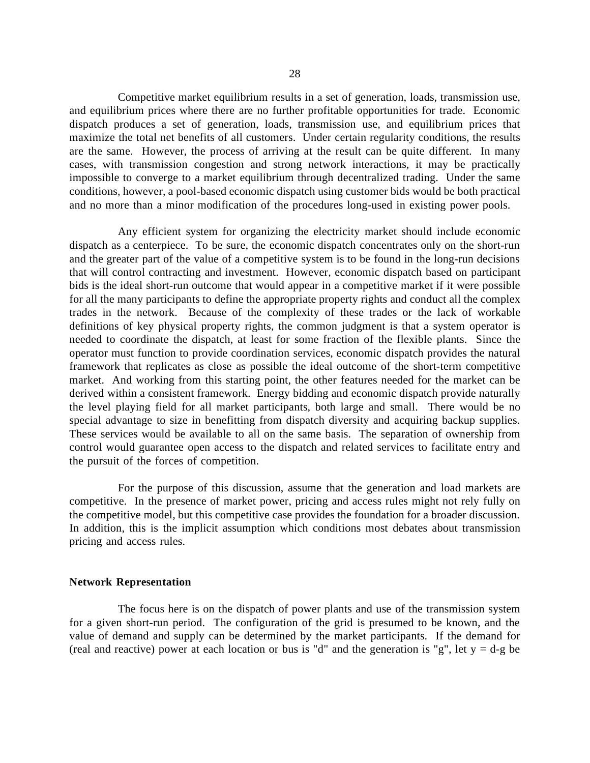Competitive market equilibrium results in a set of generation, loads, transmission use, and equilibrium prices where there are no further profitable opportunities for trade. Economic dispatch produces a set of generation, loads, transmission use, and equilibrium prices that maximize the total net benefits of all customers. Under certain regularity conditions, the results are the same. However, the process of arriving at the result can be quite different. In many cases, with transmission congestion and strong network interactions, it may be practically impossible to converge to a market equilibrium through decentralized trading. Under the same conditions, however, a pool-based economic dispatch using customer bids would be both practical and no more than a minor modification of the procedures long-used in existing power pools.

Any efficient system for organizing the electricity market should include economic dispatch as a centerpiece. To be sure, the economic dispatch concentrates only on the short-run and the greater part of the value of a competitive system is to be found in the long-run decisions that will control contracting and investment. However, economic dispatch based on participant bids is the ideal short-run outcome that would appear in a competitive market if it were possible for all the many participants to define the appropriate property rights and conduct all the complex trades in the network. Because of the complexity of these trades or the lack of workable definitions of key physical property rights, the common judgment is that a system operator is needed to coordinate the dispatch, at least for some fraction of the flexible plants. Since the operator must function to provide coordination services, economic dispatch provides the natural framework that replicates as close as possible the ideal outcome of the short-term competitive market. And working from this starting point, the other features needed for the market can be derived within a consistent framework. Energy bidding and economic dispatch provide naturally the level playing field for all market participants, both large and small. There would be no special advantage to size in benefitting from dispatch diversity and acquiring backup supplies. These services would be available to all on the same basis. The separation of ownership from control would guarantee open access to the dispatch and related services to facilitate entry and the pursuit of the forces of competition.

For the purpose of this discussion, assume that the generation and load markets are competitive. In the presence of market power, pricing and access rules might not rely fully on the competitive model, but this competitive case provides the foundation for a broader discussion. In addition, this is the implicit assumption which conditions most debates about transmission pricing and access rules.

# **Network Representation**

The focus here is on the dispatch of power plants and use of the transmission system for a given short-run period. The configuration of the grid is presumed to be known, and the value of demand and supply can be determined by the market participants. If the demand for (real and reactive) power at each location or bus is "d" and the generation is "g", let  $y = d-g$  be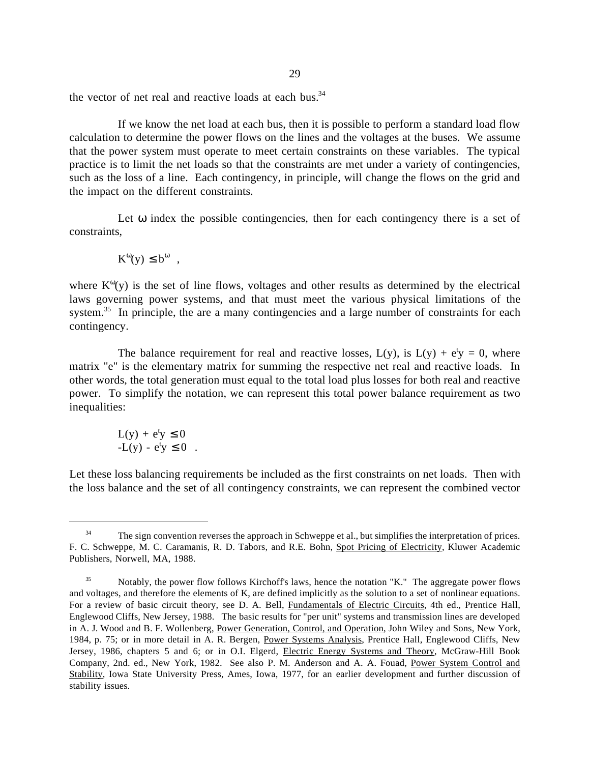the vector of net real and reactive loads at each bus. $34$ 

If we know the net load at each bus, then it is possible to perform a standard load flow calculation to determine the power flows on the lines and the voltages at the buses. We assume that the power system must operate to meet certain constraints on these variables. The typical practice is to limit the net loads so that the constraints are met under a variety of contingencies, such as the loss of a line. Each contingency, in principle, will change the flows on the grid and the impact on the different constraints.

Let  $\omega$  index the possible contingencies, then for each contingency there is a set of constraints,

$$
K^{\omega}(y) \leq b^{\omega} ,
$$

where  $K^{\omega}(y)$  is the set of line flows, voltages and other results as determined by the electrical laws governing power systems, and that must meet the various physical limitations of the system.<sup>35</sup> In principle, the are a many contingencies and a large number of constraints for each contingency.

The balance requirement for real and reactive losses,  $L(y)$ , is  $L(y) + e^{t}y = 0$ , where matrix "e" is the elementary matrix for summing the respective net real and reactive loads. In other words, the total generation must equal to the total load plus losses for both real and reactive power. To simplify the notation, we can represent this total power balance requirement as two inequalities:

$$
L(y) + e^t y \le 0
$$
  
-
$$
-L(y) - e^t y \le 0.
$$

 $\overline{a}$ 

Let these loss balancing requirements be included as the first constraints on net loads. Then with the loss balance and the set of all contingency constraints, we can represent the combined vector

<sup>&</sup>lt;sup>34</sup> The sign convention reverses the approach in Schweppe et al., but simplifies the interpretation of prices. F. C. Schweppe, M. C. Caramanis, R. D. Tabors, and R.E. Bohn, Spot Pricing of Electricity, Kluwer Academic Publishers, Norwell, MA, 1988.

 <sup>35</sup> Notably, the power flow follows Kirchoff's laws, hence the notation "K." The aggregate power flows and voltages, and therefore the elements of K, are defined implicitly as the solution to a set of nonlinear equations. For a review of basic circuit theory, see D. A. Bell, Fundamentals of Electric Circuits, 4th ed., Prentice Hall, Englewood Cliffs, New Jersey, 1988. The basic results for "per unit" systems and transmission lines are developed in A. J. Wood and B. F. Wollenberg, Power Generation, Control, and Operation, John Wiley and Sons, New York, 1984, p. 75; or in more detail in A. R. Bergen, Power Systems Analysis, Prentice Hall, Englewood Cliffs, New Jersey, 1986, chapters 5 and 6; or in O.I. Elgerd, Electric Energy Systems and Theory, McGraw-Hill Book Company, 2nd. ed., New York, 1982. See also P. M. Anderson and A. A. Fouad, Power System Control and Stability, Iowa State University Press, Ames, Iowa, 1977, for an earlier development and further discussion of stability issues.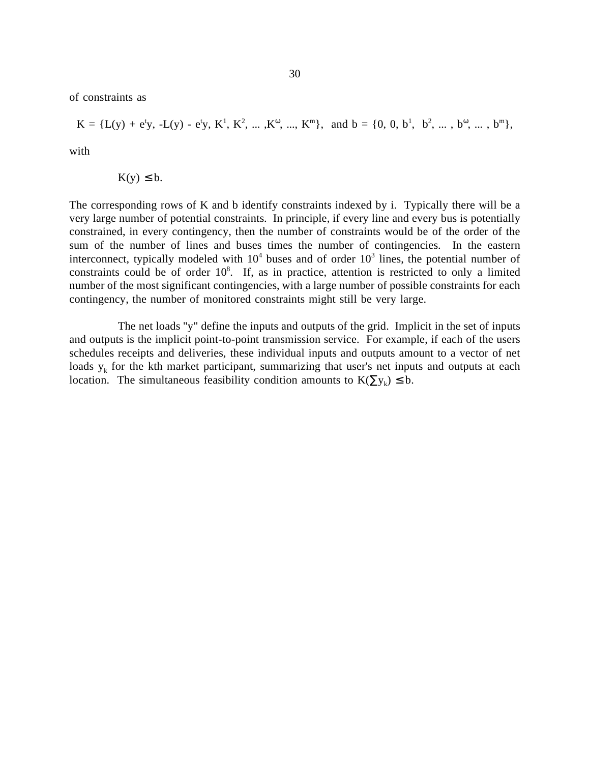of constraints as

$$
K = \{L(y) + e^t y, -L(y) - e^t y, K^1, K^2, ..., K^{\omega}, ..., K^{\mathfrak{m}}\}, \text{ and } b = \{0, 0, b^1, b^2, ..., b^{\omega}, ..., b^{\mathfrak{m}}\},
$$

with

$$
K(y) \leq b.
$$

The corresponding rows of K and b identify constraints indexed by i. Typically there will be a very large number of potential constraints. In principle, if every line and every bus is potentially constrained, in every contingency, then the number of constraints would be of the order of the sum of the number of lines and buses times the number of contingencies. In the eastern interconnect, typically modeled with  $10^4$  buses and of order  $10^3$  lines, the potential number of constraints could be of order  $10^8$ . If, as in practice, attention is restricted to only a limited number of the most significant contingencies, with a large number of possible constraints for each contingency, the number of monitored constraints might still be very large.

The net loads "y" define the inputs and outputs of the grid. Implicit in the set of inputs and outputs is the implicit point-to-point transmission service. For example, if each of the users schedules receipts and deliveries, these individual inputs and outputs amount to a vector of net loads  $y_k$  for the kth market participant, summarizing that user's net inputs and outputs at each location. The simultaneous feasibility condition amounts to  $K(\sum y_k) \leq b$ .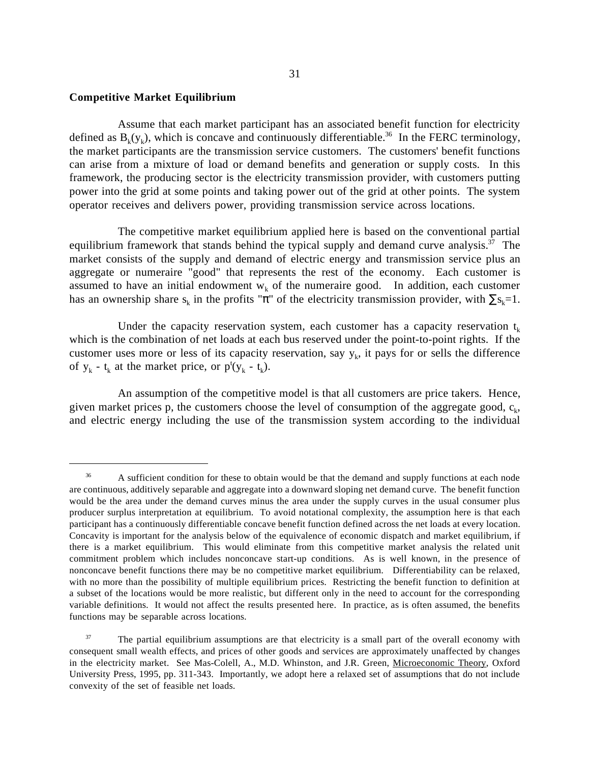## **Competitive Market Equilibrium**

 $\overline{a}$ 

Assume that each market participant has an associated benefit function for electricity defined as  $B_k(y_k)$ , which is concave and continuously differentiable.<sup>36</sup> In the FERC terminology, the market participants are the transmission service customers. The customers' benefit functions can arise from a mixture of load or demand benefits and generation or supply costs. In this framework, the producing sector is the electricity transmission provider, with customers putting power into the grid at some points and taking power out of the grid at other points. The system operator receives and delivers power, providing transmission service across locations.

The competitive market equilibrium applied here is based on the conventional partial equilibrium framework that stands behind the typical supply and demand curve analysis.<sup>37</sup> The market consists of the supply and demand of electric energy and transmission service plus an aggregate or numeraire "good" that represents the rest of the economy. Each customer is assumed to have an initial endowment  $w_k$  of the numeraire good. In addition, each customer has an ownership share s<sub>k</sub> in the profits " $\pi$ " of the electricity transmission provider, with  $\sum s_k=1$ .

Under the capacity reservation system, each customer has a capacity reservation  $t_k$ which is the combination of net loads at each bus reserved under the point-to-point rights. If the customer uses more or less of its capacity reservation, say  $y_k$ , it pays for or sells the difference of  $y_k - t_k$  at the market price, or  $p^t(y_k - t_k)$ .

An assumption of the competitive model is that all customers are price takers. Hence, given market prices p, the customers choose the level of consumption of the aggregate good,  $c_k$ , and electric energy including the use of the transmission system according to the individual

<sup>&</sup>lt;sup>36</sup> A sufficient condition for these to obtain would be that the demand and supply functions at each node are continuous, additively separable and aggregate into a downward sloping net demand curve. The benefit function would be the area under the demand curves minus the area under the supply curves in the usual consumer plus producer surplus interpretation at equilibrium. To avoid notational complexity, the assumption here is that each participant has a continuously differentiable concave benefit function defined across the net loads at every location. Concavity is important for the analysis below of the equivalence of economic dispatch and market equilibrium, if there is a market equilibrium. This would eliminate from this competitive market analysis the related unit commitment problem which includes nonconcave start-up conditions. As is well known, in the presence of nonconcave benefit functions there may be no competitive market equilibrium. Differentiability can be relaxed, with no more than the possibility of multiple equilibrium prices. Restricting the benefit function to definition at a subset of the locations would be more realistic, but different only in the need to account for the corresponding variable definitions. It would not affect the results presented here. In practice, as is often assumed, the benefits functions may be separable across locations.

<sup>&</sup>lt;sup>37</sup> The partial equilibrium assumptions are that electricity is a small part of the overall economy with consequent small wealth effects, and prices of other goods and services are approximately unaffected by changes in the electricity market. See Mas-Colell, A., M.D. Whinston, and J.R. Green, Microeconomic Theory, Oxford University Press, 1995, pp. 311-343. Importantly, we adopt here a relaxed set of assumptions that do not include convexity of the set of feasible net loads.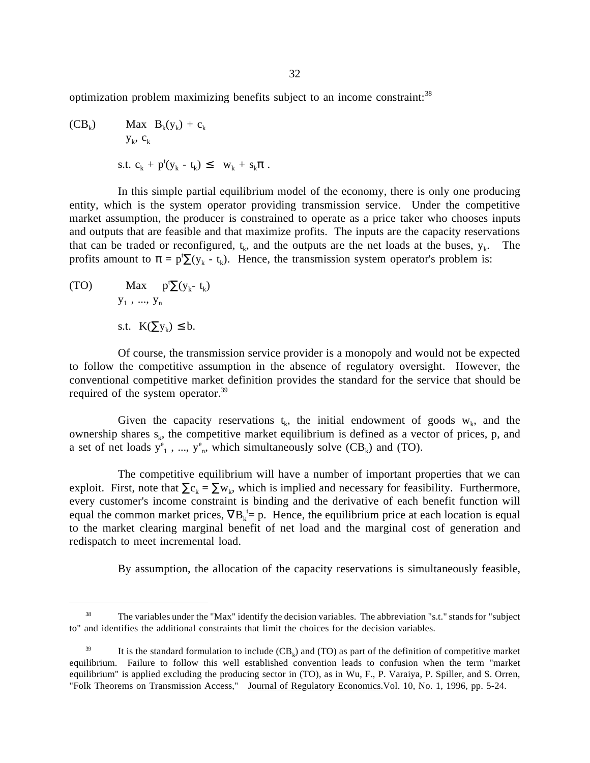optimization problem maximizing benefits subject to an income constraint:<sup>38</sup>

(CB<sub>k</sub>) Max B<sub>k</sub>(y<sub>k</sub>) + c<sub>k</sub>  
\n
$$
y_k
$$
, c<sub>k</sub>  
\ns.t. c<sub>k</sub> + p<sup>t</sup>(y<sub>k</sub> - t<sub>k</sub>)  $\leq$  w<sub>k</sub> + s<sub>k</sub> $\pi$ .

In this simple partial equilibrium model of the economy, there is only one producing entity, which is the system operator providing transmission service. Under the competitive market assumption, the producer is constrained to operate as a price taker who chooses inputs and outputs that are feasible and that maximize profits. The inputs are the capacity reservations that can be traded or reconfigured,  $t_k$ , and the outputs are the net loads at the buses,  $y_k$ . The profits amount to  $\pi = p^t \Sigma(y_k - t_k)$ . Hence, the transmission system operator's problem is:

(TO) Max  $p^t \sum (y_k - t_k)$  $y_1, ..., y_n$ s.t.  $K(\sum y_k) \leq b$ .

 $\overline{a}$ 

Of course, the transmission service provider is a monopoly and would not be expected to follow the competitive assumption in the absence of regulatory oversight. However, the conventional competitive market definition provides the standard for the service that should be required of the system operator.<sup>39</sup>

Given the capacity reservations  $t_k$ , the initial endowment of goods  $w_k$ , and the ownership shares  $s_k$ , the competitive market equilibrium is defined as a vector of prices, p, and a set of net loads  $y_{1}^{e}$ , ...,  $y_{n}^{e}$ , which simultaneously solve  $(CB_{k})$  and (TO).

The competitive equilibrium will have a number of important properties that we can exploit. First, note that  $\Sigma c_k = \Sigma w_k$ , which is implied and necessary for feasibility. Furthermore, every customer's income constraint is binding and the derivative of each benefit function will equal the common market prices,  $\nabla B_k^{\dagger} = p$ . Hence, the equilibrium price at each location is equal to the market clearing marginal benefit of net load and the marginal cost of generation and redispatch to meet incremental load.

By assumption, the allocation of the capacity reservations is simultaneously feasible,

 $38$  The variables under the "Max" identify the decision variables. The abbreviation "s.t." stands for "subject" to" and identifies the additional constraints that limit the choices for the decision variables.

<sup>&</sup>lt;sup>39</sup> It is the standard formulation to include  $(CB_k)$  and (TO) as part of the definition of competitive market equilibrium. Failure to follow this well established convention leads to confusion when the term "market equilibrium" is applied excluding the producing sector in (TO), as in Wu, F., P. Varaiya, P. Spiller, and S. Orren, "Folk Theorems on Transmission Access," Journal of Regulatory Economics.Vol. 10, No. 1, 1996, pp. 5-24.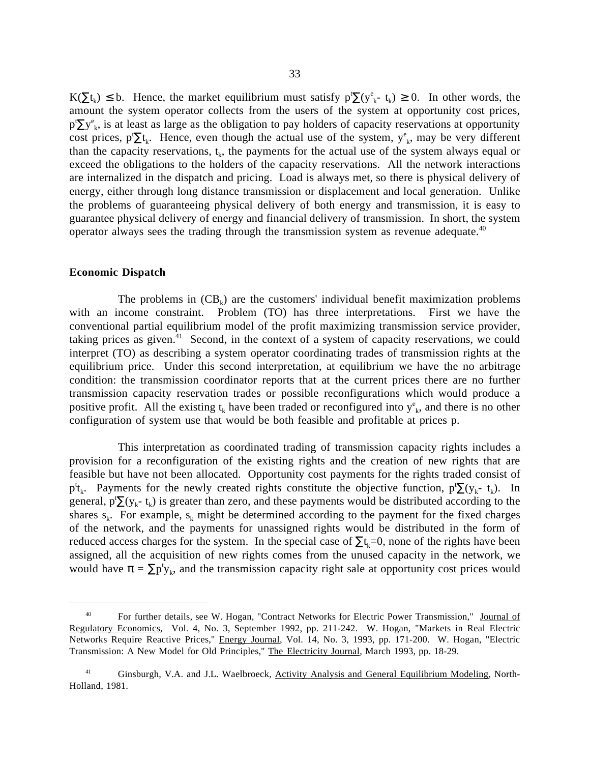$K(\Sigma t_k) \leq b$ . Hence, the market equilibrium must satisfy  $p^t \Sigma (y_{k}^e - t_k) \geq 0$ . In other words, the amount the system operator collects from the users of the system at opportunity cost prices,  $p^t \Sigma y_{k}^e$ , is at least as large as the obligation to pay holders of capacity reservations at opportunity cost prices,  $p^t \Sigma t_k$ . Hence, even though the actual use of the system,  $y^e_k$ , may be very different than the capacity reservations,  $t_k$ , the payments for the actual use of the system always equal or exceed the obligations to the holders of the capacity reservations. All the network interactions are internalized in the dispatch and pricing. Load is always met, so there is physical delivery of energy, either through long distance transmission or displacement and local generation. Unlike the problems of guaranteeing physical delivery of both energy and transmission, it is easy to guarantee physical delivery of energy and financial delivery of transmission. In short, the system operator always sees the trading through the transmission system as revenue adequate. $40$ 

#### **Economic Dispatch**

 $\overline{a}$ 

The problems in  $(CB_k)$  are the customers' individual benefit maximization problems with an income constraint. Problem (TO) has three interpretations. First we have the conventional partial equilibrium model of the profit maximizing transmission service provider, taking prices as given.<sup>41</sup> Second, in the context of a system of capacity reservations, we could interpret (TO) as describing a system operator coordinating trades of transmission rights at the equilibrium price. Under this second interpretation, at equilibrium we have the no arbitrage condition: the transmission coordinator reports that at the current prices there are no further transmission capacity reservation trades or possible reconfigurations which would produce a positive profit. All the existing  $t_k$  have been traded or reconfigured into  $y_{k}^e$ , and there is no other configuration of system use that would be both feasible and profitable at prices p.

This interpretation as coordinated trading of transmission capacity rights includes a provision for a reconfiguration of the existing rights and the creation of new rights that are feasible but have not been allocated. Opportunity cost payments for the rights traded consist of  $p^t_k$ . Payments for the newly created rights constitute the objective function,  $p^t \sum (y_k - t_k)$ . In general,  $p^t \sum (y_k - t_k)$  is greater than zero, and these payments would be distributed according to the shares  $s_k$ . For example,  $s_k$  might be determined according to the payment for the fixed charges of the network, and the payments for unassigned rights would be distributed in the form of reduced access charges for the system. In the special case of  $\Sigma t_k=0$ , none of the rights have been assigned, all the acquisition of new rights comes from the unused capacity in the network, we would have  $\pi = \sum p^t y_k$ , and the transmission capacity right sale at opportunity cost prices would

 <sup>40</sup> For further details, see W. Hogan, "Contract Networks for Electric Power Transmission," Journal of Regulatory Economics, Vol. 4, No. 3, September 1992, pp. 211-242. W. Hogan, "Markets in Real Electric Networks Require Reactive Prices," Energy Journal, Vol. 14, No. 3, 1993, pp. 171-200. W. Hogan, "Electric Transmission: A New Model for Old Principles," The Electricity Journal, March 1993, pp. 18-29.

<sup>&</sup>lt;sup>41</sup> Ginsburgh, V.A. and J.L. Waelbroeck, Activity Analysis and General Equilibrium Modeling, North-Holland, 1981.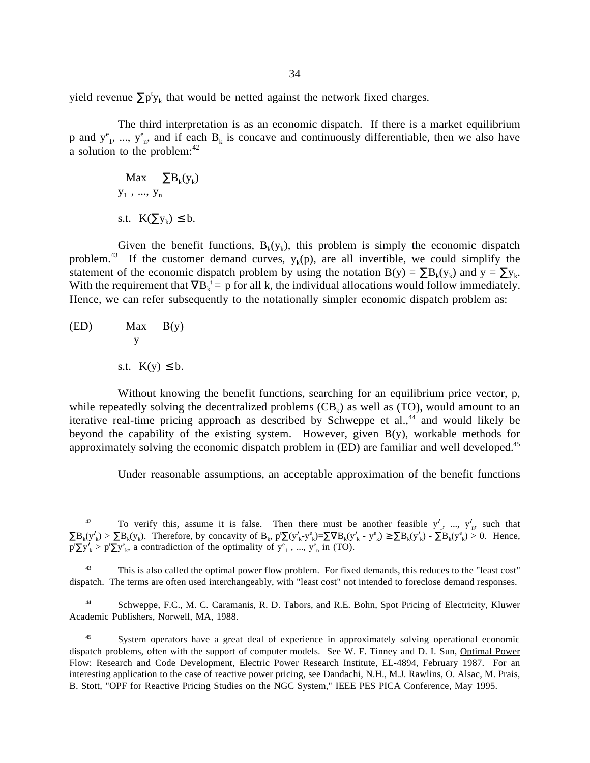yield revenue  $\sum p^t y_k$  that would be netted against the network fixed charges.

The third interpretation is as an economic dispatch. If there is a market equilibrium p and  $y^e_1$ , ...,  $y^e_n$ , and if each  $B_k$  is concave and continuously differentiable, then we also have a solution to the problem: $42$ 

$$
\begin{aligned} \text{Max} & \sum B_k(y_k) \\ y_1 & \dots, y_n \\ \text{s.t.} & K(\sum y_k) \leq b. \end{aligned}
$$

Given the benefit functions,  $B_k(y_k)$ , this problem is simply the economic dispatch problem.<sup>43</sup> If the customer demand curves,  $y_k(p)$ , are all invertible, we could simplify the statement of the economic dispatch problem by using the notation B(y) =  $\sum B_k(y_k)$  and  $y = \sum y_k$ . With the requirement that  $\nabla B_k^t = p$  for all k, the individual allocations would follow immediately. Hence, we can refer subsequently to the notationally simpler economic dispatch problem as:

(ED) 
$$
\begin{array}{c}\n\text{Max} & B(y) \\
y \\
\text{s.t. } K(y) \leq b.\n\end{array}
$$

 $\overline{a}$ 

Without knowing the benefit functions, searching for an equilibrium price vector, p, while repeatedly solving the decentralized problems  $(CB_k)$  as well as (TO), would amount to an iterative real-time pricing approach as described by Schweppe et al., $44$  and would likely be beyond the capability of the existing system. However, given B(y), workable methods for approximately solving the economic dispatch problem in (ED) are familiar and well developed.<sup>45</sup>

Under reasonable assumptions, an acceptable approximation of the benefit functions

<sup>&</sup>lt;sup>42</sup> To verify this, assume it is false. Then there must be another feasible  $y'_1$ , ...,  $y'_n$ , such that  $\sum B_k(y'_k) > \sum B_k(y_k)$ . Therefore, by concavity of  $B_k$ ,  $p' \sum (y'_k - y^e_k) = \sum \nabla B_k(y'_k - y^e_k) \ge \sum B_k(y'_k) - \sum B_k(y^e_k) > 0$ . Hence,  $p' \Sigma y'_k > p' \Sigma y^e_k$ , a contradiction of the optimality of  $y^e_1$ , ...,  $y^e_n$  in (TO).

This is also called the optimal power flow problem. For fixed demands, this reduces to the "least cost" dispatch. The terms are often used interchangeably, with "least cost" not intended to foreclose demand responses.

 <sup>44</sup> Schweppe, F.C., M. C. Caramanis, R. D. Tabors, and R.E. Bohn, Spot Pricing of Electricity, Kluwer Academic Publishers, Norwell, MA, 1988.

<sup>45</sup> System operators have a great deal of experience in approximately solving operational economic dispatch problems, often with the support of computer models. See W. F. Tinney and D. I. Sun, Optimal Power Flow: Research and Code Development, Electric Power Research Institute, EL-4894, February 1987. For an interesting application to the case of reactive power pricing, see Dandachi, N.H., M.J. Rawlins, O. Alsac, M. Prais, B. Stott, "OPF for Reactive Pricing Studies on the NGC System," IEEE PES PICA Conference, May 1995.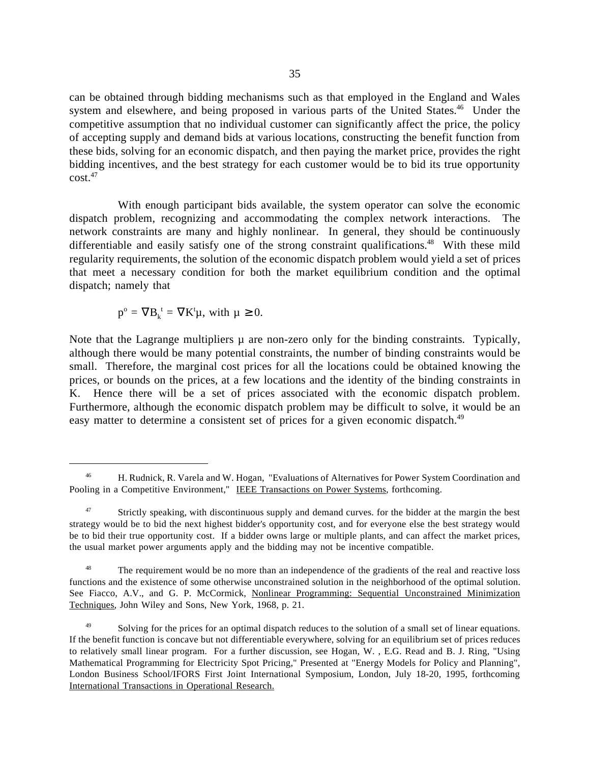can be obtained through bidding mechanisms such as that employed in the England and Wales system and elsewhere, and being proposed in various parts of the United States.<sup>46</sup> Under the competitive assumption that no individual customer can significantly affect the price, the policy of accepting supply and demand bids at various locations, constructing the benefit function from these bids, solving for an economic dispatch, and then paying the market price, provides the right bidding incentives, and the best strategy for each customer would be to bid its true opportunity  $\cot^{47}$ 

With enough participant bids available, the system operator can solve the economic dispatch problem, recognizing and accommodating the complex network interactions. The network constraints are many and highly nonlinear. In general, they should be continuously differentiable and easily satisfy one of the strong constraint qualifications.<sup>48</sup> With these mild regularity requirements, the solution of the economic dispatch problem would yield a set of prices that meet a necessary condition for both the market equilibrium condition and the optimal dispatch; namely that

$$
p^{\rm o}=\nabla B_k^{\;\;t}=\nabla K^t\mu,\;\text{with}\;\mu\geq 0.
$$

 $\overline{a}$ 

Note that the Lagrange multipliers  $\mu$  are non-zero only for the binding constraints. Typically, although there would be many potential constraints, the number of binding constraints would be small. Therefore, the marginal cost prices for all the locations could be obtained knowing the prices, or bounds on the prices, at a few locations and the identity of the binding constraints in K. Hence there will be a set of prices associated with the economic dispatch problem. Furthermore, although the economic dispatch problem may be difficult to solve, it would be an easy matter to determine a consistent set of prices for a given economic dispatch.<sup>49</sup>

 <sup>46</sup> H. Rudnick, R. Varela and W. Hogan, "Evaluations of Alternatives for Power System Coordination and Pooling in a Competitive Environment," IEEE Transactions on Power Systems, forthcoming.

<sup>&</sup>lt;sup>47</sup> Strictly speaking, with discontinuous supply and demand curves. for the bidder at the margin the best strategy would be to bid the next highest bidder's opportunity cost, and for everyone else the best strategy would be to bid their true opportunity cost. If a bidder owns large or multiple plants, and can affect the market prices, the usual market power arguments apply and the bidding may not be incentive compatible.

The requirement would be no more than an independence of the gradients of the real and reactive loss functions and the existence of some otherwise unconstrained solution in the neighborhood of the optimal solution. See Fiacco, A.V., and G. P. McCormick, Nonlinear Programming: Sequential Unconstrained Minimization Techniques, John Wiley and Sons, New York, 1968, p. 21.

Solving for the prices for an optimal dispatch reduces to the solution of a small set of linear equations. If the benefit function is concave but not differentiable everywhere, solving for an equilibrium set of prices reduces to relatively small linear program. For a further discussion, see Hogan, W. , E.G. Read and B. J. Ring, "Using Mathematical Programming for Electricity Spot Pricing," Presented at "Energy Models for Policy and Planning", London Business School/IFORS First Joint International Symposium, London, July 18-20, 1995, forthcoming International Transactions in Operational Research.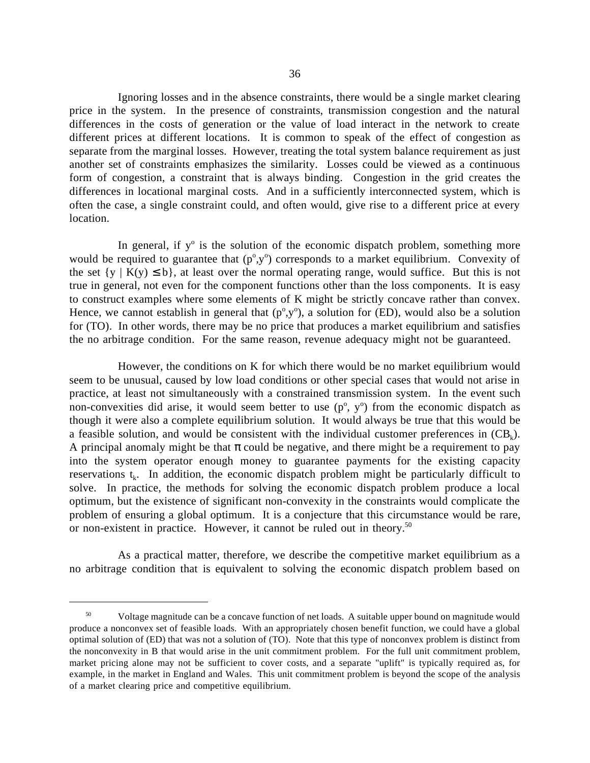Ignoring losses and in the absence constraints, there would be a single market clearing price in the system. In the presence of constraints, transmission congestion and the natural differences in the costs of generation or the value of load interact in the network to create different prices at different locations. It is common to speak of the effect of congestion as separate from the marginal losses. However, treating the total system balance requirement as just another set of constraints emphasizes the similarity. Losses could be viewed as a continuous form of congestion, a constraint that is always binding. Congestion in the grid creates the differences in locational marginal costs. And in a sufficiently interconnected system, which is often the case, a single constraint could, and often would, give rise to a different price at every location.

In general, if  $y^{\circ}$  is the solution of the economic dispatch problem, something more would be required to guarantee that  $(p^{\circ}, y^{\circ})$  corresponds to a market equilibrium. Convexity of the set  $\{y \mid K(y) \leq b\}$ , at least over the normal operating range, would suffice. But this is not true in general, not even for the component functions other than the loss components. It is easy to construct examples where some elements of K might be strictly concave rather than convex. Hence, we cannot establish in general that  $(p^{\circ}, y^{\circ})$ , a solution for (ED), would also be a solution for (TO). In other words, there may be no price that produces a market equilibrium and satisfies the no arbitrage condition. For the same reason, revenue adequacy might not be guaranteed.

However, the conditions on K for which there would be no market equilibrium would seem to be unusual, caused by low load conditions or other special cases that would not arise in practice, at least not simultaneously with a constrained transmission system. In the event such non-convexities did arise, it would seem better to use  $(p^{\circ}, y^{\circ})$  from the economic dispatch as though it were also a complete equilibrium solution. It would always be true that this would be a feasible solution, and would be consistent with the individual customer preferences in  $(CB_k)$ . A principal anomaly might be that  $\pi$  could be negative, and there might be a requirement to pay into the system operator enough money to guarantee payments for the existing capacity reservations  $t_k$ . In addition, the economic dispatch problem might be particularly difficult to solve. In practice, the methods for solving the economic dispatch problem produce a local optimum, but the existence of significant non-convexity in the constraints would complicate the problem of ensuring a global optimum. It is a conjecture that this circumstance would be rare, or non-existent in practice. However, it cannot be ruled out in theory.<sup>50</sup>

As a practical matter, therefore, we describe the competitive market equilibrium as a no arbitrage condition that is equivalent to solving the economic dispatch problem based on

 <sup>50</sup> Voltage magnitude can be a concave function of net loads. A suitable upper bound on magnitude would produce a nonconvex set of feasible loads. With an appropriately chosen benefit function, we could have a global optimal solution of (ED) that was not a solution of (TO). Note that this type of nonconvex problem is distinct from the nonconvexity in B that would arise in the unit commitment problem. For the full unit commitment problem, market pricing alone may not be sufficient to cover costs, and a separate "uplift" is typically required as, for example, in the market in England and Wales. This unit commitment problem is beyond the scope of the analysis of a market clearing price and competitive equilibrium.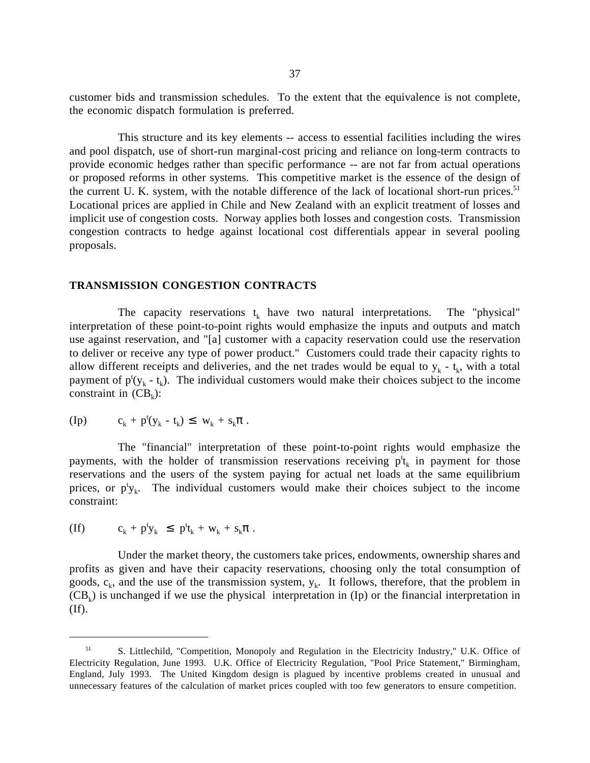customer bids and transmission schedules. To the extent that the equivalence is not complete, the economic dispatch formulation is preferred.

This structure and its key elements -- access to essential facilities including the wires and pool dispatch, use of short-run marginal-cost pricing and reliance on long-term contracts to provide economic hedges rather than specific performance -- are not far from actual operations or proposed reforms in other systems. This competitive market is the essence of the design of the current U. K. system, with the notable difference of the lack of locational short-run prices.<sup>51</sup> Locational prices are applied in Chile and New Zealand with an explicit treatment of losses and implicit use of congestion costs. Norway applies both losses and congestion costs. Transmission congestion contracts to hedge against locational cost differentials appear in several pooling proposals.

### **TRANSMISSION CONGESTION CONTRACTS**

The capacity reservations  $t_k$  have two natural interpretations. The "physical" interpretation of these point-to-point rights would emphasize the inputs and outputs and match use against reservation, and "[a] customer with a capacity reservation could use the reservation to deliver or receive any type of power product." Customers could trade their capacity rights to allow different receipts and deliveries, and the net trades would be equal to  $y_k - t_k$ , with a total payment of  $p^{t}(y_{k} - t_{k})$ . The individual customers would make their choices subject to the income constraint in  $(CB_k)$ :

$$
(Ip) \t c_k + p^t(y_k - t_k) \leq w_k + s_k \pi.
$$

The "financial" interpretation of these point-to-point rights would emphasize the payments, with the holder of transmission reservations receiving  $p^t_k$  in payment for those reservations and the users of the system paying for actual net loads at the same equilibrium prices, or  $p^t y_k$ . The individual customers would make their choices subject to the income constraint:

(If) 
$$
c_k + p^t y_k \leq p^t t_k + w_k + s_k \pi.
$$

 $\overline{a}$ 

Under the market theory, the customers take prices, endowments, ownership shares and profits as given and have their capacity reservations, choosing only the total consumption of goods,  $c_k$ , and the use of the transmission system,  $y_k$ . It follows, therefore, that the problem in  $(CB_k)$  is unchanged if we use the physical interpretation in (Ip) or the financial interpretation in (If).

 <sup>51</sup> S. Littlechild, "Competition, Monopoly and Regulation in the Electricity Industry," U.K. Office of Electricity Regulation, June 1993. U.K. Office of Electricity Regulation, "Pool Price Statement," Birmingham, England, July 1993. The United Kingdom design is plagued by incentive problems created in unusual and unnecessary features of the calculation of market prices coupled with too few generators to ensure competition.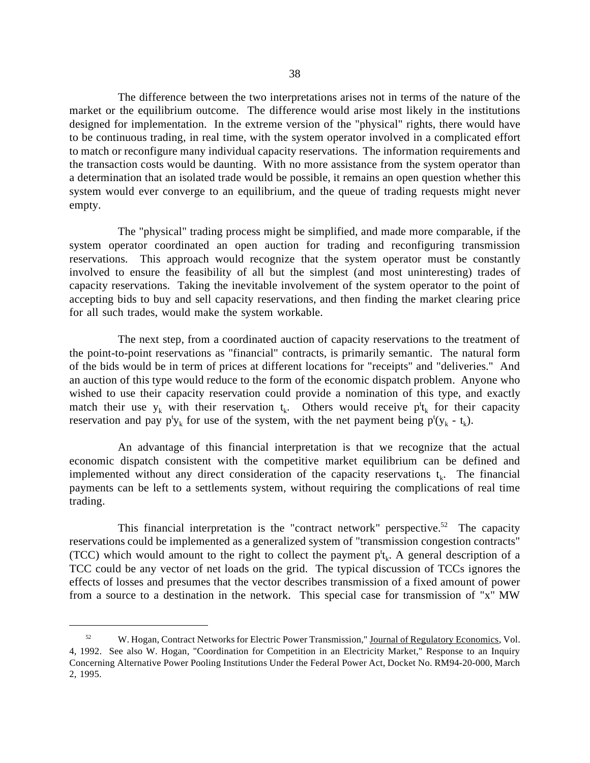The difference between the two interpretations arises not in terms of the nature of the market or the equilibrium outcome. The difference would arise most likely in the institutions designed for implementation. In the extreme version of the "physical" rights, there would have to be continuous trading, in real time, with the system operator involved in a complicated effort to match or reconfigure many individual capacity reservations. The information requirements and the transaction costs would be daunting. With no more assistance from the system operator than a determination that an isolated trade would be possible, it remains an open question whether this system would ever converge to an equilibrium, and the queue of trading requests might never empty.

The "physical" trading process might be simplified, and made more comparable, if the system operator coordinated an open auction for trading and reconfiguring transmission reservations. This approach would recognize that the system operator must be constantly involved to ensure the feasibility of all but the simplest (and most uninteresting) trades of capacity reservations. Taking the inevitable involvement of the system operator to the point of accepting bids to buy and sell capacity reservations, and then finding the market clearing price for all such trades, would make the system workable.

The next step, from a coordinated auction of capacity reservations to the treatment of the point-to-point reservations as "financial" contracts, is primarily semantic. The natural form of the bids would be in term of prices at different locations for "receipts" and "deliveries." And an auction of this type would reduce to the form of the economic dispatch problem. Anyone who wished to use their capacity reservation could provide a nomination of this type, and exactly match their use  $y_k$  with their reservation  $t_k$ . Others would receive  $p^t t_k$  for their capacity reservation and pay  $p^t y_k$  for use of the system, with the net payment being  $p^t(y_k - t_k)$ .

An advantage of this financial interpretation is that we recognize that the actual economic dispatch consistent with the competitive market equilibrium can be defined and implemented without any direct consideration of the capacity reservations  $t_k$ . The financial payments can be left to a settlements system, without requiring the complications of real time trading.

This financial interpretation is the "contract network" perspective.<sup>52</sup> The capacity reservations could be implemented as a generalized system of "transmission congestion contracts" (TCC) which would amount to the right to collect the payment  $p^t_k$ . A general description of a TCC could be any vector of net loads on the grid. The typical discussion of TCCs ignores the effects of losses and presumes that the vector describes transmission of a fixed amount of power from a source to a destination in the network. This special case for transmission of "x" MW

<sup>&</sup>lt;sup>52</sup> W. Hogan, Contract Networks for Electric Power Transmission," Journal of Regulatory Economics, Vol. 4, 1992. See also W. Hogan, "Coordination for Competition in an Electricity Market," Response to an Inquiry Concerning Alternative Power Pooling Institutions Under the Federal Power Act, Docket No. RM94-20-000, March 2, 1995.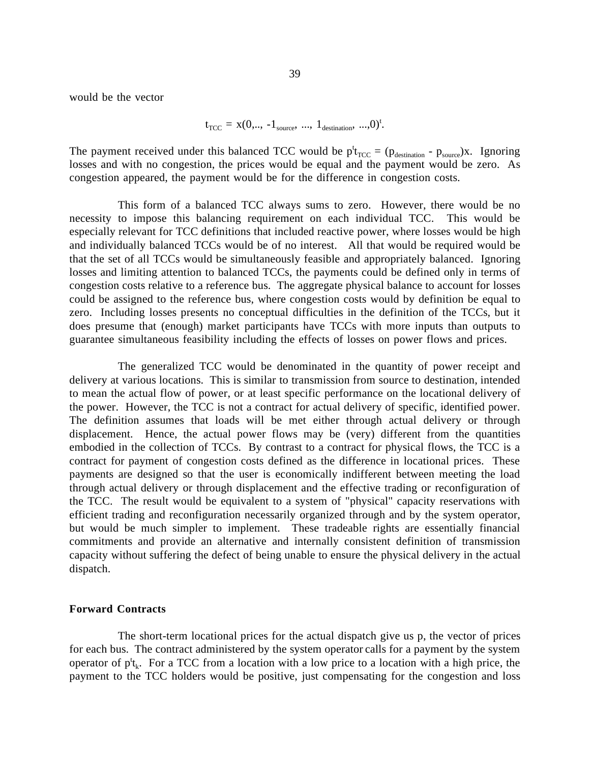would be the vector

$$
t_{\text{TCC}} = x(0, ..., -1_{\text{source}}, ..., 1_{\text{destination}}, ..., 0)^{\text{t}}.
$$

The payment received under this balanced TCC would be  $p^t_{TCC} = (p_{\text{destination}} - p_{\text{source}})x$ . Ignoring losses and with no congestion, the prices would be equal and the payment would be zero. As congestion appeared, the payment would be for the difference in congestion costs.

This form of a balanced TCC always sums to zero. However, there would be no necessity to impose this balancing requirement on each individual TCC. This would be especially relevant for TCC definitions that included reactive power, where losses would be high and individually balanced TCCs would be of no interest. All that would be required would be that the set of all TCCs would be simultaneously feasible and appropriately balanced. Ignoring losses and limiting attention to balanced TCCs, the payments could be defined only in terms of congestion costs relative to a reference bus. The aggregate physical balance to account for losses could be assigned to the reference bus, where congestion costs would by definition be equal to zero. Including losses presents no conceptual difficulties in the definition of the TCCs, but it does presume that (enough) market participants have TCCs with more inputs than outputs to guarantee simultaneous feasibility including the effects of losses on power flows and prices.

The generalized TCC would be denominated in the quantity of power receipt and delivery at various locations. This is similar to transmission from source to destination, intended to mean the actual flow of power, or at least specific performance on the locational delivery of the power. However, the TCC is not a contract for actual delivery of specific, identified power. The definition assumes that loads will be met either through actual delivery or through displacement. Hence, the actual power flows may be (very) different from the quantities embodied in the collection of TCCs. By contrast to a contract for physical flows, the TCC is a contract for payment of congestion costs defined as the difference in locational prices. These payments are designed so that the user is economically indifferent between meeting the load through actual delivery or through displacement and the effective trading or reconfiguration of the TCC. The result would be equivalent to a system of "physical" capacity reservations with efficient trading and reconfiguration necessarily organized through and by the system operator, but would be much simpler to implement. These tradeable rights are essentially financial commitments and provide an alternative and internally consistent definition of transmission capacity without suffering the defect of being unable to ensure the physical delivery in the actual dispatch.

#### **Forward Contracts**

The short-term locational prices for the actual dispatch give us p, the vector of prices for each bus. The contract administered by the system operator calls for a payment by the system operator of  $p^t_k$ . For a TCC from a location with a low price to a location with a high price, the payment to the TCC holders would be positive, just compensating for the congestion and loss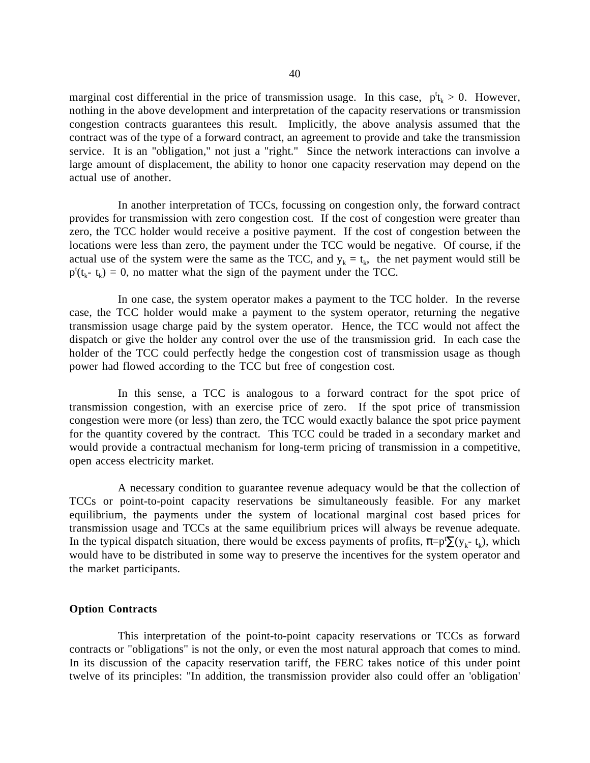marginal cost differential in the price of transmission usage. In this case,  $p^t_k > 0$ . However, nothing in the above development and interpretation of the capacity reservations or transmission congestion contracts guarantees this result. Implicitly, the above analysis assumed that the contract was of the type of a forward contract, an agreement to provide and take the transmission service. It is an "obligation," not just a "right." Since the network interactions can involve a large amount of displacement, the ability to honor one capacity reservation may depend on the actual use of another.

In another interpretation of TCCs, focussing on congestion only, the forward contract provides for transmission with zero congestion cost. If the cost of congestion were greater than zero, the TCC holder would receive a positive payment. If the cost of congestion between the locations were less than zero, the payment under the TCC would be negative. Of course, if the actual use of the system were the same as the TCC, and  $y_k = t_k$ , the net payment would still be  $p^{t}(t_{k} - t_{k}) = 0$ , no matter what the sign of the payment under the TCC.

In one case, the system operator makes a payment to the TCC holder. In the reverse case, the TCC holder would make a payment to the system operator, returning the negative transmission usage charge paid by the system operator. Hence, the TCC would not affect the dispatch or give the holder any control over the use of the transmission grid. In each case the holder of the TCC could perfectly hedge the congestion cost of transmission usage as though power had flowed according to the TCC but free of congestion cost.

In this sense, a TCC is analogous to a forward contract for the spot price of transmission congestion, with an exercise price of zero. If the spot price of transmission congestion were more (or less) than zero, the TCC would exactly balance the spot price payment for the quantity covered by the contract. This TCC could be traded in a secondary market and would provide a contractual mechanism for long-term pricing of transmission in a competitive, open access electricity market.

A necessary condition to guarantee revenue adequacy would be that the collection of TCCs or point-to-point capacity reservations be simultaneously feasible. For any market equilibrium, the payments under the system of locational marginal cost based prices for transmission usage and TCCs at the same equilibrium prices will always be revenue adequate. In the typical dispatch situation, there would be excess payments of profits,  $\pi=p^t\sum(y_k-t_k)$ , which would have to be distributed in some way to preserve the incentives for the system operator and the market participants.

### **Option Contracts**

This interpretation of the point-to-point capacity reservations or TCCs as forward contracts or "obligations" is not the only, or even the most natural approach that comes to mind. In its discussion of the capacity reservation tariff, the FERC takes notice of this under point twelve of its principles: "In addition, the transmission provider also could offer an 'obligation'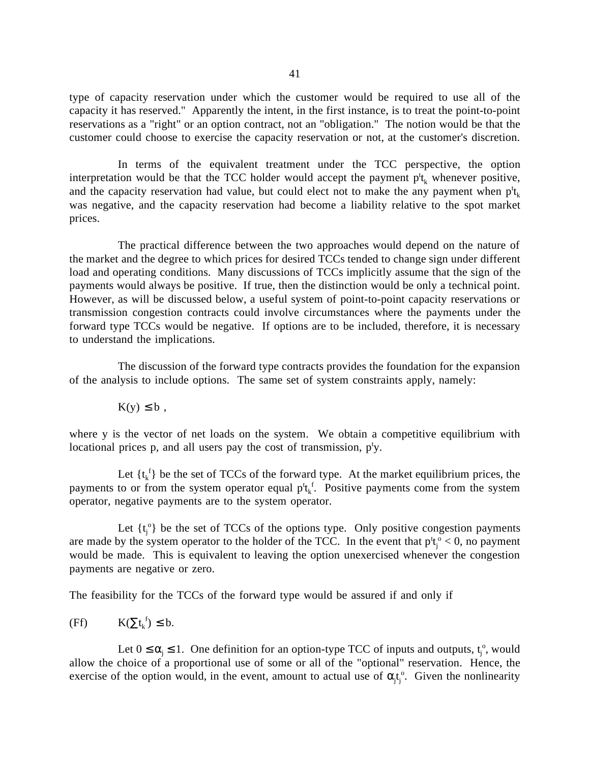type of capacity reservation under which the customer would be required to use all of the capacity it has reserved." Apparently the intent, in the first instance, is to treat the point-to-point reservations as a "right" or an option contract, not an "obligation." The notion would be that the customer could choose to exercise the capacity reservation or not, at the customer's discretion.

In terms of the equivalent treatment under the TCC perspective, the option interpretation would be that the TCC holder would accept the payment  $p^t$ <sub>k</sub> whenever positive, and the capacity reservation had value, but could elect not to make the any payment when  $p^t_k$ was negative, and the capacity reservation had become a liability relative to the spot market prices.

The practical difference between the two approaches would depend on the nature of the market and the degree to which prices for desired TCCs tended to change sign under different load and operating conditions. Many discussions of TCCs implicitly assume that the sign of the payments would always be positive. If true, then the distinction would be only a technical point. However, as will be discussed below, a useful system of point-to-point capacity reservations or transmission congestion contracts could involve circumstances where the payments under the forward type TCCs would be negative. If options are to be included, therefore, it is necessary to understand the implications.

The discussion of the forward type contracts provides the foundation for the expansion of the analysis to include options. The same set of system constraints apply, namely:

 $K(y) \leq b$ ,

where y is the vector of net loads on the system. We obtain a competitive equilibrium with locational prices p, and all users pay the cost of transmission, p<sup>t</sup>y.

Let  $\{t_k^f\}$  be the set of TCCs of the forward type. At the market equilibrium prices, the payments to or from the system operator equal  $p^t t_k^f$ . Positive payments come from the system operator, negative payments are to the system operator.

Let  $\{t_j^{\circ}\}\$  be the set of TCCs of the options type. Only positive congestion payments are made by the system operator to the holder of the TCC. In the event that  $p't_j^{\circ} < 0$ , no payment would be made. This is equivalent to leaving the option unexercised whenever the congestion payments are negative or zero.

The feasibility for the TCCs of the forward type would be assured if and only if

(Ff) 
$$
K(\Sigma t_k^f) \leq b
$$
.

Let  $0 \le \alpha_j \le 1$ . One definition for an option-type TCC of inputs and outputs,  $t_j^0$ , would allow the choice of a proportional use of some or all of the "optional" reservation. Hence, the exercise of the option would, in the event, amount to actual use of  $\alpha_i t_i^{\circ}$ . Given the nonlinearity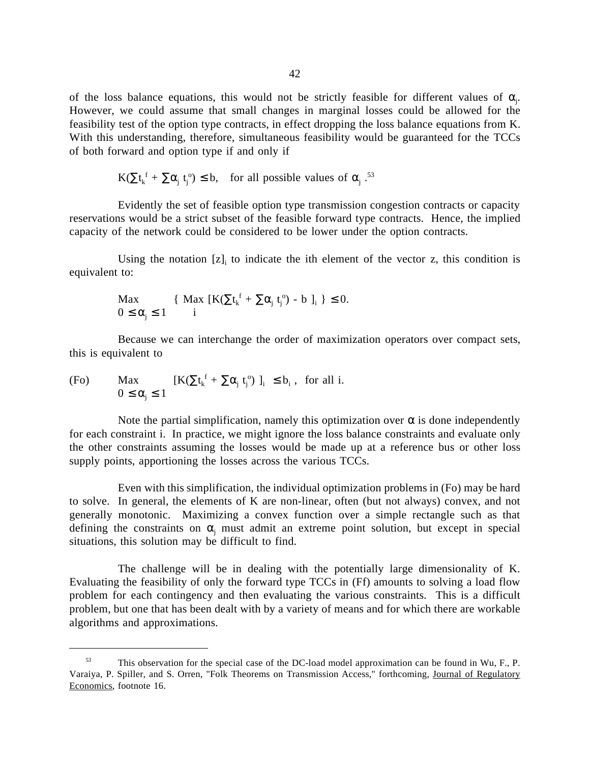of the loss balance equations, this would not be strictly feasible for different values of  $\alpha$ . However, we could assume that small changes in marginal losses could be allowed for the feasibility test of the option type contracts, in effect dropping the loss balance equations from K. With this understanding, therefore, simultaneous feasibility would be guaranteed for the TCCs of both forward and option type if and only if

$$
K(\Sigma t_k^{\ f} + \Sigma \alpha_j \ t_j^{\ o}) \le b, \quad \text{for all possible values of } \alpha_j \ .^{53}
$$

Evidently the set of feasible option type transmission congestion contracts or capacity reservations would be a strict subset of the feasible forward type contracts. Hence, the implied capacity of the network could be considered to be lower under the option contracts.

Using the notation  $[z]_i$  to indicate the ith element of the vector z, this condition is equivalent to:

$$
\begin{array}{ll}\n\text{Max} & \{ \text{ Max } [K(\sum t_k^f + \sum \alpha_j t_j^o) - b ]_i \} \leq 0. \\
0 \leq \alpha_j \leq 1 & i\n\end{array}
$$

Because we can interchange the order of maximization operators over compact sets, this is equivalent to

(Fo) Max 
$$
[K(\Sigma t_k^f + \Sigma \alpha_j t_j^o)]_i \leq b_i, \text{ for all } i.
$$

$$
0 \leq \alpha_j \leq 1
$$

 $\overline{a}$ 

Note the partial simplification, namely this optimization over  $\alpha$  is done independently for each constraint i. In practice, we might ignore the loss balance constraints and evaluate only the other constraints assuming the losses would be made up at a reference bus or other loss supply points, apportioning the losses across the various TCCs.

Even with this simplification, the individual optimization problems in (Fo) may be hard to solve. In general, the elements of K are non-linear, often (but not always) convex, and not generally monotonic. Maximizing a convex function over a simple rectangle such as that defining the constraints on  $\alpha_j$  must admit an extreme point solution, but except in special situations, this solution may be difficult to find.

The challenge will be in dealing with the potentially large dimensionality of K. Evaluating the feasibility of only the forward type TCCs in (Ff) amounts to solving a load flow problem for each contingency and then evaluating the various constraints. This is a difficult problem, but one that has been dealt with by a variety of means and for which there are workable algorithms and approximations.

 <sup>53</sup> This observation for the special case of the DC-load model approximation can be found in Wu, F., P. Varaiya, P. Spiller, and S. Orren, "Folk Theorems on Transmission Access," forthcoming, Journal of Regulatory Economics, footnote 16.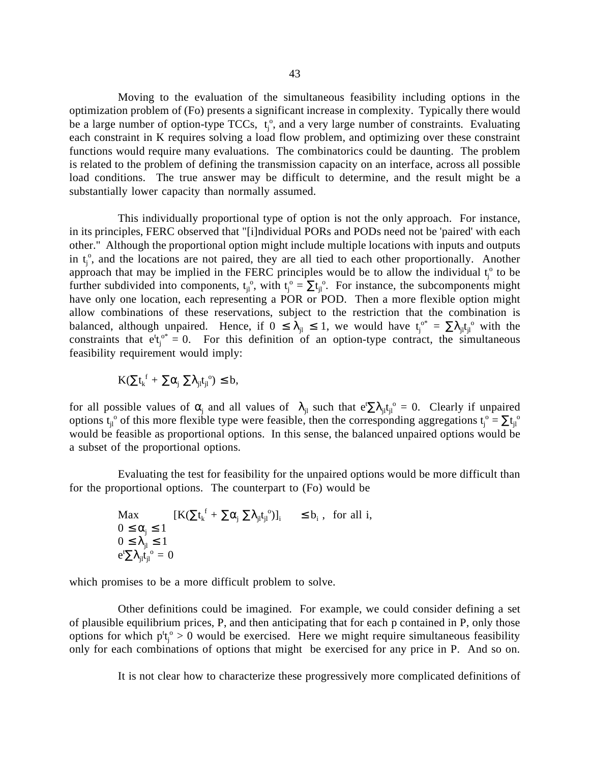Moving to the evaluation of the simultaneous feasibility including options in the optimization problem of (Fo) presents a significant increase in complexity. Typically there would be a large number of option-type TCCs,  $t_j^{\circ}$ , and a very large number of constraints. Evaluating each constraint in K requires solving a load flow problem, and optimizing over these constraint functions would require many evaluations. The combinatorics could be daunting. The problem is related to the problem of defining the transmission capacity on an interface, across all possible load conditions. The true answer may be difficult to determine, and the result might be a substantially lower capacity than normally assumed.

This individually proportional type of option is not the only approach. For instance, in its principles, FERC observed that "[i]ndividual PORs and PODs need not be 'paired' with each other." Although the proportional option might include multiple locations with inputs and outputs in  $t_j^{\circ}$ , and the locations are not paired, they are all tied to each other proportionally. Another approach that may be implied in the FERC principles would be to allow the individual  $t_j^{\circ}$  to be further subdivided into components,  $t_{jl}^o$ , with  $t_j^o = \sum t_{jl}^o$ . For instance, the subcomponents might have only one location, each representing a POR or POD. Then a more flexible option might allow combinations of these reservations, subject to the restriction that the combination is balanced, although unpaired. Hence, if  $0 \leq \lambda_{jl} \leq 1$ , we would have  $t_j^{\circ*} = \sum \lambda_{jl} t_{jl}^{\circ}$  with the constraints that  $e^{t}t_{j}^{\circ*} = 0$ . For this definition of an option-type contract, the simultaneous feasibility requirement would imply:

$$
K(\Sigma t_k^{\ f}+\Sigma\alpha_j^{\ } \Sigma\lambda_{jl}t_{jl}^{\ o})\leq b,
$$

for all possible values of  $\alpha_j$  and all values of  $\lambda_{jl}$  such that  $e^{t} \sum \lambda_{jl} t_{jl}^{\circ} = 0$ . Clearly if unpaired options  $t_{jl}^o$  of this more flexible type were feasible, then the corresponding aggregations  $t_j^o = \sum t_{jl}^o$ would be feasible as proportional options. In this sense, the balanced unpaired options would be a subset of the proportional options.

Evaluating the test for feasibility for the unpaired options would be more difficult than for the proportional options. The counterpart to (Fo) would be

$$
\begin{array}{ll}\n\text{Max} & [K(\sum t_k^f + \sum \alpha_j \sum \lambda_{jl} t_{jl}^o)]_i & \leq b_i \text{, for all } i, \\
0 \leq \alpha_j \leq 1 & 0 \leq \lambda_{jl} \leq 1 \\
e^t \sum \lambda_{jl} t_{jl}^o = 0 &\n\end{array}
$$

which promises to be a more difficult problem to solve.

Other definitions could be imagined. For example, we could consider defining a set of plausible equilibrium prices, P, and then anticipating that for each p contained in P, only those options for which  $p_t^t$ <sup>o</sup> > 0 would be exercised. Here we might require simultaneous feasibility only for each combinations of options that might be exercised for any price in P. And so on.

It is not clear how to characterize these progressively more complicated definitions of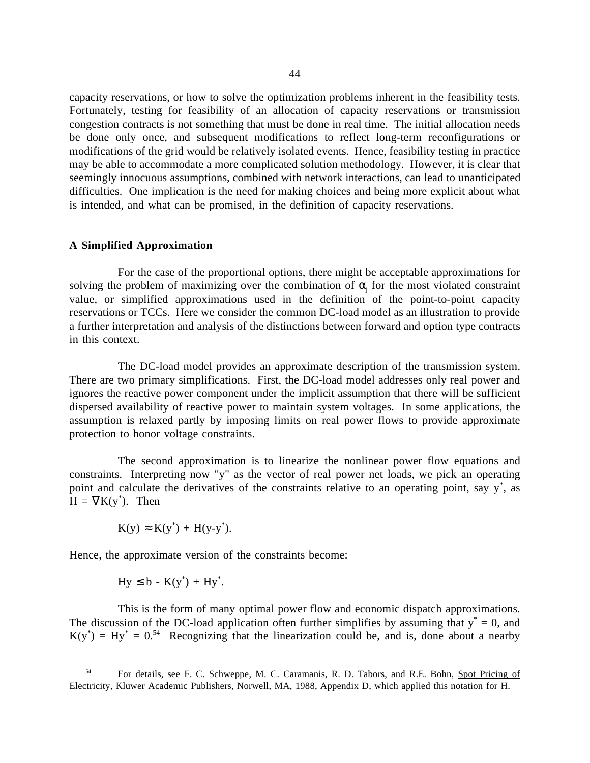capacity reservations, or how to solve the optimization problems inherent in the feasibility tests. Fortunately, testing for feasibility of an allocation of capacity reservations or transmission congestion contracts is not something that must be done in real time. The initial allocation needs be done only once, and subsequent modifications to reflect long-term reconfigurations or modifications of the grid would be relatively isolated events. Hence, feasibility testing in practice may be able to accommodate a more complicated solution methodology. However, it is clear that seemingly innocuous assumptions, combined with network interactions, can lead to unanticipated difficulties. One implication is the need for making choices and being more explicit about what is intended, and what can be promised, in the definition of capacity reservations.

# **A Simplified Approximation**

For the case of the proportional options, there might be acceptable approximations for solving the problem of maximizing over the combination of  $\alpha_j$  for the most violated constraint value, or simplified approximations used in the definition of the point-to-point capacity reservations or TCCs. Here we consider the common DC-load model as an illustration to provide a further interpretation and analysis of the distinctions between forward and option type contracts in this context.

The DC-load model provides an approximate description of the transmission system. There are two primary simplifications. First, the DC-load model addresses only real power and ignores the reactive power component under the implicit assumption that there will be sufficient dispersed availability of reactive power to maintain system voltages. In some applications, the assumption is relaxed partly by imposing limits on real power flows to provide approximate protection to honor voltage constraints.

The second approximation is to linearize the nonlinear power flow equations and constraints. Interpreting now "y" as the vector of real power net loads, we pick an operating point and calculate the derivatives of the constraints relative to an operating point, say y<sup>\*</sup>, as  $H = \nabla K(y^*)$ . Then

$$
K(y) \approx K(y^*) + H(y-y^*).
$$

Hence, the approximate version of the constraints become:

$$
Hy \leq b - K(y^*) + Hy^*.
$$

 $\overline{a}$ 

This is the form of many optimal power flow and economic dispatch approximations. The discussion of the DC-load application often further simplifies by assuming that  $y^* = 0$ , and  $K(y^*) = Hy^* = 0^{54}$  Recognizing that the linearization could be, and is, done about a nearby

<sup>&</sup>lt;sup>54</sup> For details, see F. C. Schweppe, M. C. Caramanis, R. D. Tabors, and R.E. Bohn, Spot Pricing of Electricity, Kluwer Academic Publishers, Norwell, MA, 1988, Appendix D, which applied this notation for H.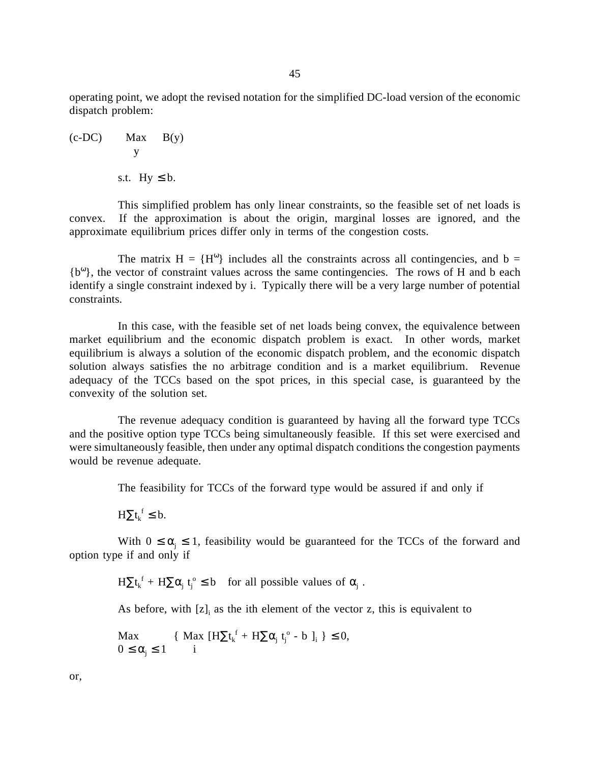operating point, we adopt the revised notation for the simplified DC-load version of the economic dispatch problem:

(c-DC) 
$$
\begin{aligned}\n&\text{Max} &\text{B(y)}\\
&\text{y} \\
&\text{s.t. } &\text{Hy} \leq \text{b.}\n\end{aligned}
$$

This simplified problem has only linear constraints, so the feasible set of net loads is convex. If the approximation is about the origin, marginal losses are ignored, and the approximate equilibrium prices differ only in terms of the congestion costs.

The matrix  $H = {H<sup>ω</sup>}$  includes all the constraints across all contingencies, and b =  ${b<sup>ω</sup>}$ , the vector of constraint values across the same contingencies. The rows of H and b each identify a single constraint indexed by i. Typically there will be a very large number of potential constraints.

In this case, with the feasible set of net loads being convex, the equivalence between market equilibrium and the economic dispatch problem is exact. In other words, market equilibrium is always a solution of the economic dispatch problem, and the economic dispatch solution always satisfies the no arbitrage condition and is a market equilibrium. Revenue adequacy of the TCCs based on the spot prices, in this special case, is guaranteed by the convexity of the solution set.

The revenue adequacy condition is guaranteed by having all the forward type TCCs and the positive option type TCCs being simultaneously feasible. If this set were exercised and were simultaneously feasible, then under any optimal dispatch conditions the congestion payments would be revenue adequate.

The feasibility for TCCs of the forward type would be assured if and only if

 $H\Sigma t_k^f \leq b.$ 

With  $0 \le \alpha_j \le 1$ , feasibility would be guaranteed for the TCCs of the forward and option type if and only if

 $H\Sigma t_k^f + H\Sigma \alpha_j t_j^o \leq b$  for all possible values of  $\alpha_j$ .

As before, with  $[z]_i$  as the ith element of the vector z, this is equivalent to

$$
\begin{aligned}\n\text{Max} & \{ \text{Max } [H\Sigma t_k^f + H\Sigma \alpha_j t_j^o - b]_i \} \le 0, \\
0 \le \alpha_j \le 1 & \text{i}\n\end{aligned}
$$

or,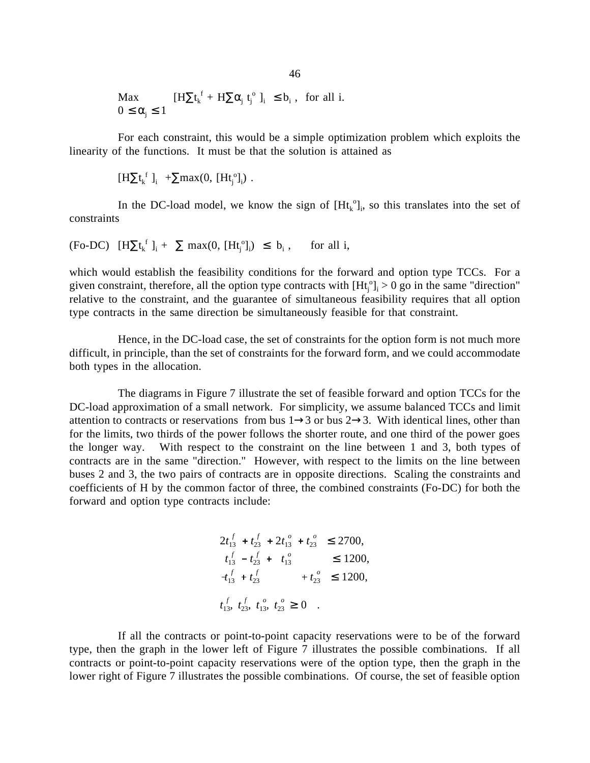$$
\begin{array}{ll}\n\text{Max} & [\mathrm{H}\Sigma t_k^f + \mathrm{H}\Sigma \alpha_j \ t_j^o \ ]_i \leq b_i \,, \text{ for all } i. \\
0 \leq \alpha_j \leq 1\n\end{array}
$$

For each constraint, this would be a simple optimization problem which exploits the linearity of the functions. It must be that the solution is attained as

$$
[H\Sigma t_k^{\ f}]_i^{\ f} + \Sigma max(0, [Ht_j^{\ o}]_i) \ .
$$

In the DC-load model, we know the sign of  $[H_t^{\circ}]_i$ , so this translates into the set of constraints

(Fo-DC) 
$$
[H\Sigma t_k^f]_i + \Sigma \max(0, [Ht_j^o]_i) \le b_i
$$
, for all i,

which would establish the feasibility conditions for the forward and option type TCCs. For a given constraint, therefore, all the option type contracts with  $[Ht_j^{\circ}]_i > 0$  go in the same "direction" relative to the constraint, and the guarantee of simultaneous feasibility requires that all option type contracts in the same direction be simultaneously feasible for that constraint.

Hence, in the DC-load case, the set of constraints for the option form is not much more difficult, in principle, than the set of constraints for the forward form, and we could accommodate both types in the allocation.

The diagrams in Figure 7 illustrate the set of feasible forward and option TCCs for the DC-load approximation of a small network. For simplicity, we assume balanced TCCs and limit attention to contracts or reservations from bus  $1\rightarrow 3$  or bus  $2\rightarrow 3$ . With identical lines, other than for the limits, two thirds of the power follows the shorter route, and one third of the power goes the longer way. With respect to the constraint on the line between 1 and 3, both types of contracts are in the same "direction." However, with respect to the limits on the line between buses 2 and 3, the two pairs of contracts are in opposite directions. Scaling the constraints and coefficients of H by the common factor of three, the combined constraints (Fo-DC) for both the forward and option type contracts include:

$$
2t_{13}^f + t_{23}^f + 2t_{13}^o + t_{23}^o \le 2700,
$$
  
\n
$$
t_{13}^f - t_{23}^f + t_{13}^o \le 1200,
$$
  
\n
$$
t_{13}^f + t_{23}^f + t_{23}^o \le 1200,
$$
  
\n
$$
t_{13}^f, t_{23}^f, t_{13}^o, t_{23}^o \ge 0.
$$

If all the contracts or point-to-point capacity reservations were to be of the forward type, then the graph in the lower left of Figure 7 illustrates the possible combinations. If all contracts or point-to-point capacity reservations were of the option type, then the graph in the lower right of Figure 7 illustrates the possible combinations. Of course, the set of feasible option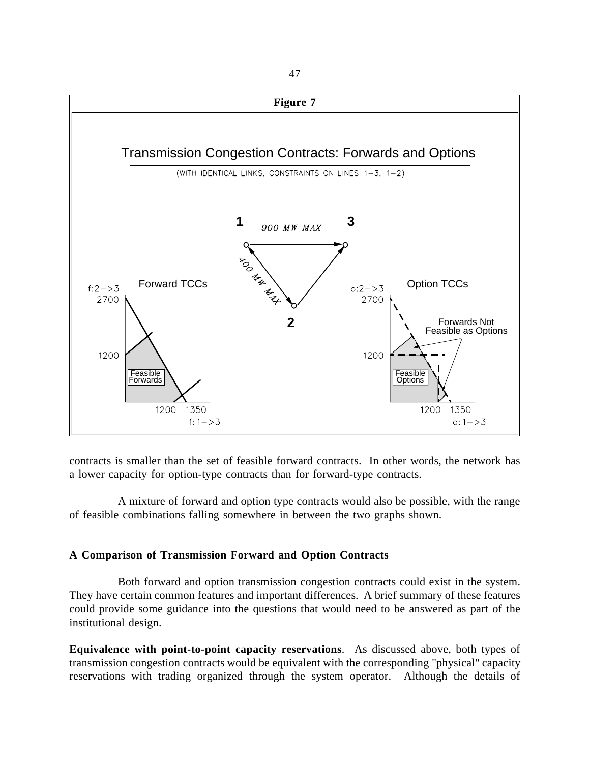

contracts is smaller than the set of feasible forward contracts. In other words, the network has a lower capacity for option-type contracts than for forward-type contracts.

A mixture of forward and option type contracts would also be possible, with the range of feasible combinations falling somewhere in between the two graphs shown.

## **A Comparison of Transmission Forward and Option Contracts**

Both forward and option transmission congestion contracts could exist in the system. They have certain common features and important differences. A brief summary of these features could provide some guidance into the questions that would need to be answered as part of the institutional design.

**Equivalence with point-to-point capacity reservations**. As discussed above, both types of transmission congestion contracts would be equivalent with the corresponding "physical" capacity reservations with trading organized through the system operator. Although the details of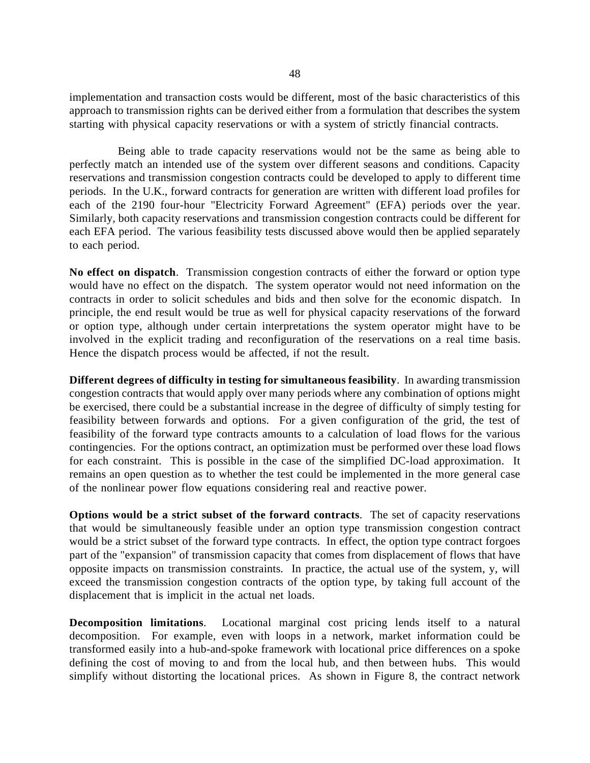implementation and transaction costs would be different, most of the basic characteristics of this approach to transmission rights can be derived either from a formulation that describes the system starting with physical capacity reservations or with a system of strictly financial contracts.

Being able to trade capacity reservations would not be the same as being able to perfectly match an intended use of the system over different seasons and conditions. Capacity reservations and transmission congestion contracts could be developed to apply to different time periods. In the U.K., forward contracts for generation are written with different load profiles for each of the 2190 four-hour "Electricity Forward Agreement" (EFA) periods over the year. Similarly, both capacity reservations and transmission congestion contracts could be different for each EFA period. The various feasibility tests discussed above would then be applied separately to each period.

**No effect on dispatch**. Transmission congestion contracts of either the forward or option type would have no effect on the dispatch. The system operator would not need information on the contracts in order to solicit schedules and bids and then solve for the economic dispatch. In principle, the end result would be true as well for physical capacity reservations of the forward or option type, although under certain interpretations the system operator might have to be involved in the explicit trading and reconfiguration of the reservations on a real time basis. Hence the dispatch process would be affected, if not the result.

**Different degrees of difficulty in testing for simultaneous feasibility**. In awarding transmission congestion contracts that would apply over many periods where any combination of options might be exercised, there could be a substantial increase in the degree of difficulty of simply testing for feasibility between forwards and options. For a given configuration of the grid, the test of feasibility of the forward type contracts amounts to a calculation of load flows for the various contingencies. For the options contract, an optimization must be performed over these load flows for each constraint. This is possible in the case of the simplified DC-load approximation. It remains an open question as to whether the test could be implemented in the more general case of the nonlinear power flow equations considering real and reactive power.

**Options would be a strict subset of the forward contracts**. The set of capacity reservations that would be simultaneously feasible under an option type transmission congestion contract would be a strict subset of the forward type contracts. In effect, the option type contract forgoes part of the "expansion" of transmission capacity that comes from displacement of flows that have opposite impacts on transmission constraints. In practice, the actual use of the system, y, will exceed the transmission congestion contracts of the option type, by taking full account of the displacement that is implicit in the actual net loads.

**Decomposition limitations**. Locational marginal cost pricing lends itself to a natural decomposition. For example, even with loops in a network, market information could be transformed easily into a hub-and-spoke framework with locational price differences on a spoke defining the cost of moving to and from the local hub, and then between hubs. This would simplify without distorting the locational prices. As shown in Figure 8, the contract network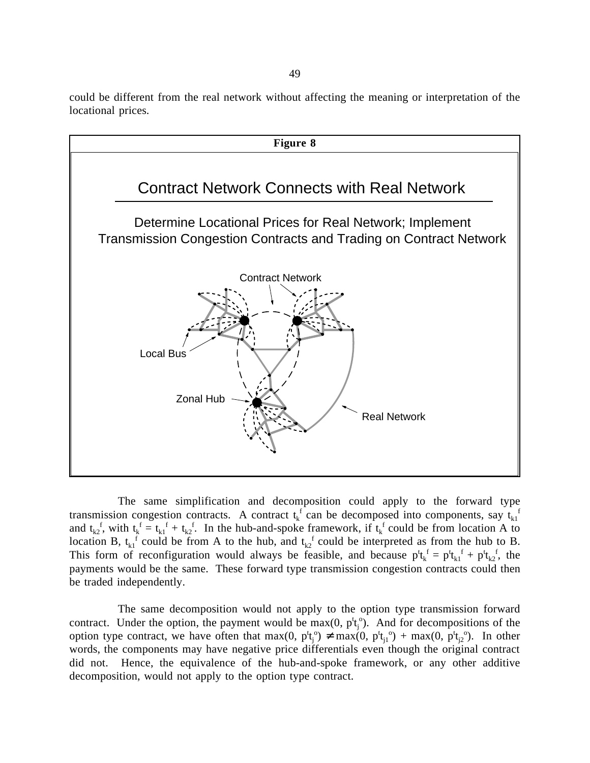could be different from the real network without affecting the meaning or interpretation of the locational prices.



The same simplification and decomposition could apply to the forward type transmission congestion contracts. A contract  $t_k^f$  can be decomposed into components, say  $t_{k1}^f$ and  $t_{k2}$ , with  $t_k^f = t_{k1}^f + t_{k2}^f$ . In the hub-and-spoke framework, if  $t_k^f$  could be from location A to location B,  $t_{k1}$ <sup>f</sup> could be from A to the hub, and  $t_{k2}$ <sup>f</sup> could be interpreted as from the hub to B. This form of reconfiguration would always be feasible, and because  $p^t t_k^f = p^t t_{k1}^f + p^t t_{k2}^f$ , the payments would be the same. These forward type transmission congestion contracts could then be traded independently.

The same decomposition would not apply to the option type transmission forward contract. Under the option, the payment would be  $max(0, p_t^t)$ . And for decompositions of the option type contract, we have often that max(0,  $p_t^t$ <sup>o</sup>)  $\neq$  max(0,  $p_t^t$ <sup>o</sup>) + max(0,  $p_t^t$ <sup>o</sup>). In other words, the components may have negative price differentials even though the original contract did not. Hence, the equivalence of the hub-and-spoke framework, or any other additive decomposition, would not apply to the option type contract.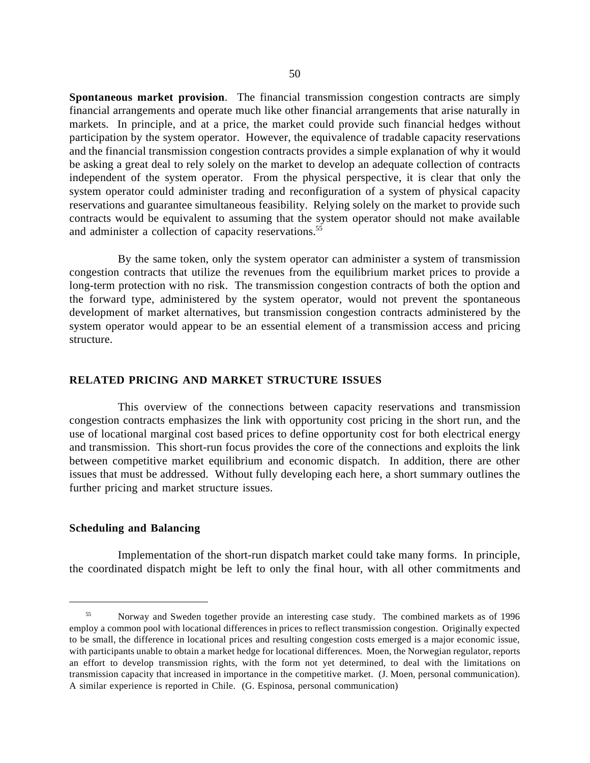**Spontaneous market provision**. The financial transmission congestion contracts are simply financial arrangements and operate much like other financial arrangements that arise naturally in markets. In principle, and at a price, the market could provide such financial hedges without participation by the system operator. However, the equivalence of tradable capacity reservations and the financial transmission congestion contracts provides a simple explanation of why it would be asking a great deal to rely solely on the market to develop an adequate collection of contracts independent of the system operator. From the physical perspective, it is clear that only the system operator could administer trading and reconfiguration of a system of physical capacity reservations and guarantee simultaneous feasibility. Relying solely on the market to provide such contracts would be equivalent to assuming that the system operator should not make available and administer a collection of capacity reservations.<sup>55</sup>

By the same token, only the system operator can administer a system of transmission congestion contracts that utilize the revenues from the equilibrium market prices to provide a long-term protection with no risk. The transmission congestion contracts of both the option and the forward type, administered by the system operator, would not prevent the spontaneous development of market alternatives, but transmission congestion contracts administered by the system operator would appear to be an essential element of a transmission access and pricing structure.

### **RELATED PRICING AND MARKET STRUCTURE ISSUES**

This overview of the connections between capacity reservations and transmission congestion contracts emphasizes the link with opportunity cost pricing in the short run, and the use of locational marginal cost based prices to define opportunity cost for both electrical energy and transmission. This short-run focus provides the core of the connections and exploits the link between competitive market equilibrium and economic dispatch. In addition, there are other issues that must be addressed. Without fully developing each here, a short summary outlines the further pricing and market structure issues.

#### **Scheduling and Balancing**

 $\overline{a}$ 

Implementation of the short-run dispatch market could take many forms. In principle, the coordinated dispatch might be left to only the final hour, with all other commitments and

 <sup>55</sup> Norway and Sweden together provide an interesting case study. The combined markets as of 1996 employ a common pool with locational differences in prices to reflect transmission congestion. Originally expected to be small, the difference in locational prices and resulting congestion costs emerged is a major economic issue, with participants unable to obtain a market hedge for locational differences. Moen, the Norwegian regulator, reports an effort to develop transmission rights, with the form not yet determined, to deal with the limitations on transmission capacity that increased in importance in the competitive market. (J. Moen, personal communication). A similar experience is reported in Chile. (G. Espinosa, personal communication)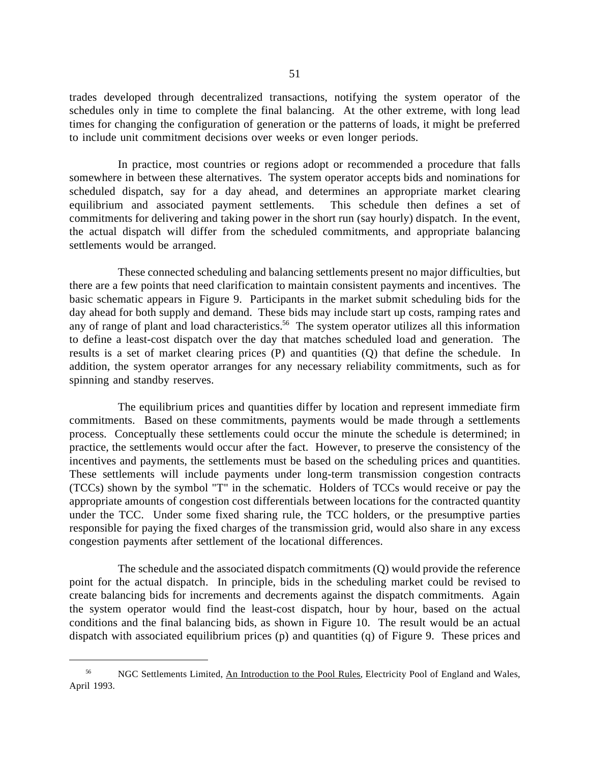trades developed through decentralized transactions, notifying the system operator of the schedules only in time to complete the final balancing. At the other extreme, with long lead times for changing the configuration of generation or the patterns of loads, it might be preferred to include unit commitment decisions over weeks or even longer periods.

In practice, most countries or regions adopt or recommended a procedure that falls somewhere in between these alternatives. The system operator accepts bids and nominations for scheduled dispatch, say for a day ahead, and determines an appropriate market clearing equilibrium and associated payment settlements. This schedule then defines a set of commitments for delivering and taking power in the short run (say hourly) dispatch. In the event, the actual dispatch will differ from the scheduled commitments, and appropriate balancing settlements would be arranged.

These connected scheduling and balancing settlements present no major difficulties, but there are a few points that need clarification to maintain consistent payments and incentives. The basic schematic appears in Figure 9. Participants in the market submit scheduling bids for the day ahead for both supply and demand. These bids may include start up costs, ramping rates and any of range of plant and load characteristics.<sup>56</sup> The system operator utilizes all this information to define a least-cost dispatch over the day that matches scheduled load and generation. The results is a set of market clearing prices (P) and quantities (Q) that define the schedule. In addition, the system operator arranges for any necessary reliability commitments, such as for spinning and standby reserves.

The equilibrium prices and quantities differ by location and represent immediate firm commitments. Based on these commitments, payments would be made through a settlements process. Conceptually these settlements could occur the minute the schedule is determined; in practice, the settlements would occur after the fact. However, to preserve the consistency of the incentives and payments, the settlements must be based on the scheduling prices and quantities. These settlements will include payments under long-term transmission congestion contracts (TCCs) shown by the symbol "T" in the schematic. Holders of TCCs would receive or pay the appropriate amounts of congestion cost differentials between locations for the contracted quantity under the TCC. Under some fixed sharing rule, the TCC holders, or the presumptive parties responsible for paying the fixed charges of the transmission grid, would also share in any excess congestion payments after settlement of the locational differences.

The schedule and the associated dispatch commitments (Q) would provide the reference point for the actual dispatch. In principle, bids in the scheduling market could be revised to create balancing bids for increments and decrements against the dispatch commitments. Again the system operator would find the least-cost dispatch, hour by hour, based on the actual conditions and the final balancing bids, as shown in Figure 10. The result would be an actual dispatch with associated equilibrium prices (p) and quantities (q) of Figure 9. These prices and

<sup>&</sup>lt;sup>56</sup> NGC Settlements Limited, An Introduction to the Pool Rules, Electricity Pool of England and Wales, April 1993.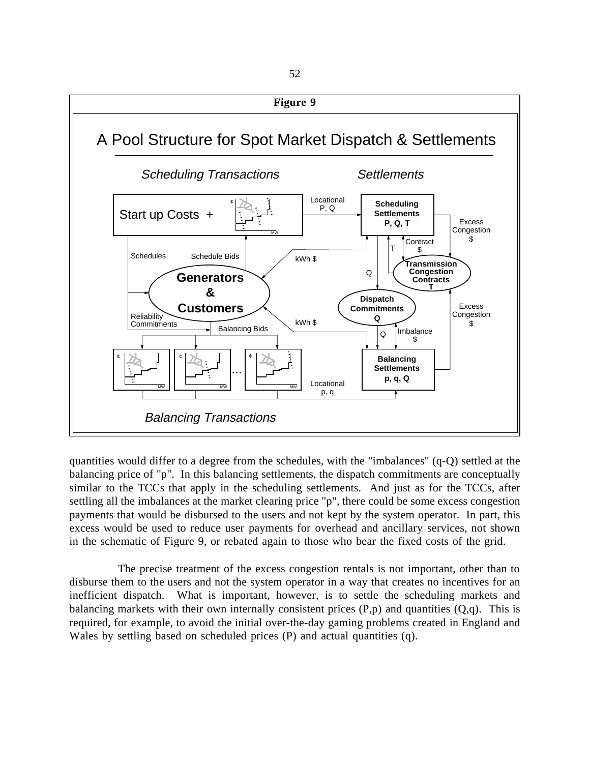

quantities would differ to a degree from the schedules, with the "imbalances" (q-Q) settled at the balancing price of "p". In this balancing settlements, the dispatch commitments are conceptually similar to the TCCs that apply in the scheduling settlements. And just as for the TCCs, after settling all the imbalances at the market clearing price "p", there could be some excess congestion payments that would be disbursed to the users and not kept by the system operator. In part, this excess would be used to reduce user payments for overhead and ancillary services, not shown in the schematic of Figure 9, or rebated again to those who bear the fixed costs of the grid.

The precise treatment of the excess congestion rentals is not important, other than to disburse them to the users and not the system operator in a way that creates no incentives for an inefficient dispatch. What is important, however, is to settle the scheduling markets and balancing markets with their own internally consistent prices  $(P,p)$  and quantities  $(Q,q)$ . This is required, for example, to avoid the initial over-the-day gaming problems created in England and Wales by settling based on scheduled prices (P) and actual quantities (q).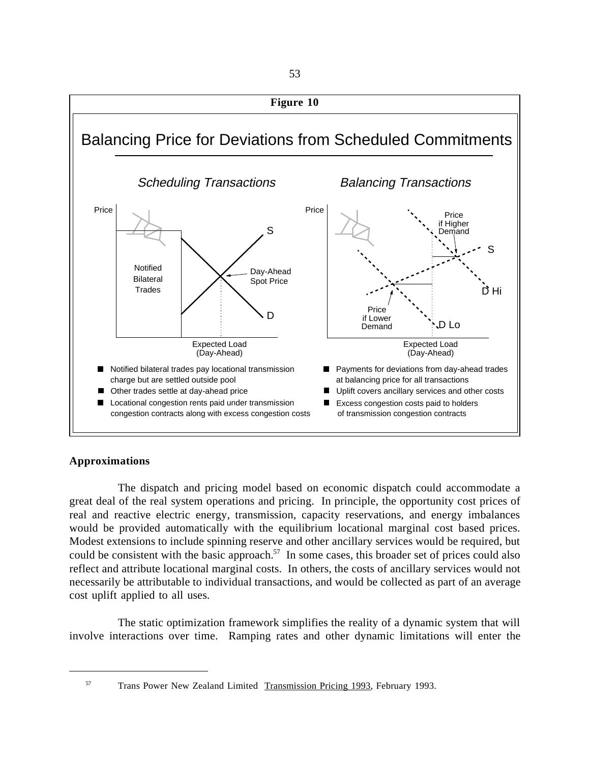

# **Approximations**

The dispatch and pricing model based on economic dispatch could accommodate a great deal of the real system operations and pricing. In principle, the opportunity cost prices of real and reactive electric energy, transmission, capacity reservations, and energy imbalances would be provided automatically with the equilibrium locational marginal cost based prices. Modest extensions to include spinning reserve and other ancillary services would be required, but could be consistent with the basic approach.<sup>57</sup> In some cases, this broader set of prices could also reflect and attribute locational marginal costs. In others, the costs of ancillary services would not necessarily be attributable to individual transactions, and would be collected as part of an average cost uplift applied to all uses.

The static optimization framework simplifies the reality of a dynamic system that will involve interactions over time. Ramping rates and other dynamic limitations will enter the

 <sup>57</sup> Trans Power New Zealand Limited Transmission Pricing 1993, February 1993.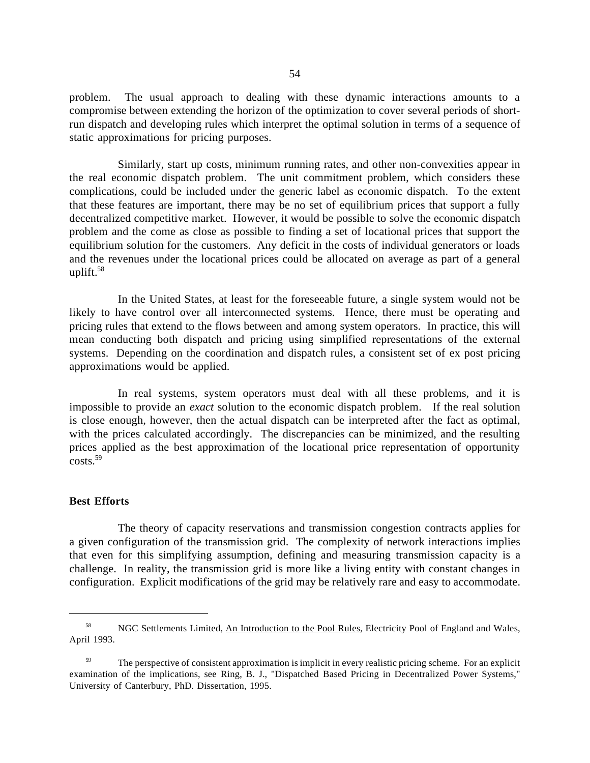problem. The usual approach to dealing with these dynamic interactions amounts to a compromise between extending the horizon of the optimization to cover several periods of shortrun dispatch and developing rules which interpret the optimal solution in terms of a sequence of static approximations for pricing purposes.

Similarly, start up costs, minimum running rates, and other non-convexities appear in the real economic dispatch problem. The unit commitment problem, which considers these complications, could be included under the generic label as economic dispatch. To the extent that these features are important, there may be no set of equilibrium prices that support a fully decentralized competitive market. However, it would be possible to solve the economic dispatch problem and the come as close as possible to finding a set of locational prices that support the equilibrium solution for the customers. Any deficit in the costs of individual generators or loads and the revenues under the locational prices could be allocated on average as part of a general uplift. $58$ 

In the United States, at least for the foreseeable future, a single system would not be likely to have control over all interconnected systems. Hence, there must be operating and pricing rules that extend to the flows between and among system operators. In practice, this will mean conducting both dispatch and pricing using simplified representations of the external systems. Depending on the coordination and dispatch rules, a consistent set of ex post pricing approximations would be applied.

In real systems, system operators must deal with all these problems, and it is impossible to provide an *exact* solution to the economic dispatch problem. If the real solution is close enough, however, then the actual dispatch can be interpreted after the fact as optimal, with the prices calculated accordingly. The discrepancies can be minimized, and the resulting prices applied as the best approximation of the locational price representation of opportunity costs.59

#### **Best Efforts**

 $\overline{a}$ 

The theory of capacity reservations and transmission congestion contracts applies for a given configuration of the transmission grid. The complexity of network interactions implies that even for this simplifying assumption, defining and measuring transmission capacity is a challenge. In reality, the transmission grid is more like a living entity with constant changes in configuration. Explicit modifications of the grid may be relatively rare and easy to accommodate.

<sup>&</sup>lt;sup>58</sup> NGC Settlements Limited, An Introduction to the Pool Rules, Electricity Pool of England and Wales, April 1993.

<sup>&</sup>lt;sup>59</sup> The perspective of consistent approximation is implicit in every realistic pricing scheme. For an explicit examination of the implications, see Ring, B. J., "Dispatched Based Pricing in Decentralized Power Systems," University of Canterbury, PhD. Dissertation, 1995.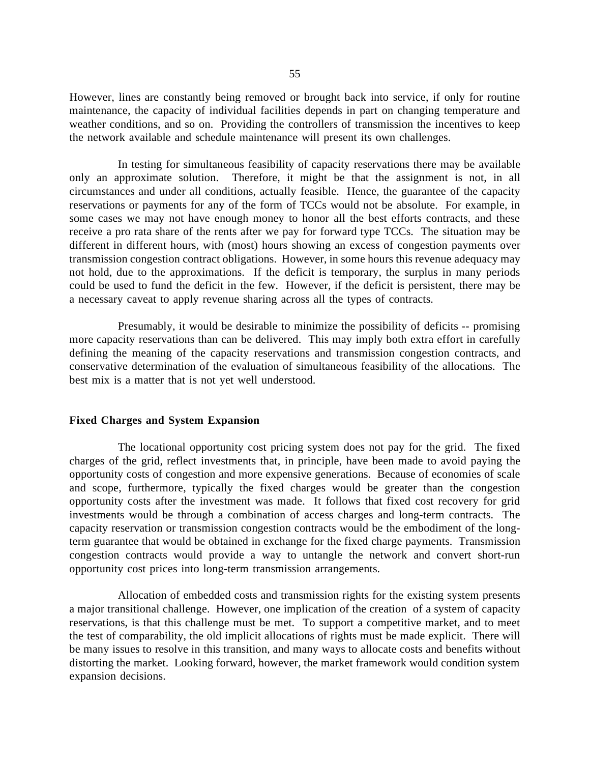However, lines are constantly being removed or brought back into service, if only for routine maintenance, the capacity of individual facilities depends in part on changing temperature and weather conditions, and so on. Providing the controllers of transmission the incentives to keep the network available and schedule maintenance will present its own challenges.

In testing for simultaneous feasibility of capacity reservations there may be available only an approximate solution. Therefore, it might be that the assignment is not, in all circumstances and under all conditions, actually feasible. Hence, the guarantee of the capacity reservations or payments for any of the form of TCCs would not be absolute. For example, in some cases we may not have enough money to honor all the best efforts contracts, and these receive a pro rata share of the rents after we pay for forward type TCCs. The situation may be different in different hours, with (most) hours showing an excess of congestion payments over transmission congestion contract obligations. However, in some hours this revenue adequacy may not hold, due to the approximations. If the deficit is temporary, the surplus in many periods could be used to fund the deficit in the few. However, if the deficit is persistent, there may be a necessary caveat to apply revenue sharing across all the types of contracts.

Presumably, it would be desirable to minimize the possibility of deficits -- promising more capacity reservations than can be delivered. This may imply both extra effort in carefully defining the meaning of the capacity reservations and transmission congestion contracts, and conservative determination of the evaluation of simultaneous feasibility of the allocations. The best mix is a matter that is not yet well understood.

## **Fixed Charges and System Expansion**

The locational opportunity cost pricing system does not pay for the grid. The fixed charges of the grid, reflect investments that, in principle, have been made to avoid paying the opportunity costs of congestion and more expensive generations. Because of economies of scale and scope, furthermore, typically the fixed charges would be greater than the congestion opportunity costs after the investment was made. It follows that fixed cost recovery for grid investments would be through a combination of access charges and long-term contracts. The capacity reservation or transmission congestion contracts would be the embodiment of the longterm guarantee that would be obtained in exchange for the fixed charge payments. Transmission congestion contracts would provide a way to untangle the network and convert short-run opportunity cost prices into long-term transmission arrangements.

Allocation of embedded costs and transmission rights for the existing system presents a major transitional challenge. However, one implication of the creation of a system of capacity reservations, is that this challenge must be met. To support a competitive market, and to meet the test of comparability, the old implicit allocations of rights must be made explicit. There will be many issues to resolve in this transition, and many ways to allocate costs and benefits without distorting the market. Looking forward, however, the market framework would condition system expansion decisions.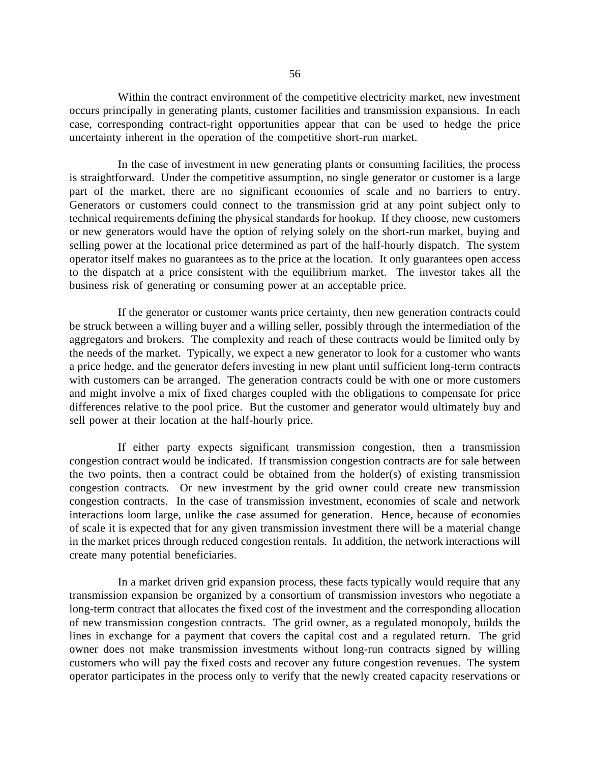Within the contract environment of the competitive electricity market, new investment occurs principally in generating plants, customer facilities and transmission expansions. In each case, corresponding contract-right opportunities appear that can be used to hedge the price uncertainty inherent in the operation of the competitive short-run market.

In the case of investment in new generating plants or consuming facilities, the process is straightforward. Under the competitive assumption, no single generator or customer is a large part of the market, there are no significant economies of scale and no barriers to entry. Generators or customers could connect to the transmission grid at any point subject only to technical requirements defining the physical standards for hookup. If they choose, new customers or new generators would have the option of relying solely on the short-run market, buying and selling power at the locational price determined as part of the half-hourly dispatch. The system operator itself makes no guarantees as to the price at the location. It only guarantees open access to the dispatch at a price consistent with the equilibrium market. The investor takes all the business risk of generating or consuming power at an acceptable price.

If the generator or customer wants price certainty, then new generation contracts could be struck between a willing buyer and a willing seller, possibly through the intermediation of the aggregators and brokers. The complexity and reach of these contracts would be limited only by the needs of the market. Typically, we expect a new generator to look for a customer who wants a price hedge, and the generator defers investing in new plant until sufficient long-term contracts with customers can be arranged. The generation contracts could be with one or more customers and might involve a mix of fixed charges coupled with the obligations to compensate for price differences relative to the pool price. But the customer and generator would ultimately buy and sell power at their location at the half-hourly price.

If either party expects significant transmission congestion, then a transmission congestion contract would be indicated. If transmission congestion contracts are for sale between the two points, then a contract could be obtained from the holder(s) of existing transmission congestion contracts. Or new investment by the grid owner could create new transmission congestion contracts. In the case of transmission investment, economies of scale and network interactions loom large, unlike the case assumed for generation. Hence, because of economies of scale it is expected that for any given transmission investment there will be a material change in the market prices through reduced congestion rentals. In addition, the network interactions will create many potential beneficiaries.

In a market driven grid expansion process, these facts typically would require that any transmission expansion be organized by a consortium of transmission investors who negotiate a long-term contract that allocates the fixed cost of the investment and the corresponding allocation of new transmission congestion contracts. The grid owner, as a regulated monopoly, builds the lines in exchange for a payment that covers the capital cost and a regulated return. The grid owner does not make transmission investments without long-run contracts signed by willing customers who will pay the fixed costs and recover any future congestion revenues. The system operator participates in the process only to verify that the newly created capacity reservations or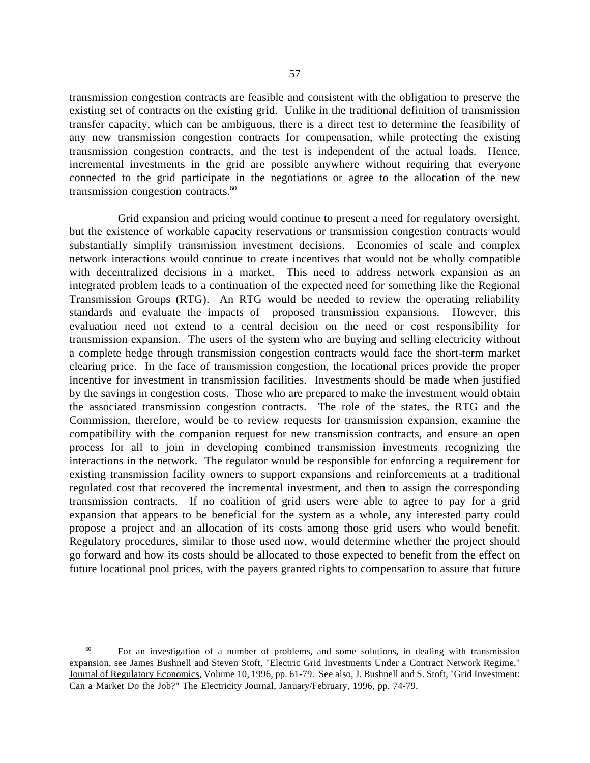transmission congestion contracts are feasible and consistent with the obligation to preserve the existing set of contracts on the existing grid. Unlike in the traditional definition of transmission transfer capacity, which can be ambiguous, there is a direct test to determine the feasibility of any new transmission congestion contracts for compensation, while protecting the existing transmission congestion contracts, and the test is independent of the actual loads. Hence, incremental investments in the grid are possible anywhere without requiring that everyone connected to the grid participate in the negotiations or agree to the allocation of the new transmission congestion contracts.<sup>60</sup>

Grid expansion and pricing would continue to present a need for regulatory oversight, but the existence of workable capacity reservations or transmission congestion contracts would substantially simplify transmission investment decisions. Economies of scale and complex network interactions would continue to create incentives that would not be wholly compatible with decentralized decisions in a market. This need to address network expansion as an integrated problem leads to a continuation of the expected need for something like the Regional Transmission Groups (RTG). An RTG would be needed to review the operating reliability standards and evaluate the impacts of proposed transmission expansions. However, this evaluation need not extend to a central decision on the need or cost responsibility for transmission expansion. The users of the system who are buying and selling electricity without a complete hedge through transmission congestion contracts would face the short-term market clearing price. In the face of transmission congestion, the locational prices provide the proper incentive for investment in transmission facilities. Investments should be made when justified by the savings in congestion costs. Those who are prepared to make the investment would obtain the associated transmission congestion contracts. The role of the states, the RTG and the Commission, therefore, would be to review requests for transmission expansion, examine the compatibility with the companion request for new transmission contracts, and ensure an open process for all to join in developing combined transmission investments recognizing the interactions in the network. The regulator would be responsible for enforcing a requirement for existing transmission facility owners to support expansions and reinforcements at a traditional regulated cost that recovered the incremental investment, and then to assign the corresponding transmission contracts. If no coalition of grid users were able to agree to pay for a grid expansion that appears to be beneficial for the system as a whole, any interested party could propose a project and an allocation of its costs among those grid users who would benefit. Regulatory procedures, similar to those used now, would determine whether the project should go forward and how its costs should be allocated to those expected to benefit from the effect on future locational pool prices, with the payers granted rights to compensation to assure that future

<sup>&</sup>lt;sup>60</sup> For an investigation of a number of problems, and some solutions, in dealing with transmission expansion, see James Bushnell and Steven Stoft, "Electric Grid Investments Under a Contract Network Regime," Journal of Regulatory Economics, Volume 10, 1996, pp. 61-79. See also, J. Bushnell and S. Stoft, "Grid Investment: Can a Market Do the Job?" The Electricity Journal, January/February, 1996, pp. 74-79.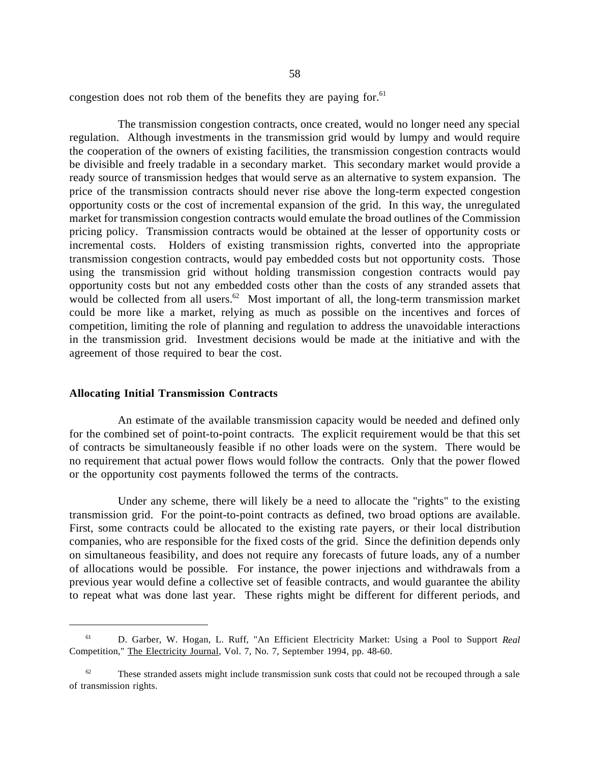congestion does not rob them of the benefits they are paying for.<sup>61</sup>

The transmission congestion contracts, once created, would no longer need any special regulation. Although investments in the transmission grid would by lumpy and would require the cooperation of the owners of existing facilities, the transmission congestion contracts would be divisible and freely tradable in a secondary market. This secondary market would provide a ready source of transmission hedges that would serve as an alternative to system expansion. The price of the transmission contracts should never rise above the long-term expected congestion opportunity costs or the cost of incremental expansion of the grid. In this way, the unregulated market for transmission congestion contracts would emulate the broad outlines of the Commission pricing policy. Transmission contracts would be obtained at the lesser of opportunity costs or incremental costs. Holders of existing transmission rights, converted into the appropriate transmission congestion contracts, would pay embedded costs but not opportunity costs. Those using the transmission grid without holding transmission congestion contracts would pay opportunity costs but not any embedded costs other than the costs of any stranded assets that would be collected from all users.<sup>62</sup> Most important of all, the long-term transmission market could be more like a market, relying as much as possible on the incentives and forces of competition, limiting the role of planning and regulation to address the unavoidable interactions in the transmission grid. Investment decisions would be made at the initiative and with the agreement of those required to bear the cost.

#### **Allocating Initial Transmission Contracts**

 $\overline{a}$ 

An estimate of the available transmission capacity would be needed and defined only for the combined set of point-to-point contracts. The explicit requirement would be that this set of contracts be simultaneously feasible if no other loads were on the system. There would be no requirement that actual power flows would follow the contracts. Only that the power flowed or the opportunity cost payments followed the terms of the contracts.

Under any scheme, there will likely be a need to allocate the "rights" to the existing transmission grid. For the point-to-point contracts as defined, two broad options are available. First, some contracts could be allocated to the existing rate payers, or their local distribution companies, who are responsible for the fixed costs of the grid. Since the definition depends only on simultaneous feasibility, and does not require any forecasts of future loads, any of a number of allocations would be possible. For instance, the power injections and withdrawals from a previous year would define a collective set of feasible contracts, and would guarantee the ability to repeat what was done last year. These rights might be different for different periods, and

 <sup>61</sup> D. Garber, W. Hogan, L. Ruff, "An Efficient Electricity Market: Using a Pool to Support *Real* Competition," The Electricity Journal, Vol. 7, No. 7, September 1994, pp. 48-60.

 $62$  These stranded assets might include transmission sunk costs that could not be recouped through a sale of transmission rights.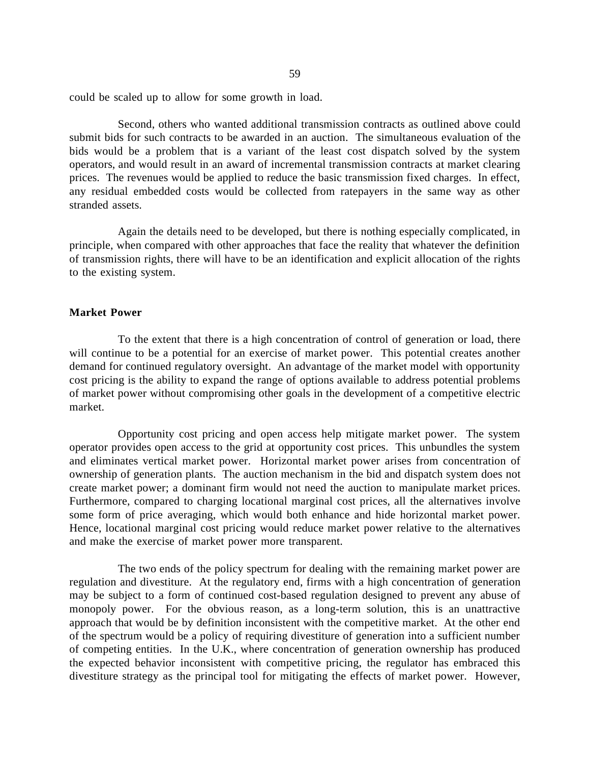could be scaled up to allow for some growth in load.

Second, others who wanted additional transmission contracts as outlined above could submit bids for such contracts to be awarded in an auction. The simultaneous evaluation of the bids would be a problem that is a variant of the least cost dispatch solved by the system operators, and would result in an award of incremental transmission contracts at market clearing prices. The revenues would be applied to reduce the basic transmission fixed charges. In effect, any residual embedded costs would be collected from ratepayers in the same way as other stranded assets.

Again the details need to be developed, but there is nothing especially complicated, in principle, when compared with other approaches that face the reality that whatever the definition of transmission rights, there will have to be an identification and explicit allocation of the rights to the existing system.

### **Market Power**

To the extent that there is a high concentration of control of generation or load, there will continue to be a potential for an exercise of market power. This potential creates another demand for continued regulatory oversight. An advantage of the market model with opportunity cost pricing is the ability to expand the range of options available to address potential problems of market power without compromising other goals in the development of a competitive electric market.

Opportunity cost pricing and open access help mitigate market power. The system operator provides open access to the grid at opportunity cost prices. This unbundles the system and eliminates vertical market power. Horizontal market power arises from concentration of ownership of generation plants. The auction mechanism in the bid and dispatch system does not create market power; a dominant firm would not need the auction to manipulate market prices. Furthermore, compared to charging locational marginal cost prices, all the alternatives involve some form of price averaging, which would both enhance and hide horizontal market power. Hence, locational marginal cost pricing would reduce market power relative to the alternatives and make the exercise of market power more transparent.

The two ends of the policy spectrum for dealing with the remaining market power are regulation and divestiture. At the regulatory end, firms with a high concentration of generation may be subject to a form of continued cost-based regulation designed to prevent any abuse of monopoly power. For the obvious reason, as a long-term solution, this is an unattractive approach that would be by definition inconsistent with the competitive market. At the other end of the spectrum would be a policy of requiring divestiture of generation into a sufficient number of competing entities. In the U.K., where concentration of generation ownership has produced the expected behavior inconsistent with competitive pricing, the regulator has embraced this divestiture strategy as the principal tool for mitigating the effects of market power. However,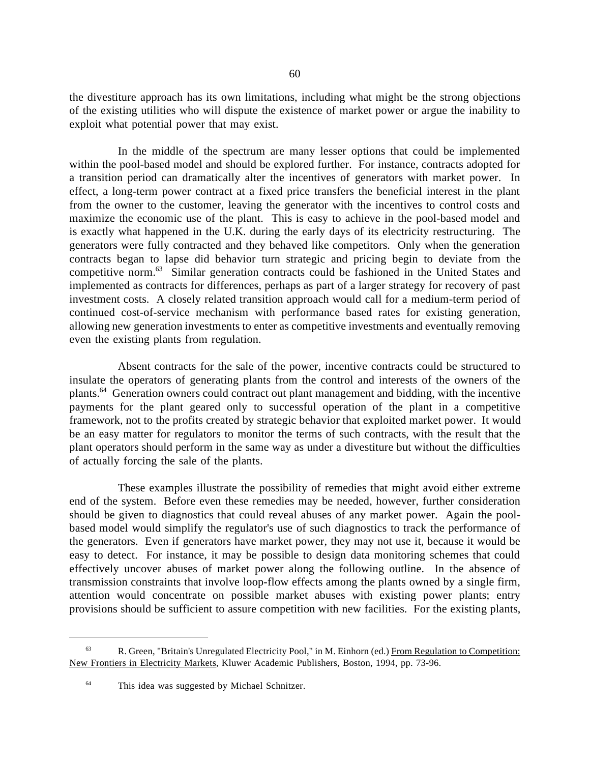the divestiture approach has its own limitations, including what might be the strong objections of the existing utilities who will dispute the existence of market power or argue the inability to exploit what potential power that may exist.

In the middle of the spectrum are many lesser options that could be implemented within the pool-based model and should be explored further. For instance, contracts adopted for a transition period can dramatically alter the incentives of generators with market power. In effect, a long-term power contract at a fixed price transfers the beneficial interest in the plant from the owner to the customer, leaving the generator with the incentives to control costs and maximize the economic use of the plant. This is easy to achieve in the pool-based model and is exactly what happened in the U.K. during the early days of its electricity restructuring. The generators were fully contracted and they behaved like competitors. Only when the generation contracts began to lapse did behavior turn strategic and pricing begin to deviate from the competitive norm.63 Similar generation contracts could be fashioned in the United States and implemented as contracts for differences, perhaps as part of a larger strategy for recovery of past investment costs. A closely related transition approach would call for a medium-term period of continued cost-of-service mechanism with performance based rates for existing generation, allowing new generation investments to enter as competitive investments and eventually removing even the existing plants from regulation.

Absent contracts for the sale of the power, incentive contracts could be structured to insulate the operators of generating plants from the control and interests of the owners of the plants.64 Generation owners could contract out plant management and bidding, with the incentive payments for the plant geared only to successful operation of the plant in a competitive framework, not to the profits created by strategic behavior that exploited market power. It would be an easy matter for regulators to monitor the terms of such contracts, with the result that the plant operators should perform in the same way as under a divestiture but without the difficulties of actually forcing the sale of the plants.

These examples illustrate the possibility of remedies that might avoid either extreme end of the system. Before even these remedies may be needed, however, further consideration should be given to diagnostics that could reveal abuses of any market power. Again the poolbased model would simplify the regulator's use of such diagnostics to track the performance of the generators. Even if generators have market power, they may not use it, because it would be easy to detect. For instance, it may be possible to design data monitoring schemes that could effectively uncover abuses of market power along the following outline. In the absence of transmission constraints that involve loop-flow effects among the plants owned by a single firm, attention would concentrate on possible market abuses with existing power plants; entry provisions should be sufficient to assure competition with new facilities. For the existing plants,

 <sup>63</sup> R. Green, "Britain's Unregulated Electricity Pool," in M. Einhorn (ed.) From Regulation to Competition: New Frontiers in Electricity Markets, Kluwer Academic Publishers, Boston, 1994, pp. 73-96.

 <sup>64</sup> This idea was suggested by Michael Schnitzer.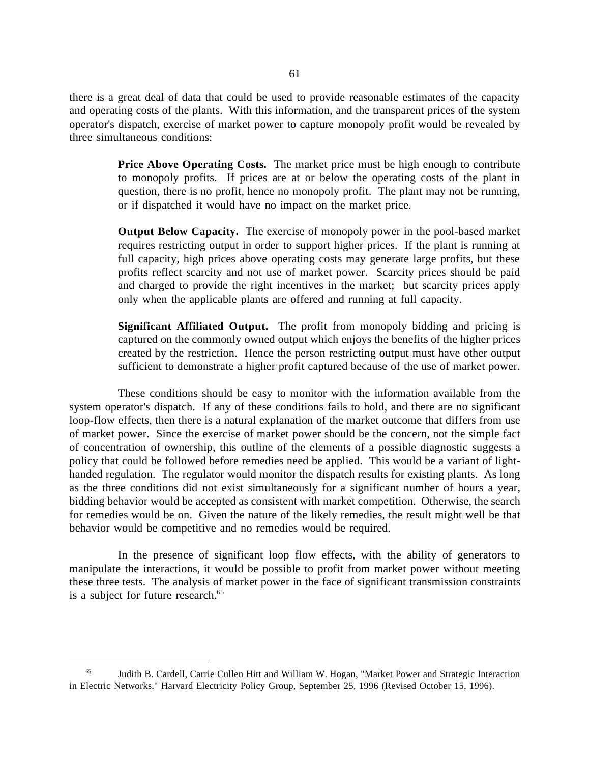there is a great deal of data that could be used to provide reasonable estimates of the capacity and operating costs of the plants. With this information, and the transparent prices of the system operator's dispatch, exercise of market power to capture monopoly profit would be revealed by three simultaneous conditions:

> **Price Above Operating Costs.** The market price must be high enough to contribute to monopoly profits. If prices are at or below the operating costs of the plant in question, there is no profit, hence no monopoly profit. The plant may not be running, or if dispatched it would have no impact on the market price.

> **Output Below Capacity.** The exercise of monopoly power in the pool-based market requires restricting output in order to support higher prices. If the plant is running at full capacity, high prices above operating costs may generate large profits, but these profits reflect scarcity and not use of market power. Scarcity prices should be paid and charged to provide the right incentives in the market; but scarcity prices apply only when the applicable plants are offered and running at full capacity.

> **Significant Affiliated Output.** The profit from monopoly bidding and pricing is captured on the commonly owned output which enjoys the benefits of the higher prices created by the restriction. Hence the person restricting output must have other output sufficient to demonstrate a higher profit captured because of the use of market power.

These conditions should be easy to monitor with the information available from the system operator's dispatch. If any of these conditions fails to hold, and there are no significant loop-flow effects, then there is a natural explanation of the market outcome that differs from use of market power. Since the exercise of market power should be the concern, not the simple fact of concentration of ownership, this outline of the elements of a possible diagnostic suggests a policy that could be followed before remedies need be applied. This would be a variant of lighthanded regulation. The regulator would monitor the dispatch results for existing plants. As long as the three conditions did not exist simultaneously for a significant number of hours a year, bidding behavior would be accepted as consistent with market competition. Otherwise, the search for remedies would be on. Given the nature of the likely remedies, the result might well be that behavior would be competitive and no remedies would be required.

In the presence of significant loop flow effects, with the ability of generators to manipulate the interactions, it would be possible to profit from market power without meeting these three tests. The analysis of market power in the face of significant transmission constraints is a subject for future research.<sup>65</sup>

 <sup>65</sup> Judith B. Cardell, Carrie Cullen Hitt and William W. Hogan, "Market Power and Strategic Interaction in Electric Networks," Harvard Electricity Policy Group, September 25, 1996 (Revised October 15, 1996).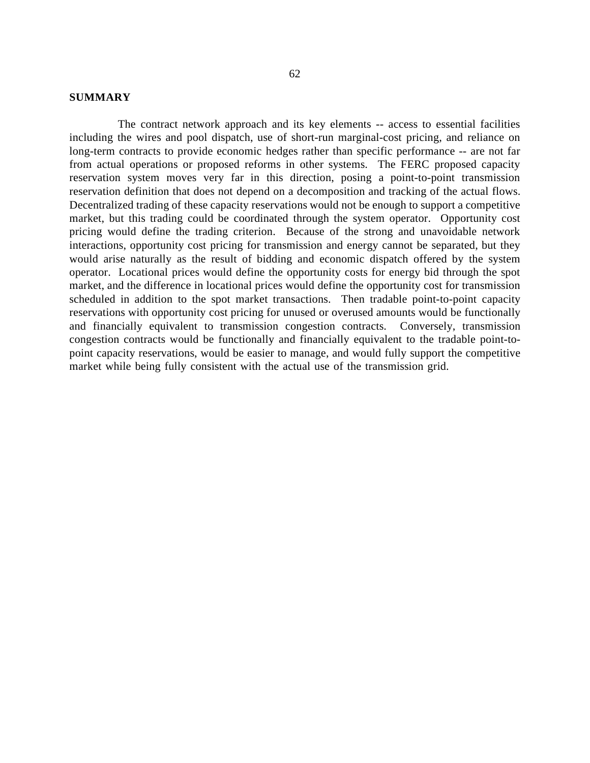### **SUMMARY**

The contract network approach and its key elements -- access to essential facilities including the wires and pool dispatch, use of short-run marginal-cost pricing, and reliance on long-term contracts to provide economic hedges rather than specific performance -- are not far from actual operations or proposed reforms in other systems. The FERC proposed capacity reservation system moves very far in this direction, posing a point-to-point transmission reservation definition that does not depend on a decomposition and tracking of the actual flows. Decentralized trading of these capacity reservations would not be enough to support a competitive market, but this trading could be coordinated through the system operator. Opportunity cost pricing would define the trading criterion. Because of the strong and unavoidable network interactions, opportunity cost pricing for transmission and energy cannot be separated, but they would arise naturally as the result of bidding and economic dispatch offered by the system operator. Locational prices would define the opportunity costs for energy bid through the spot market, and the difference in locational prices would define the opportunity cost for transmission scheduled in addition to the spot market transactions. Then tradable point-to-point capacity reservations with opportunity cost pricing for unused or overused amounts would be functionally and financially equivalent to transmission congestion contracts. Conversely, transmission congestion contracts would be functionally and financially equivalent to the tradable point-topoint capacity reservations, would be easier to manage, and would fully support the competitive market while being fully consistent with the actual use of the transmission grid.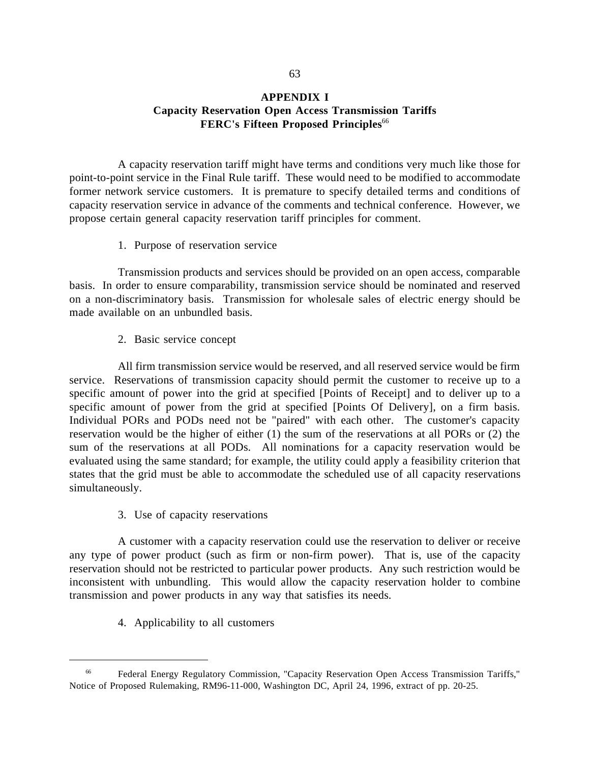# **APPENDIX I Capacity Reservation Open Access Transmission Tariffs FERC's Fifteen Proposed Principles**<sup>66</sup>

A capacity reservation tariff might have terms and conditions very much like those for point-to-point service in the Final Rule tariff. These would need to be modified to accommodate former network service customers. It is premature to specify detailed terms and conditions of capacity reservation service in advance of the comments and technical conference. However, we propose certain general capacity reservation tariff principles for comment.

### 1. Purpose of reservation service

Transmission products and services should be provided on an open access, comparable basis. In order to ensure comparability, transmission service should be nominated and reserved on a non-discriminatory basis. Transmission for wholesale sales of electric energy should be made available on an unbundled basis.

2. Basic service concept

All firm transmission service would be reserved, and all reserved service would be firm service. Reservations of transmission capacity should permit the customer to receive up to a specific amount of power into the grid at specified [Points of Receipt] and to deliver up to a specific amount of power from the grid at specified [Points Of Delivery], on a firm basis. Individual PORs and PODs need not be "paired" with each other. The customer's capacity reservation would be the higher of either (1) the sum of the reservations at all PORs or (2) the sum of the reservations at all PODs. All nominations for a capacity reservation would be evaluated using the same standard; for example, the utility could apply a feasibility criterion that states that the grid must be able to accommodate the scheduled use of all capacity reservations simultaneously.

3. Use of capacity reservations

A customer with a capacity reservation could use the reservation to deliver or receive any type of power product (such as firm or non-firm power). That is, use of the capacity reservation should not be restricted to particular power products. Any such restriction would be inconsistent with unbundling. This would allow the capacity reservation holder to combine transmission and power products in any way that satisfies its needs.

4. Applicability to all customers

 <sup>66</sup> Federal Energy Regulatory Commission, "Capacity Reservation Open Access Transmission Tariffs," Notice of Proposed Rulemaking, RM96-11-000, Washington DC, April 24, 1996, extract of pp. 20-25.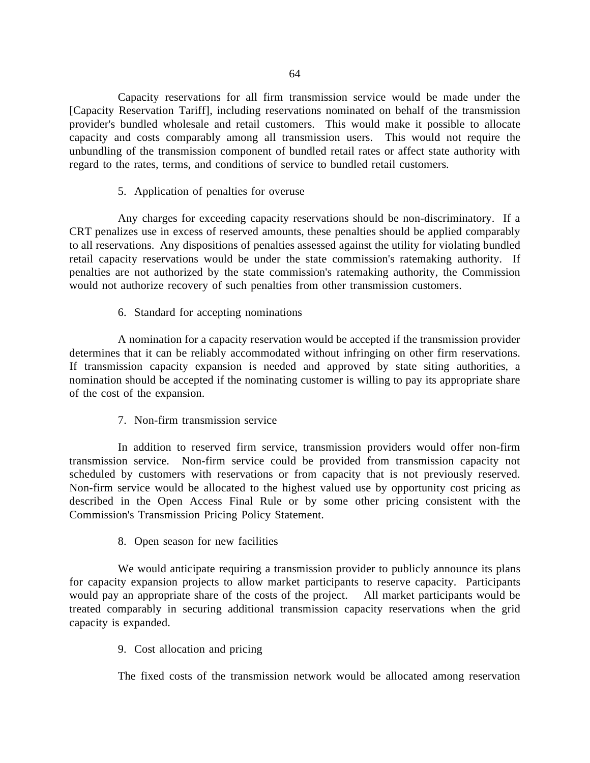Capacity reservations for all firm transmission service would be made under the [Capacity Reservation Tariff], including reservations nominated on behalf of the transmission provider's bundled wholesale and retail customers. This would make it possible to allocate capacity and costs comparably among all transmission users. This would not require the unbundling of the transmission component of bundled retail rates or affect state authority with regard to the rates, terms, and conditions of service to bundled retail customers.

### 5. Application of penalties for overuse

Any charges for exceeding capacity reservations should be non-discriminatory. If a CRT penalizes use in excess of reserved amounts, these penalties should be applied comparably to all reservations. Any dispositions of penalties assessed against the utility for violating bundled retail capacity reservations would be under the state commission's ratemaking authority. If penalties are not authorized by the state commission's ratemaking authority, the Commission would not authorize recovery of such penalties from other transmission customers.

## 6. Standard for accepting nominations

A nomination for a capacity reservation would be accepted if the transmission provider determines that it can be reliably accommodated without infringing on other firm reservations. If transmission capacity expansion is needed and approved by state siting authorities, a nomination should be accepted if the nominating customer is willing to pay its appropriate share of the cost of the expansion.

# 7. Non-firm transmission service

In addition to reserved firm service, transmission providers would offer non-firm transmission service. Non-firm service could be provided from transmission capacity not scheduled by customers with reservations or from capacity that is not previously reserved. Non-firm service would be allocated to the highest valued use by opportunity cost pricing as described in the Open Access Final Rule or by some other pricing consistent with the Commission's Transmission Pricing Policy Statement.

## 8. Open season for new facilities

We would anticipate requiring a transmission provider to publicly announce its plans for capacity expansion projects to allow market participants to reserve capacity. Participants would pay an appropriate share of the costs of the project. All market participants would be treated comparably in securing additional transmission capacity reservations when the grid capacity is expanded.

# 9. Cost allocation and pricing

The fixed costs of the transmission network would be allocated among reservation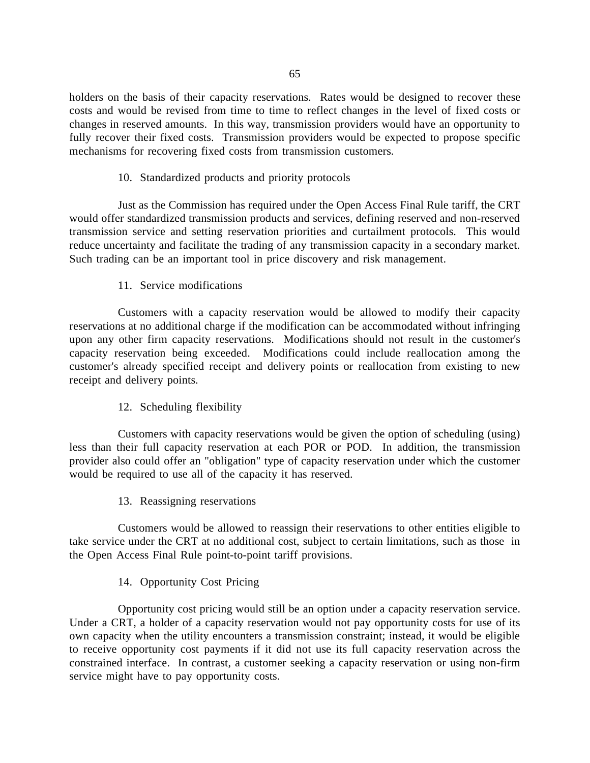holders on the basis of their capacity reservations. Rates would be designed to recover these costs and would be revised from time to time to reflect changes in the level of fixed costs or changes in reserved amounts. In this way, transmission providers would have an opportunity to fully recover their fixed costs. Transmission providers would be expected to propose specific mechanisms for recovering fixed costs from transmission customers.

## 10. Standardized products and priority protocols

Just as the Commission has required under the Open Access Final Rule tariff, the CRT would offer standardized transmission products and services, defining reserved and non-reserved transmission service and setting reservation priorities and curtailment protocols. This would reduce uncertainty and facilitate the trading of any transmission capacity in a secondary market. Such trading can be an important tool in price discovery and risk management.

# 11. Service modifications

Customers with a capacity reservation would be allowed to modify their capacity reservations at no additional charge if the modification can be accommodated without infringing upon any other firm capacity reservations. Modifications should not result in the customer's capacity reservation being exceeded. Modifications could include reallocation among the customer's already specified receipt and delivery points or reallocation from existing to new receipt and delivery points.

# 12. Scheduling flexibility

Customers with capacity reservations would be given the option of scheduling (using) less than their full capacity reservation at each POR or POD. In addition, the transmission provider also could offer an "obligation" type of capacity reservation under which the customer would be required to use all of the capacity it has reserved.

13. Reassigning reservations

Customers would be allowed to reassign their reservations to other entities eligible to take service under the CRT at no additional cost, subject to certain limitations, such as those in the Open Access Final Rule point-to-point tariff provisions.

# 14. Opportunity Cost Pricing

Opportunity cost pricing would still be an option under a capacity reservation service. Under a CRT, a holder of a capacity reservation would not pay opportunity costs for use of its own capacity when the utility encounters a transmission constraint; instead, it would be eligible to receive opportunity cost payments if it did not use its full capacity reservation across the constrained interface. In contrast, a customer seeking a capacity reservation or using non-firm service might have to pay opportunity costs.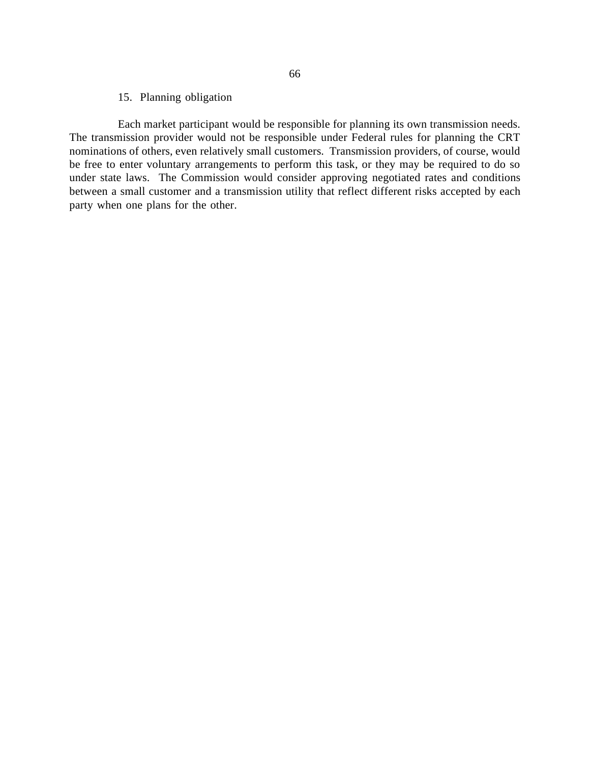### 15. Planning obligation

Each market participant would be responsible for planning its own transmission needs. The transmission provider would not be responsible under Federal rules for planning the CRT nominations of others, even relatively small customers. Transmission providers, of course, would be free to enter voluntary arrangements to perform this task, or they may be required to do so under state laws. The Commission would consider approving negotiated rates and conditions between a small customer and a transmission utility that reflect different risks accepted by each party when one plans for the other.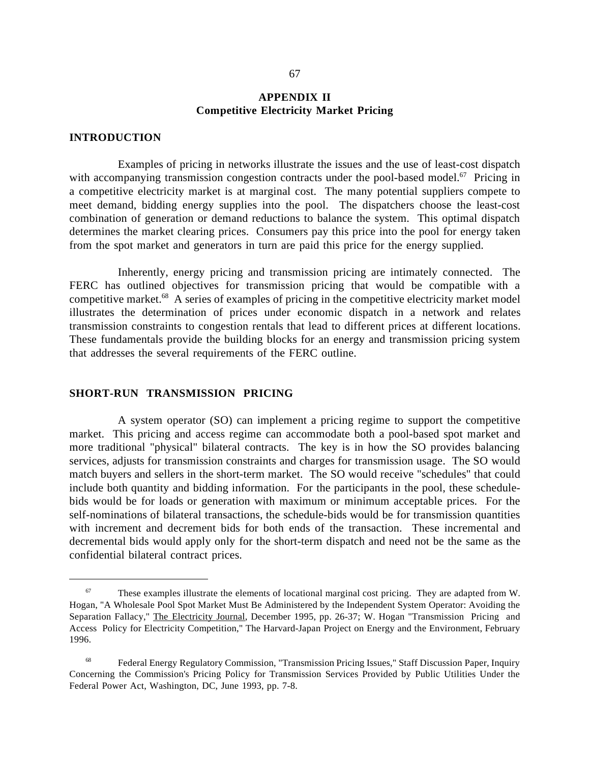## **APPENDIX II Competitive Electricity Market Pricing**

### **INTRODUCTION**

 $\overline{a}$ 

Examples of pricing in networks illustrate the issues and the use of least-cost dispatch with accompanying transmission congestion contracts under the pool-based model.<sup>67</sup> Pricing in a competitive electricity market is at marginal cost. The many potential suppliers compete to meet demand, bidding energy supplies into the pool. The dispatchers choose the least-cost combination of generation or demand reductions to balance the system. This optimal dispatch determines the market clearing prices. Consumers pay this price into the pool for energy taken from the spot market and generators in turn are paid this price for the energy supplied.

Inherently, energy pricing and transmission pricing are intimately connected. The FERC has outlined objectives for transmission pricing that would be compatible with a competitive market.<sup>68</sup> A series of examples of pricing in the competitive electricity market model illustrates the determination of prices under economic dispatch in a network and relates transmission constraints to congestion rentals that lead to different prices at different locations. These fundamentals provide the building blocks for an energy and transmission pricing system that addresses the several requirements of the FERC outline.

#### **SHORT-RUN TRANSMISSION PRICING**

A system operator (SO) can implement a pricing regime to support the competitive market. This pricing and access regime can accommodate both a pool-based spot market and more traditional "physical" bilateral contracts. The key is in how the SO provides balancing services, adjusts for transmission constraints and charges for transmission usage. The SO would match buyers and sellers in the short-term market. The SO would receive "schedules" that could include both quantity and bidding information. For the participants in the pool, these schedulebids would be for loads or generation with maximum or minimum acceptable prices. For the self-nominations of bilateral transactions, the schedule-bids would be for transmission quantities with increment and decrement bids for both ends of the transaction. These incremental and decremental bids would apply only for the short-term dispatch and need not be the same as the confidential bilateral contract prices.

 $67$  These examples illustrate the elements of locational marginal cost pricing. They are adapted from W. Hogan, "A Wholesale Pool Spot Market Must Be Administered by the Independent System Operator: Avoiding the Separation Fallacy," The Electricity Journal, December 1995, pp. 26-37; W. Hogan "Transmission Pricing and Access Policy for Electricity Competition," The Harvard-Japan Project on Energy and the Environment, February 1996.

 <sup>68</sup> Federal Energy Regulatory Commission, "Transmission Pricing Issues," Staff Discussion Paper, Inquiry Concerning the Commission's Pricing Policy for Transmission Services Provided by Public Utilities Under the Federal Power Act, Washington, DC, June 1993, pp. 7-8.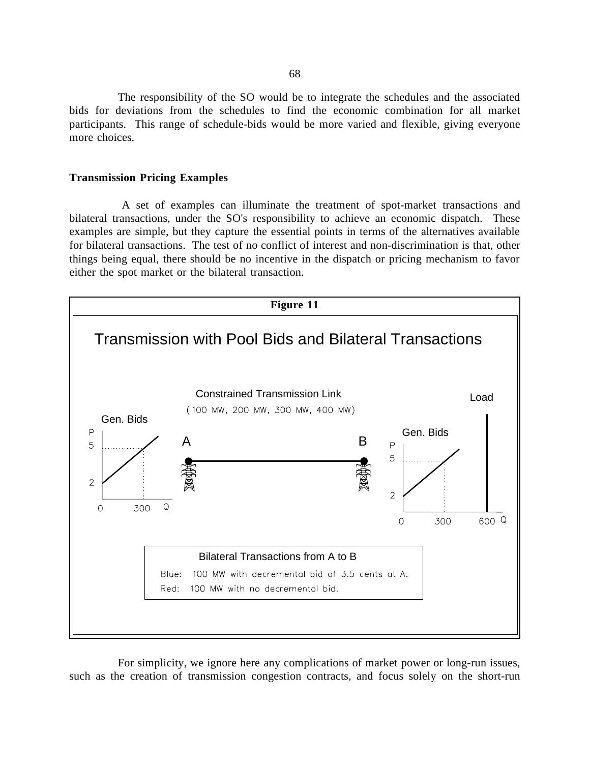The responsibility of the SO would be to integrate the schedules and the associated bids for deviations from the schedules to find the economic combination for all market participants. This range of schedule-bids would be more varied and flexible, giving everyone more choices.

#### **Transmission Pricing Examples**

 A set of examples can illuminate the treatment of spot-market transactions and bilateral transactions, under the SO's responsibility to achieve an economic dispatch. These examples are simple, but they capture the essential points in terms of the alternatives available for bilateral transactions. The test of no conflict of interest and non-discrimination is that, other things being equal, there should be no incentive in the dispatch or pricing mechanism to favor either the spot market or the bilateral transaction.



For simplicity, we ignore here any complications of market power or long-run issues, such as the creation of transmission congestion contracts, and focus solely on the short-run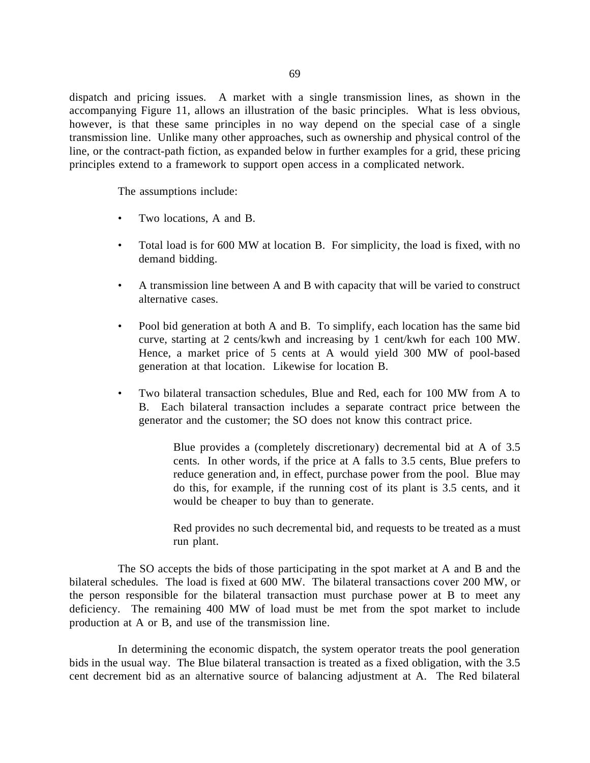dispatch and pricing issues. A market with a single transmission lines, as shown in the accompanying Figure 11, allows an illustration of the basic principles. What is less obvious, however, is that these same principles in no way depend on the special case of a single transmission line. Unlike many other approaches, such as ownership and physical control of the line, or the contract-path fiction, as expanded below in further examples for a grid, these pricing principles extend to a framework to support open access in a complicated network.

The assumptions include:

- Two locations, A and B.
- Total load is for 600 MW at location B. For simplicity, the load is fixed, with no demand bidding.
- A transmission line between A and B with capacity that will be varied to construct alternative cases.
- Pool bid generation at both A and B. To simplify, each location has the same bid curve, starting at 2 cents/kwh and increasing by 1 cent/kwh for each 100 MW. Hence, a market price of 5 cents at A would yield 300 MW of pool-based generation at that location. Likewise for location B.
- Two bilateral transaction schedules, Blue and Red, each for 100 MW from A to B. Each bilateral transaction includes a separate contract price between the generator and the customer; the SO does not know this contract price.

Blue provides a (completely discretionary) decremental bid at A of 3.5 cents. In other words, if the price at A falls to 3.5 cents, Blue prefers to reduce generation and, in effect, purchase power from the pool. Blue may do this, for example, if the running cost of its plant is 3.5 cents, and it would be cheaper to buy than to generate.

Red provides no such decremental bid, and requests to be treated as a must run plant.

The SO accepts the bids of those participating in the spot market at A and B and the bilateral schedules. The load is fixed at 600 MW. The bilateral transactions cover 200 MW, or the person responsible for the bilateral transaction must purchase power at B to meet any deficiency. The remaining 400 MW of load must be met from the spot market to include production at A or B, and use of the transmission line.

In determining the economic dispatch, the system operator treats the pool generation bids in the usual way. The Blue bilateral transaction is treated as a fixed obligation, with the 3.5 cent decrement bid as an alternative source of balancing adjustment at A. The Red bilateral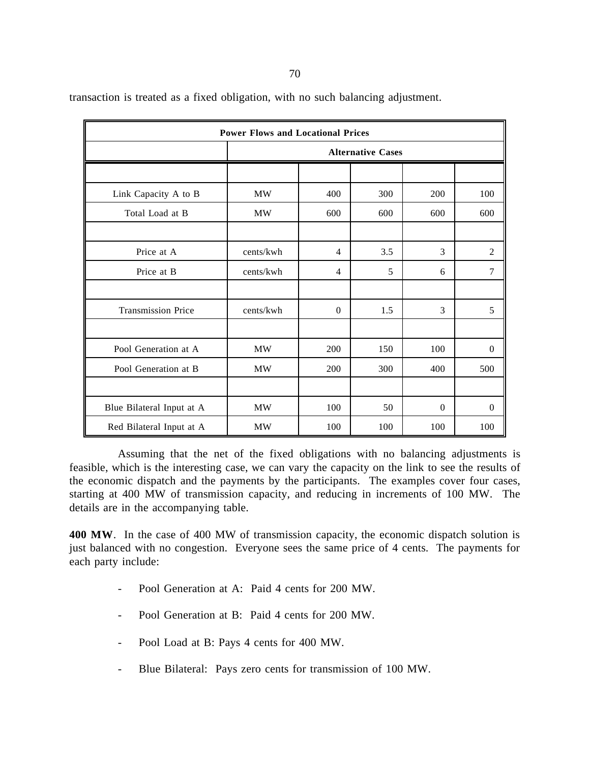transaction is treated as a fixed obligation, with no such balancing adjustment.

| <b>Power Flows and Locational Prices</b> |                          |                |     |                  |                  |  |  |
|------------------------------------------|--------------------------|----------------|-----|------------------|------------------|--|--|
|                                          | <b>Alternative Cases</b> |                |     |                  |                  |  |  |
|                                          |                          |                |     |                  |                  |  |  |
| Link Capacity A to B                     | <b>MW</b>                | 400            | 300 | 200              | 100              |  |  |
| Total Load at B                          | <b>MW</b>                | 600            | 600 | 600              | 600              |  |  |
|                                          |                          |                |     |                  |                  |  |  |
| Price at A                               | cents/kwh                | $\overline{4}$ | 3.5 | 3                | $\overline{c}$   |  |  |
| Price at B                               | cents/kwh                | $\overline{4}$ | 5   | 6                | 7                |  |  |
|                                          |                          |                |     |                  |                  |  |  |
| <b>Transmission Price</b>                | cents/kwh                | $\Omega$       | 1.5 | 3                | 5                |  |  |
|                                          |                          |                |     |                  |                  |  |  |
| Pool Generation at A                     | MW                       | 200            | 150 | 100              | $\overline{0}$   |  |  |
| Pool Generation at B                     | <b>MW</b>                | 200            | 300 | 400              | 500              |  |  |
|                                          |                          |                |     |                  |                  |  |  |
| Blue Bilateral Input at A                | <b>MW</b>                | 100            | 50  | $\boldsymbol{0}$ | $\boldsymbol{0}$ |  |  |
| Red Bilateral Input at A                 | <b>MW</b>                | 100            | 100 | 100              | 100              |  |  |

Assuming that the net of the fixed obligations with no balancing adjustments is feasible, which is the interesting case, we can vary the capacity on the link to see the results of the economic dispatch and the payments by the participants. The examples cover four cases, starting at 400 MW of transmission capacity, and reducing in increments of 100 MW. The details are in the accompanying table.

**400 MW**. In the case of 400 MW of transmission capacity, the economic dispatch solution is just balanced with no congestion. Everyone sees the same price of 4 cents. The payments for each party include:

- Pool Generation at A: Paid 4 cents for 200 MW.
- Pool Generation at B: Paid 4 cents for 200 MW.
- Pool Load at B: Pays 4 cents for 400 MW.
- Blue Bilateral: Pays zero cents for transmission of 100 MW.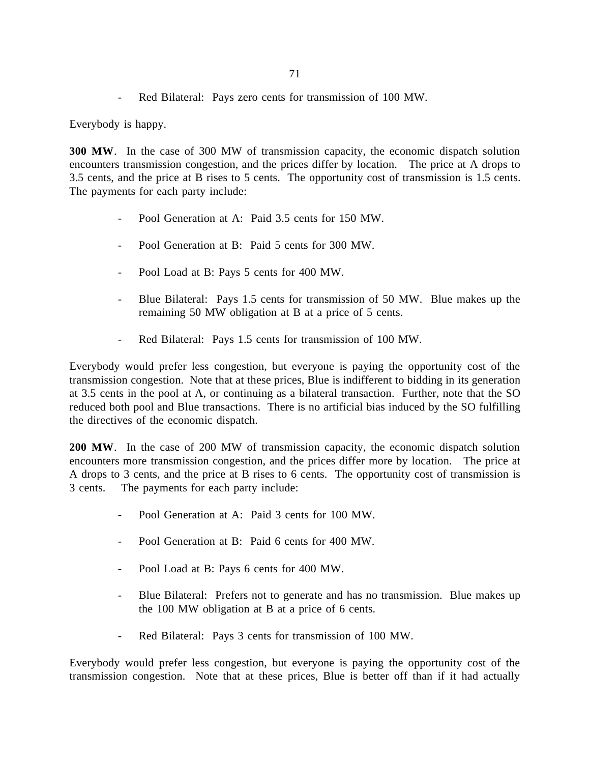- Red Bilateral: Pays zero cents for transmission of 100 MW.

Everybody is happy.

**300 MW**. In the case of 300 MW of transmission capacity, the economic dispatch solution encounters transmission congestion, and the prices differ by location. The price at A drops to 3.5 cents, and the price at B rises to 5 cents. The opportunity cost of transmission is 1.5 cents. The payments for each party include:

- Pool Generation at A: Paid 3.5 cents for 150 MW.
- Pool Generation at B: Paid 5 cents for 300 MW.
- Pool Load at B: Pays 5 cents for 400 MW.
- Blue Bilateral: Pays 1.5 cents for transmission of 50 MW. Blue makes up the remaining 50 MW obligation at B at a price of 5 cents.
- Red Bilateral: Pays 1.5 cents for transmission of 100 MW.

Everybody would prefer less congestion, but everyone is paying the opportunity cost of the transmission congestion. Note that at these prices, Blue is indifferent to bidding in its generation at 3.5 cents in the pool at A, or continuing as a bilateral transaction. Further, note that the SO reduced both pool and Blue transactions. There is no artificial bias induced by the SO fulfilling the directives of the economic dispatch.

**200 MW**. In the case of 200 MW of transmission capacity, the economic dispatch solution encounters more transmission congestion, and the prices differ more by location. The price at A drops to 3 cents, and the price at B rises to 6 cents. The opportunity cost of transmission is 3 cents. The payments for each party include:

- Pool Generation at A: Paid 3 cents for 100 MW.
- Pool Generation at B: Paid 6 cents for 400 MW.
- Pool Load at B: Pays 6 cents for 400 MW.
- Blue Bilateral: Prefers not to generate and has no transmission. Blue makes up the 100 MW obligation at B at a price of 6 cents.
- Red Bilateral: Pays 3 cents for transmission of 100 MW.

Everybody would prefer less congestion, but everyone is paying the opportunity cost of the transmission congestion. Note that at these prices, Blue is better off than if it had actually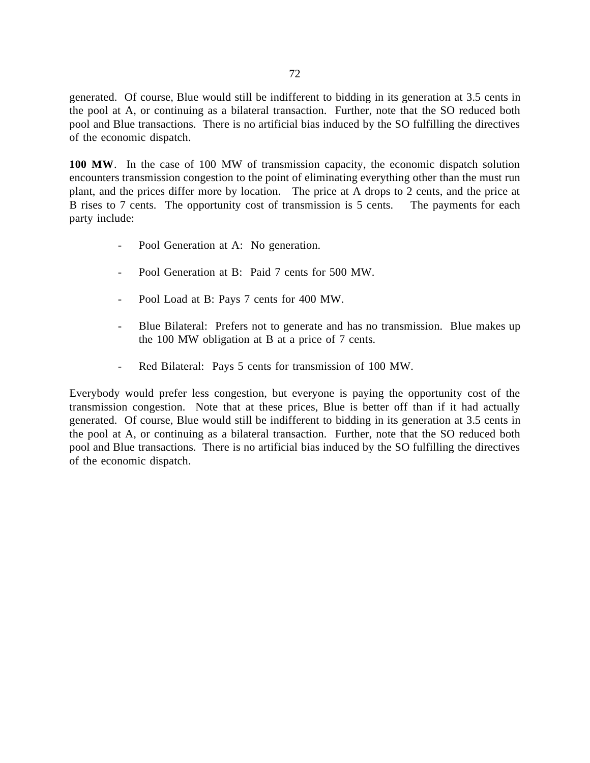generated. Of course, Blue would still be indifferent to bidding in its generation at 3.5 cents in the pool at A, or continuing as a bilateral transaction. Further, note that the SO reduced both pool and Blue transactions. There is no artificial bias induced by the SO fulfilling the directives of the economic dispatch.

**100 MW**. In the case of 100 MW of transmission capacity, the economic dispatch solution encounters transmission congestion to the point of eliminating everything other than the must run plant, and the prices differ more by location. The price at A drops to 2 cents, and the price at B rises to 7 cents. The opportunity cost of transmission is 5 cents. The payments for each party include:

- Pool Generation at A: No generation.
- Pool Generation at B: Paid 7 cents for 500 MW.
- Pool Load at B: Pays 7 cents for 400 MW.
- Blue Bilateral: Prefers not to generate and has no transmission. Blue makes up the 100 MW obligation at B at a price of 7 cents.
- Red Bilateral: Pays 5 cents for transmission of 100 MW.

Everybody would prefer less congestion, but everyone is paying the opportunity cost of the transmission congestion. Note that at these prices, Blue is better off than if it had actually generated. Of course, Blue would still be indifferent to bidding in its generation at 3.5 cents in the pool at A, or continuing as a bilateral transaction. Further, note that the SO reduced both pool and Blue transactions. There is no artificial bias induced by the SO fulfilling the directives of the economic dispatch.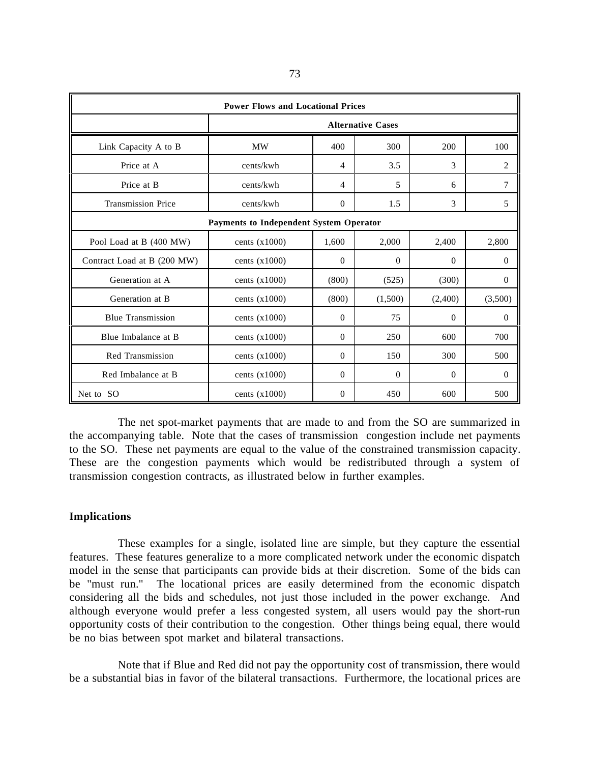| <b>Power Flows and Locational Prices</b> |                          |                |          |          |                |  |  |
|------------------------------------------|--------------------------|----------------|----------|----------|----------------|--|--|
|                                          | <b>Alternative Cases</b> |                |          |          |                |  |  |
| Link Capacity A to B                     | <b>MW</b>                | 400            | 300      | 200      | 100            |  |  |
| Price at A                               | cents/kwh                | $\overline{4}$ | 3.5      | 3        | $\overline{2}$ |  |  |
| Price at B                               | cents/kwh                | $\overline{4}$ | 5        | 6        | 7              |  |  |
| <b>Transmission Price</b>                | cents/kwh                | $\theta$       | 1.5      | 3        | 5              |  |  |
| Payments to Independent System Operator  |                          |                |          |          |                |  |  |
| Pool Load at B (400 MW)                  | cents $(x1000)$          | 1,600          | 2.000    | 2,400    | 2,800          |  |  |
| Contract Load at B (200 MW)              | cents $(x1000)$          | $\theta$       | $\Omega$ | $\Omega$ | $\theta$       |  |  |
| Generation at A                          | cents $(x1000)$          | (800)          | (525)    | (300)    | $\Omega$       |  |  |
| Generation at B                          | cents $(x1000)$          | (800)          | (1,500)  | (2,400)  | (3,500)        |  |  |
| <b>Blue Transmission</b>                 | cents $(x1000)$          | $\theta$       | 75       | $\Omega$ | $\theta$       |  |  |
| Blue Imbalance at B                      | cents $(x1000)$          | $\Omega$       | 250      | 600      | 700            |  |  |
| <b>Red Transmission</b>                  | cents $(x1000)$          | $\theta$       | 150      | 300      | 500            |  |  |
| Red Imbalance at B                       | cents $(x1000)$          | $\theta$       | $\theta$ | $\Omega$ | $\overline{0}$ |  |  |
| Net to SO                                | cents $(x1000)$          | $\Omega$       | 450      | 600      | 500            |  |  |

The net spot-market payments that are made to and from the SO are summarized in the accompanying table. Note that the cases of transmission congestion include net payments to the SO. These net payments are equal to the value of the constrained transmission capacity. These are the congestion payments which would be redistributed through a system of transmission congestion contracts, as illustrated below in further examples.

## **Implications**

These examples for a single, isolated line are simple, but they capture the essential features. These features generalize to a more complicated network under the economic dispatch model in the sense that participants can provide bids at their discretion. Some of the bids can be "must run." The locational prices are easily determined from the economic dispatch considering all the bids and schedules, not just those included in the power exchange. And although everyone would prefer a less congested system, all users would pay the short-run opportunity costs of their contribution to the congestion. Other things being equal, there would be no bias between spot market and bilateral transactions.

Note that if Blue and Red did not pay the opportunity cost of transmission, there would be a substantial bias in favor of the bilateral transactions. Furthermore, the locational prices are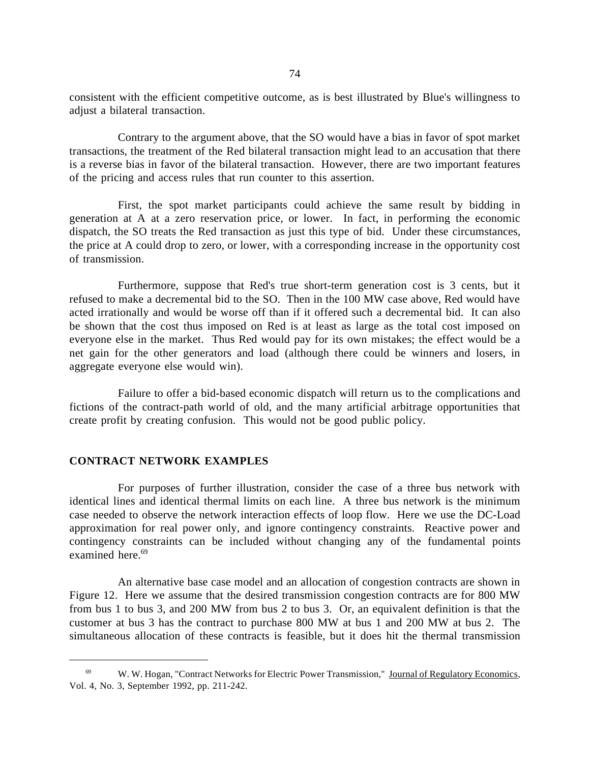consistent with the efficient competitive outcome, as is best illustrated by Blue's willingness to adjust a bilateral transaction.

Contrary to the argument above, that the SO would have a bias in favor of spot market transactions, the treatment of the Red bilateral transaction might lead to an accusation that there is a reverse bias in favor of the bilateral transaction. However, there are two important features of the pricing and access rules that run counter to this assertion.

First, the spot market participants could achieve the same result by bidding in generation at A at a zero reservation price, or lower. In fact, in performing the economic dispatch, the SO treats the Red transaction as just this type of bid. Under these circumstances, the price at A could drop to zero, or lower, with a corresponding increase in the opportunity cost of transmission.

Furthermore, suppose that Red's true short-term generation cost is 3 cents, but it refused to make a decremental bid to the SO. Then in the 100 MW case above, Red would have acted irrationally and would be worse off than if it offered such a decremental bid. It can also be shown that the cost thus imposed on Red is at least as large as the total cost imposed on everyone else in the market. Thus Red would pay for its own mistakes; the effect would be a net gain for the other generators and load (although there could be winners and losers, in aggregate everyone else would win).

Failure to offer a bid-based economic dispatch will return us to the complications and fictions of the contract-path world of old, and the many artificial arbitrage opportunities that create profit by creating confusion. This would not be good public policy.

### **CONTRACT NETWORK EXAMPLES**

 $\overline{a}$ 

For purposes of further illustration, consider the case of a three bus network with identical lines and identical thermal limits on each line. A three bus network is the minimum case needed to observe the network interaction effects of loop flow. Here we use the DC-Load approximation for real power only, and ignore contingency constraints. Reactive power and contingency constraints can be included without changing any of the fundamental points examined here.<sup>69</sup>

An alternative base case model and an allocation of congestion contracts are shown in Figure 12. Here we assume that the desired transmission congestion contracts are for 800 MW from bus 1 to bus 3, and 200 MW from bus 2 to bus 3. Or, an equivalent definition is that the customer at bus 3 has the contract to purchase 800 MW at bus 1 and 200 MW at bus 2. The simultaneous allocation of these contracts is feasible, but it does hit the thermal transmission

 <sup>69</sup> W. W. Hogan, "Contract Networks for Electric Power Transmission," Journal of Regulatory Economics, Vol. 4, No. 3, September 1992, pp. 211-242.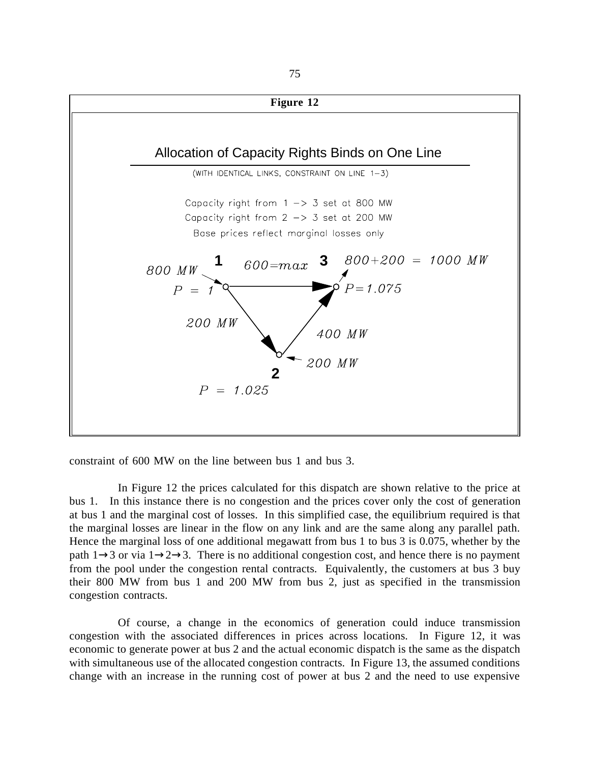

constraint of 600 MW on the line between bus 1 and bus 3.

In Figure 12 the prices calculated for this dispatch are shown relative to the price at bus 1. In this instance there is no congestion and the prices cover only the cost of generation at bus 1 and the marginal cost of losses. In this simplified case, the equilibrium required is that the marginal losses are linear in the flow on any link and are the same along any parallel path. Hence the marginal loss of one additional megawatt from bus 1 to bus 3 is 0.075, whether by the path  $1\rightarrow 3$  or via  $1\rightarrow 2\rightarrow 3$ . There is no additional congestion cost, and hence there is no payment from the pool under the congestion rental contracts. Equivalently, the customers at bus 3 buy their 800 MW from bus 1 and 200 MW from bus 2, just as specified in the transmission congestion contracts.

Of course, a change in the economics of generation could induce transmission congestion with the associated differences in prices across locations. In Figure 12, it was economic to generate power at bus 2 and the actual economic dispatch is the same as the dispatch with simultaneous use of the allocated congestion contracts. In Figure 13, the assumed conditions change with an increase in the running cost of power at bus 2 and the need to use expensive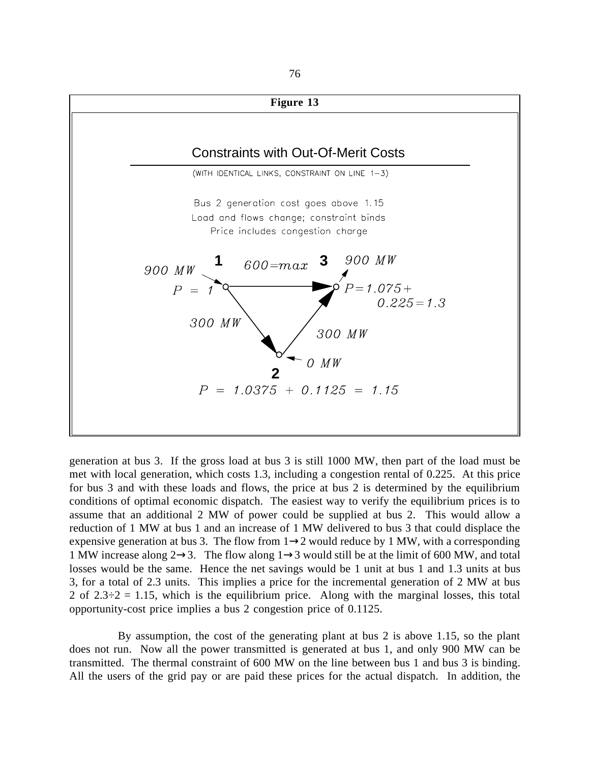

generation at bus 3. If the gross load at bus 3 is still 1000 MW, then part of the load must be met with local generation, which costs 1.3, including a congestion rental of 0.225. At this price for bus 3 and with these loads and flows, the price at bus 2 is determined by the equilibrium conditions of optimal economic dispatch. The easiest way to verify the equilibrium prices is to assume that an additional 2 MW of power could be supplied at bus 2. This would allow a reduction of 1 MW at bus 1 and an increase of 1 MW delivered to bus 3 that could displace the expensive generation at bus 3. The flow from  $1\rightarrow 2$  would reduce by 1 MW, with a corresponding 1 MW increase along  $2\rightarrow 3$ . The flow along  $1\rightarrow 3$  would still be at the limit of 600 MW, and total losses would be the same. Hence the net savings would be 1 unit at bus 1 and 1.3 units at bus 3, for a total of 2.3 units. This implies a price for the incremental generation of 2 MW at bus 2 of  $2.3\div 2 = 1.15$ , which is the equilibrium price. Along with the marginal losses, this total opportunity-cost price implies a bus 2 congestion price of 0.1125.

By assumption, the cost of the generating plant at bus 2 is above 1.15, so the plant does not run. Now all the power transmitted is generated at bus 1, and only 900 MW can be transmitted. The thermal constraint of 600 MW on the line between bus 1 and bus 3 is binding. All the users of the grid pay or are paid these prices for the actual dispatch. In addition, the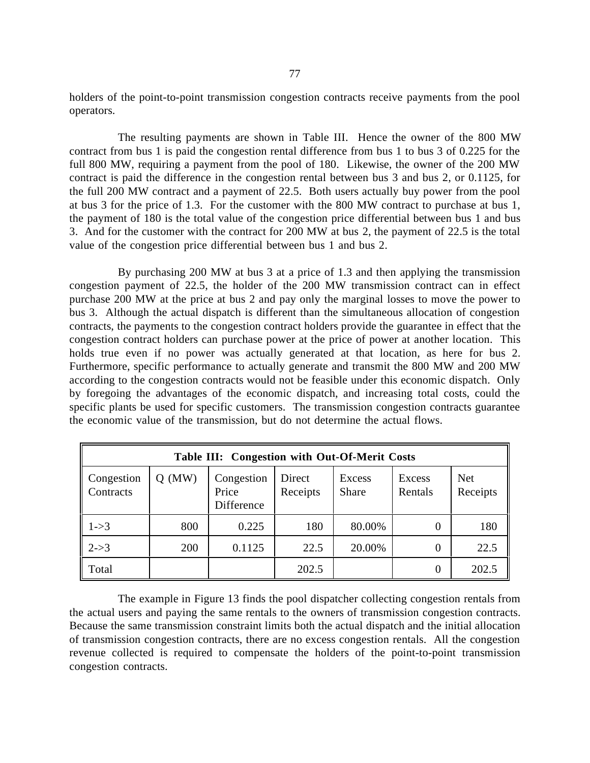holders of the point-to-point transmission congestion contracts receive payments from the pool operators.

The resulting payments are shown in Table III. Hence the owner of the 800 MW contract from bus 1 is paid the congestion rental difference from bus 1 to bus 3 of 0.225 for the full 800 MW, requiring a payment from the pool of 180. Likewise, the owner of the 200 MW contract is paid the difference in the congestion rental between bus 3 and bus 2, or 0.1125, for the full 200 MW contract and a payment of 22.5. Both users actually buy power from the pool at bus 3 for the price of 1.3. For the customer with the 800 MW contract to purchase at bus 1, the payment of 180 is the total value of the congestion price differential between bus 1 and bus 3. And for the customer with the contract for 200 MW at bus 2, the payment of 22.5 is the total value of the congestion price differential between bus 1 and bus 2.

By purchasing 200 MW at bus 3 at a price of 1.3 and then applying the transmission congestion payment of 22.5, the holder of the 200 MW transmission contract can in effect purchase 200 MW at the price at bus 2 and pay only the marginal losses to move the power to bus 3. Although the actual dispatch is different than the simultaneous allocation of congestion contracts, the payments to the congestion contract holders provide the guarantee in effect that the congestion contract holders can purchase power at the price of power at another location. This holds true even if no power was actually generated at that location, as here for bus 2. Furthermore, specific performance to actually generate and transmit the 800 MW and 200 MW according to the congestion contracts would not be feasible under this economic dispatch. Only by foregoing the advantages of the economic dispatch, and increasing total costs, could the specific plants be used for specific customers. The transmission congestion contracts guarantee the economic value of the transmission, but do not determine the actual flows.

| Table III: Congestion with Out-Of-Merit Costs |                                                                                                                                              |        |       |        |          |       |  |  |
|-----------------------------------------------|----------------------------------------------------------------------------------------------------------------------------------------------|--------|-------|--------|----------|-------|--|--|
| Congestion<br>Contracts                       | $Q$ (MW)<br>Congestion<br><b>Net</b><br>Direct<br>Excess<br>Excess<br>Receipts<br>Receipts<br>Price<br>Rentals<br><b>Share</b><br>Difference |        |       |        |          |       |  |  |
| $1 - > 3$                                     | 800                                                                                                                                          | 0.225  | 180   | 80.00% | $\theta$ | 180   |  |  |
| $2 - > 3$                                     | 200                                                                                                                                          | 0.1125 | 22.5  | 20.00% | 0        | 22.5  |  |  |
| Total                                         |                                                                                                                                              |        | 202.5 |        | 0        | 202.5 |  |  |

The example in Figure 13 finds the pool dispatcher collecting congestion rentals from the actual users and paying the same rentals to the owners of transmission congestion contracts. Because the same transmission constraint limits both the actual dispatch and the initial allocation of transmission congestion contracts, there are no excess congestion rentals. All the congestion revenue collected is required to compensate the holders of the point-to-point transmission congestion contracts.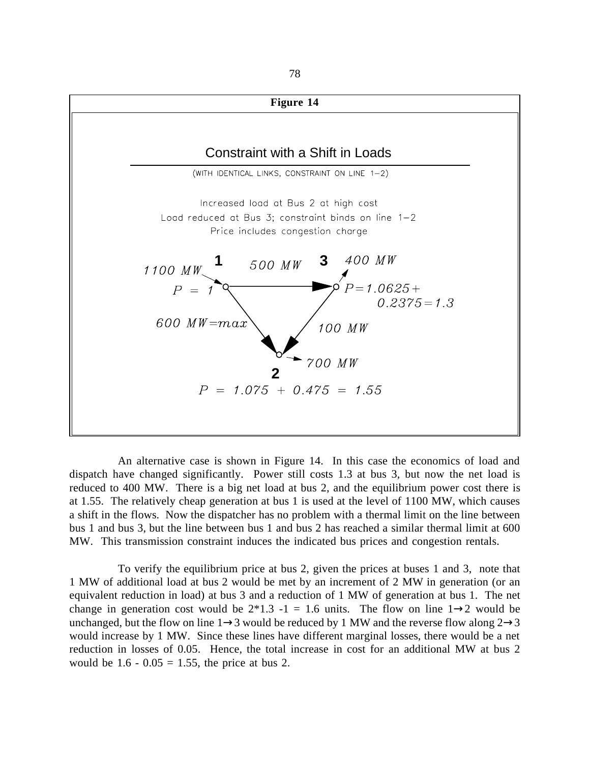

An alternative case is shown in Figure 14. In this case the economics of load and dispatch have changed significantly. Power still costs 1.3 at bus 3, but now the net load is reduced to 400 MW. There is a big net load at bus 2, and the equilibrium power cost there is at 1.55. The relatively cheap generation at bus 1 is used at the level of 1100 MW, which causes a shift in the flows. Now the dispatcher has no problem with a thermal limit on the line between bus 1 and bus 3, but the line between bus 1 and bus 2 has reached a similar thermal limit at 600 MW. This transmission constraint induces the indicated bus prices and congestion rentals.

To verify the equilibrium price at bus 2, given the prices at buses 1 and 3, note that 1 MW of additional load at bus 2 would be met by an increment of 2 MW in generation (or an equivalent reduction in load) at bus 3 and a reduction of 1 MW of generation at bus 1. The net change in generation cost would be  $2*1.3 -1 = 1.6$  units. The flow on line  $1\rightarrow 2$  would be unchanged, but the flow on line  $1\rightarrow 3$  would be reduced by 1 MW and the reverse flow along  $2\rightarrow 3$ would increase by 1 MW. Since these lines have different marginal losses, there would be a net reduction in losses of 0.05. Hence, the total increase in cost for an additional MW at bus 2 would be  $1.6 - 0.05 = 1.55$ , the price at bus 2.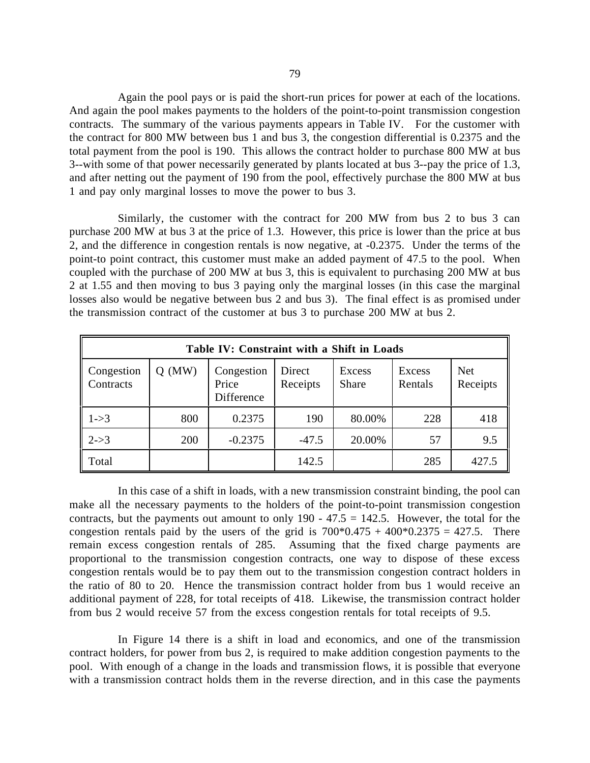Again the pool pays or is paid the short-run prices for power at each of the locations. And again the pool makes payments to the holders of the point-to-point transmission congestion contracts. The summary of the various payments appears in Table IV. For the customer with the contract for 800 MW between bus 1 and bus 3, the congestion differential is 0.2375 and the total payment from the pool is 190. This allows the contract holder to purchase 800 MW at bus 3--with some of that power necessarily generated by plants located at bus 3--pay the price of 1.3, and after netting out the payment of 190 from the pool, effectively purchase the 800 MW at bus 1 and pay only marginal losses to move the power to bus 3.

Similarly, the customer with the contract for 200 MW from bus 2 to bus 3 can purchase 200 MW at bus 3 at the price of 1.3. However, this price is lower than the price at bus 2, and the difference in congestion rentals is now negative, at -0.2375. Under the terms of the point-to point contract, this customer must make an added payment of 47.5 to the pool. When coupled with the purchase of 200 MW at bus 3, this is equivalent to purchasing 200 MW at bus 2 at 1.55 and then moving to bus 3 paying only the marginal losses (in this case the marginal losses also would be negative between bus 2 and bus 3). The final effect is as promised under the transmission contract of the customer at bus 3 to purchase 200 MW at bus 2.

| Table IV: Constraint with a Shift in Loads |          |                                   |                    |                        |                   |                        |  |  |
|--------------------------------------------|----------|-----------------------------------|--------------------|------------------------|-------------------|------------------------|--|--|
| Congestion<br>Contracts                    | $Q$ (MW) | Congestion<br>Price<br>Difference | Direct<br>Receipts | Excess<br><b>Share</b> | Excess<br>Rentals | <b>Net</b><br>Receipts |  |  |
| $1 - > 3$                                  | 800      | 0.2375                            | 190                | 80.00%                 | 228               | 418                    |  |  |
| $2 - > 3$                                  | 200      | $-0.2375$                         | $-47.5$            | 20.00%                 | 57                | 9.5                    |  |  |
| Total                                      |          |                                   | 142.5              |                        | 285               | 427.5                  |  |  |

In this case of a shift in loads, with a new transmission constraint binding, the pool can make all the necessary payments to the holders of the point-to-point transmission congestion contracts, but the payments out amount to only  $190 - 47.5 = 142.5$ . However, the total for the congestion rentals paid by the users of the grid is  $700*0.475 + 400*0.2375 = 427.5$ . There remain excess congestion rentals of 285. Assuming that the fixed charge payments are proportional to the transmission congestion contracts, one way to dispose of these excess congestion rentals would be to pay them out to the transmission congestion contract holders in the ratio of 80 to 20. Hence the transmission contract holder from bus 1 would receive an additional payment of 228, for total receipts of 418. Likewise, the transmission contract holder from bus 2 would receive 57 from the excess congestion rentals for total receipts of 9.5.

In Figure 14 there is a shift in load and economics, and one of the transmission contract holders, for power from bus 2, is required to make addition congestion payments to the pool. With enough of a change in the loads and transmission flows, it is possible that everyone with a transmission contract holds them in the reverse direction, and in this case the payments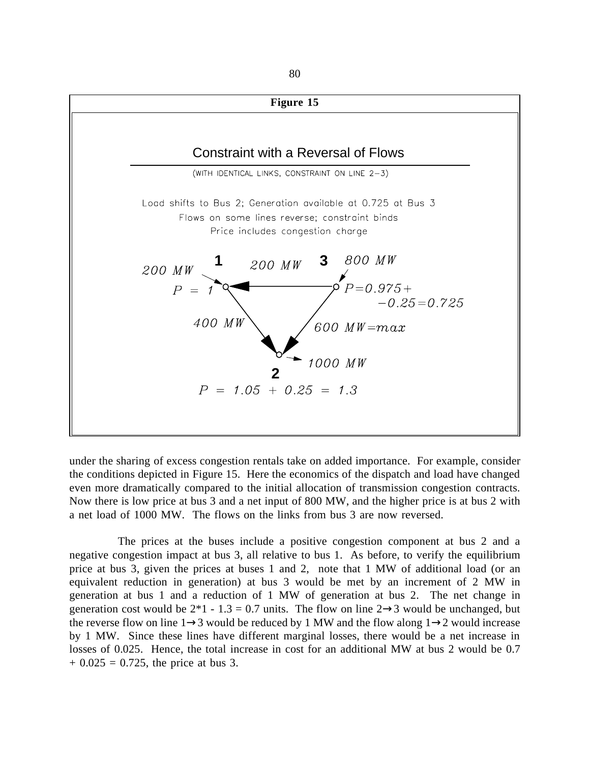

under the sharing of excess congestion rentals take on added importance. For example, consider the conditions depicted in Figure 15. Here the economics of the dispatch and load have changed even more dramatically compared to the initial allocation of transmission congestion contracts. Now there is low price at bus 3 and a net input of 800 MW, and the higher price is at bus 2 with a net load of 1000 MW. The flows on the links from bus 3 are now reversed.

The prices at the buses include a positive congestion component at bus 2 and a negative congestion impact at bus 3, all relative to bus 1. As before, to verify the equilibrium price at bus 3, given the prices at buses 1 and 2, note that 1 MW of additional load (or an equivalent reduction in generation) at bus 3 would be met by an increment of 2 MW in generation at bus 1 and a reduction of 1 MW of generation at bus 2. The net change in generation cost would be  $2*1 - 1.3 = 0.7$  units. The flow on line  $2 \rightarrow 3$  would be unchanged, but the reverse flow on line 1→3 would be reduced by 1 MW and the flow along 1→2 would increase by 1 MW. Since these lines have different marginal losses, there would be a net increase in losses of 0.025. Hence, the total increase in cost for an additional MW at bus 2 would be 0.7  $+ 0.025 = 0.725$ , the price at bus 3.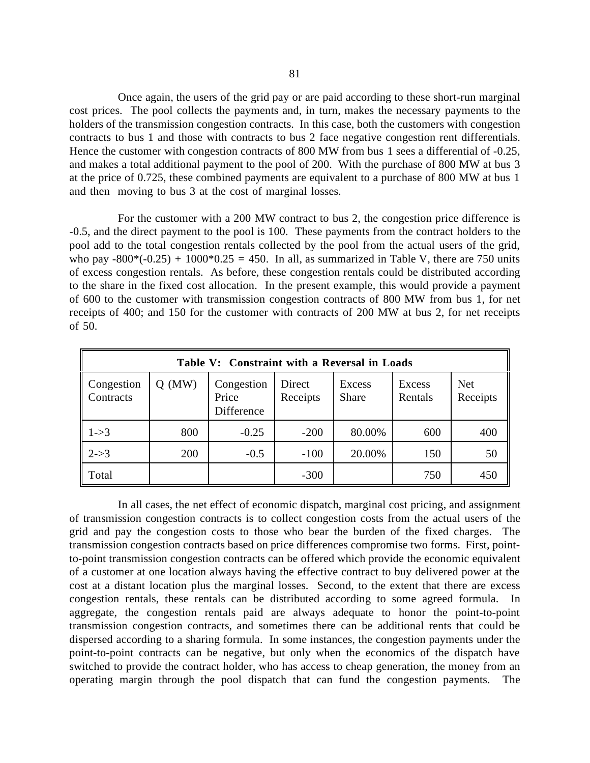Once again, the users of the grid pay or are paid according to these short-run marginal cost prices. The pool collects the payments and, in turn, makes the necessary payments to the holders of the transmission congestion contracts. In this case, both the customers with congestion contracts to bus 1 and those with contracts to bus 2 face negative congestion rent differentials. Hence the customer with congestion contracts of 800 MW from bus 1 sees a differential of -0.25, and makes a total additional payment to the pool of 200. With the purchase of 800 MW at bus 3 at the price of 0.725, these combined payments are equivalent to a purchase of 800 MW at bus 1 and then moving to bus 3 at the cost of marginal losses.

For the customer with a 200 MW contract to bus 2, the congestion price difference is -0.5, and the direct payment to the pool is 100. These payments from the contract holders to the pool add to the total congestion rentals collected by the pool from the actual users of the grid, who pay  $-800*(-0.25) + 1000*0.25 = 450$ . In all, as summarized in Table V, there are 750 units of excess congestion rentals. As before, these congestion rentals could be distributed according to the share in the fixed cost allocation. In the present example, this would provide a payment of 600 to the customer with transmission congestion contracts of 800 MW from bus 1, for net receipts of 400; and 150 for the customer with contracts of 200 MW at bus 2, for net receipts of 50.

| Table V: Constraint with a Reversal in Loads |          |                                   |                    |                               |                   |                        |  |  |
|----------------------------------------------|----------|-----------------------------------|--------------------|-------------------------------|-------------------|------------------------|--|--|
| Congestion<br>Contracts                      | $Q$ (MW) | Congestion<br>Price<br>Difference | Direct<br>Receipts | <b>Excess</b><br><b>Share</b> | Excess<br>Rentals | <b>Net</b><br>Receipts |  |  |
| $1 - > 3$                                    | 800      | $-0.25$                           | $-200$             | 80.00%                        | 600               | 400                    |  |  |
| $2 - > 3$                                    | 200      | $-0.5$                            | $-100$             | 20.00%                        | 150               | 50                     |  |  |
| Total                                        |          |                                   | $-300$             |                               | 750               | 450                    |  |  |

In all cases, the net effect of economic dispatch, marginal cost pricing, and assignment of transmission congestion contracts is to collect congestion costs from the actual users of the grid and pay the congestion costs to those who bear the burden of the fixed charges. The transmission congestion contracts based on price differences compromise two forms. First, pointto-point transmission congestion contracts can be offered which provide the economic equivalent of a customer at one location always having the effective contract to buy delivered power at the cost at a distant location plus the marginal losses. Second, to the extent that there are excess congestion rentals, these rentals can be distributed according to some agreed formula. In aggregate, the congestion rentals paid are always adequate to honor the point-to-point transmission congestion contracts, and sometimes there can be additional rents that could be dispersed according to a sharing formula. In some instances, the congestion payments under the point-to-point contracts can be negative, but only when the economics of the dispatch have switched to provide the contract holder, who has access to cheap generation, the money from an operating margin through the pool dispatch that can fund the congestion payments. The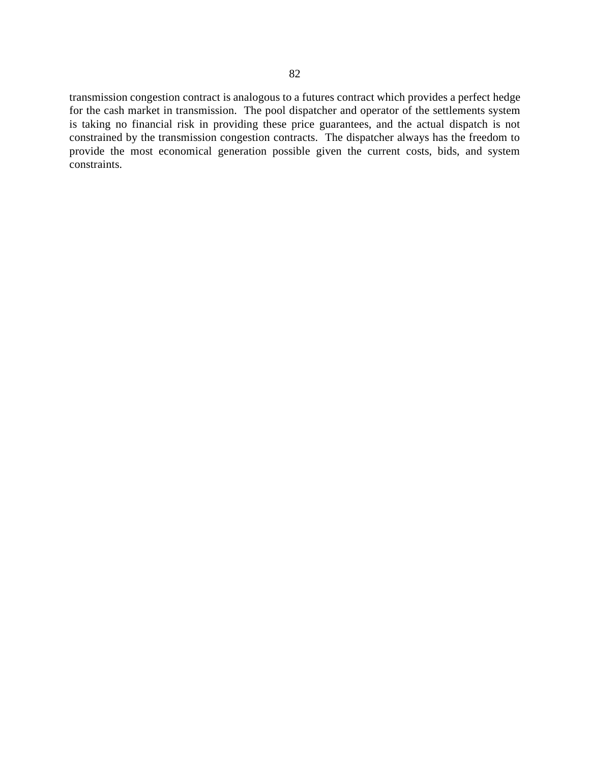transmission congestion contract is analogous to a futures contract which provides a perfect hedge for the cash market in transmission. The pool dispatcher and operator of the settlements system is taking no financial risk in providing these price guarantees, and the actual dispatch is not constrained by the transmission congestion contracts. The dispatcher always has the freedom to provide the most economical generation possible given the current costs, bids, and system constraints.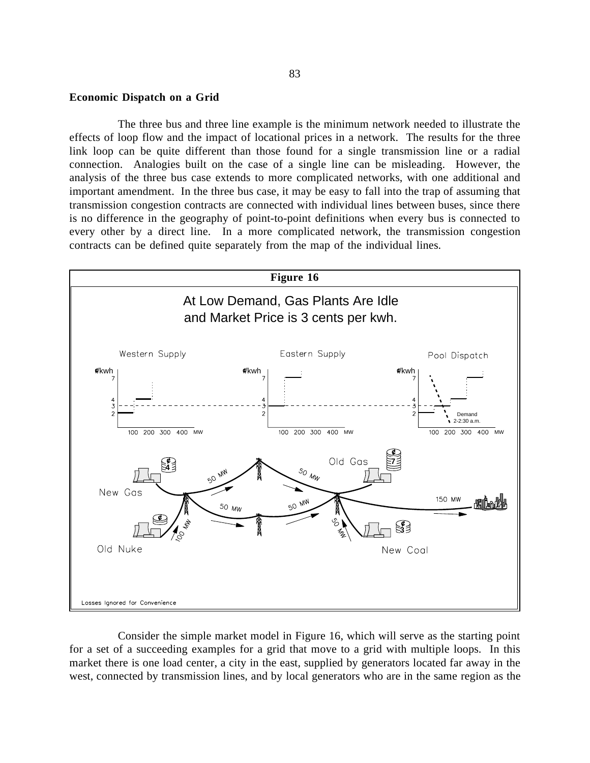#### **Economic Dispatch on a Grid**

The three bus and three line example is the minimum network needed to illustrate the effects of loop flow and the impact of locational prices in a network. The results for the three link loop can be quite different than those found for a single transmission line or a radial connection. Analogies built on the case of a single line can be misleading. However, the analysis of the three bus case extends to more complicated networks, with one additional and important amendment. In the three bus case, it may be easy to fall into the trap of assuming that transmission congestion contracts are connected with individual lines between buses, since there is no difference in the geography of point-to-point definitions when every bus is connected to every other by a direct line. In a more complicated network, the transmission congestion contracts can be defined quite separately from the map of the individual lines.



Consider the simple market model in Figure 16, which will serve as the starting point for a set of a succeeding examples for a grid that move to a grid with multiple loops. In this market there is one load center, a city in the east, supplied by generators located far away in the west, connected by transmission lines, and by local generators who are in the same region as the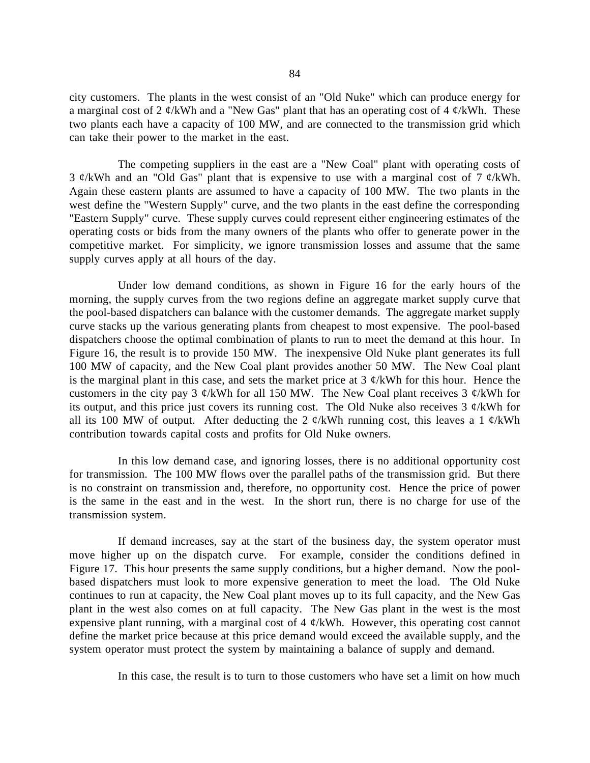city customers. The plants in the west consist of an "Old Nuke" which can produce energy for a marginal cost of 2  $\phi$ /kWh and a "New Gas" plant that has an operating cost of 4  $\phi$ /kWh. These two plants each have a capacity of 100 MW, and are connected to the transmission grid which can take their power to the market in the east.

The competing suppliers in the east are a "New Coal" plant with operating costs of 3  $\phi$ /kWh and an "Old Gas" plant that is expensive to use with a marginal cost of 7  $\phi$ /kWh. Again these eastern plants are assumed to have a capacity of 100 MW. The two plants in the west define the "Western Supply" curve, and the two plants in the east define the corresponding "Eastern Supply" curve. These supply curves could represent either engineering estimates of the operating costs or bids from the many owners of the plants who offer to generate power in the competitive market. For simplicity, we ignore transmission losses and assume that the same supply curves apply at all hours of the day.

Under low demand conditions, as shown in Figure 16 for the early hours of the morning, the supply curves from the two regions define an aggregate market supply curve that the pool-based dispatchers can balance with the customer demands. The aggregate market supply curve stacks up the various generating plants from cheapest to most expensive. The pool-based dispatchers choose the optimal combination of plants to run to meet the demand at this hour. In Figure 16, the result is to provide 150 MW. The inexpensive Old Nuke plant generates its full 100 MW of capacity, and the New Coal plant provides another 50 MW. The New Coal plant is the marginal plant in this case, and sets the market price at  $3 \phi/kWh$  for this hour. Hence the customers in the city pay 3  $\phi$ /kWh for all 150 MW. The New Coal plant receives 3  $\phi$ /kWh for its output, and this price just covers its running cost. The Old Nuke also receives  $3 \phi/kWh$  for all its 100 MW of output. After deducting the 2  $\phi$ /kWh running cost, this leaves a 1  $\phi$ /kWh contribution towards capital costs and profits for Old Nuke owners.

In this low demand case, and ignoring losses, there is no additional opportunity cost for transmission. The 100 MW flows over the parallel paths of the transmission grid. But there is no constraint on transmission and, therefore, no opportunity cost. Hence the price of power is the same in the east and in the west. In the short run, there is no charge for use of the transmission system.

If demand increases, say at the start of the business day, the system operator must move higher up on the dispatch curve. For example, consider the conditions defined in Figure 17. This hour presents the same supply conditions, but a higher demand. Now the poolbased dispatchers must look to more expensive generation to meet the load. The Old Nuke continues to run at capacity, the New Coal plant moves up to its full capacity, and the New Gas plant in the west also comes on at full capacity. The New Gas plant in the west is the most expensive plant running, with a marginal cost of  $4 \phi/kWh$ . However, this operating cost cannot define the market price because at this price demand would exceed the available supply, and the system operator must protect the system by maintaining a balance of supply and demand.

In this case, the result is to turn to those customers who have set a limit on how much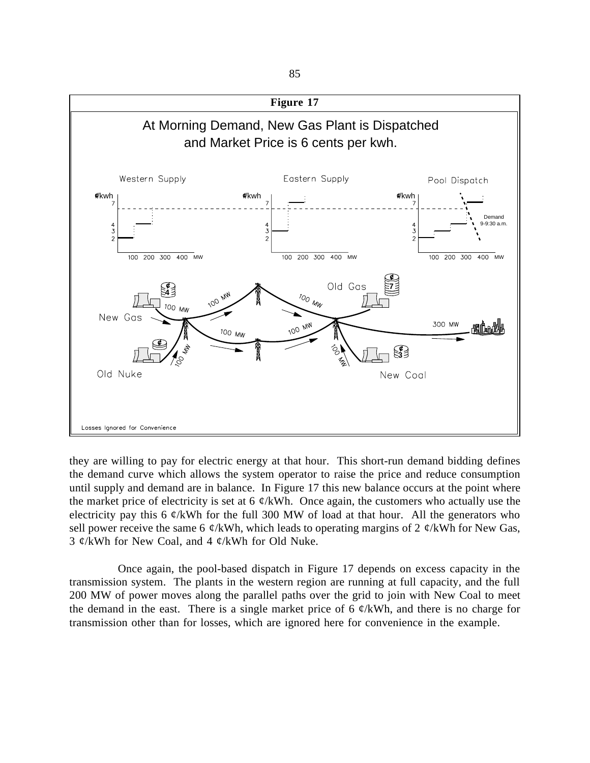

they are willing to pay for electric energy at that hour. This short-run demand bidding defines the demand curve which allows the system operator to raise the price and reduce consumption until supply and demand are in balance. In Figure 17 this new balance occurs at the point where the market price of electricity is set at 6  $\phi$ /kWh. Once again, the customers who actually use the electricity pay this 6  $\mathcal{C}/kWh$  for the full 300 MW of load at that hour. All the generators who sell power receive the same 6  $\phi$ /kWh, which leads to operating margins of 2  $\phi$ /kWh for New Gas, 3  $\mathcal{C}/kWh$  for New Coal, and 4  $\mathcal{C}/kWh$  for Old Nuke.

Once again, the pool-based dispatch in Figure 17 depends on excess capacity in the transmission system. The plants in the western region are running at full capacity, and the full 200 MW of power moves along the parallel paths over the grid to join with New Coal to meet the demand in the east. There is a single market price of 6  $\phi$ /kWh, and there is no charge for transmission other than for losses, which are ignored here for convenience in the example.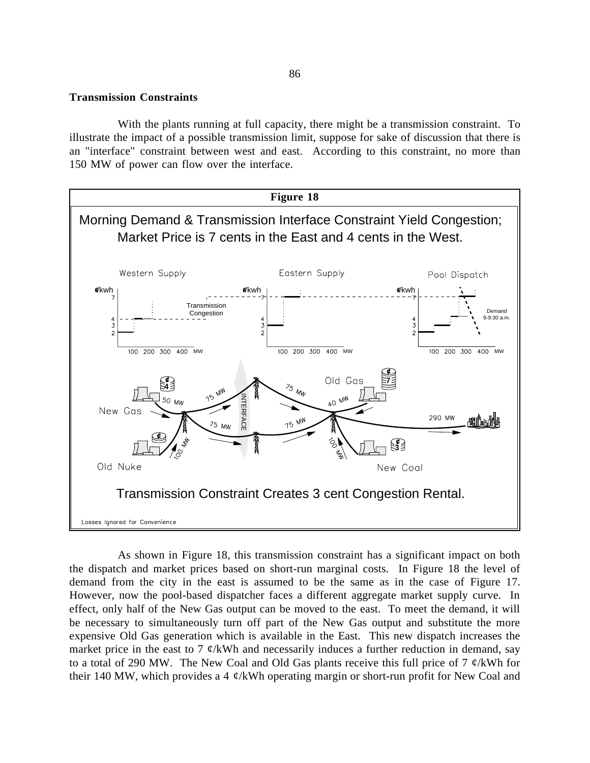#### **Transmission Constraints**

With the plants running at full capacity, there might be a transmission constraint. To illustrate the impact of a possible transmission limit, suppose for sake of discussion that there is an "interface" constraint between west and east. According to this constraint, no more than 150 MW of power can flow over the interface.



the dispatch and market prices based on short-run marginal costs. In Figure 18 the level of demand from the city in the east is assumed to be the same as in the case of Figure 17. However, now the pool-based dispatcher faces a different aggregate market supply curve. In effect, only half of the New Gas output can be moved to the east. To meet the demand, it will be necessary to simultaneously turn off part of the New Gas output and substitute the more expensive Old Gas generation which is available in the East. This new dispatch increases the market price in the east to 7  $\phi$ /kWh and necessarily induces a further reduction in demand, say to a total of 290 MW. The New Coal and Old Gas plants receive this full price of 7  $\phi$ /kWh for their 140 MW, which provides a 4  $\phi$ /kWh operating margin or short-run profit for New Coal and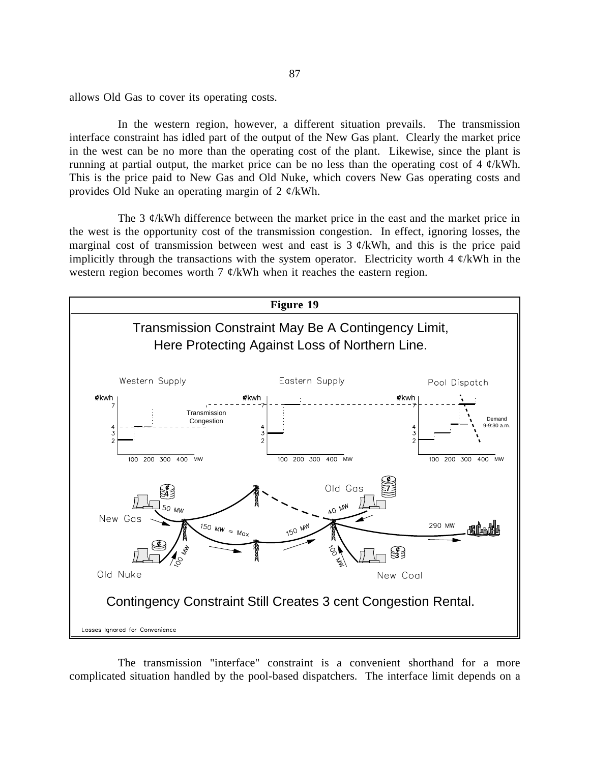allows Old Gas to cover its operating costs.

In the western region, however, a different situation prevails. The transmission interface constraint has idled part of the output of the New Gas plant. Clearly the market price in the west can be no more than the operating cost of the plant. Likewise, since the plant is running at partial output, the market price can be no less than the operating cost of 4  $\varphi$ /kWh. This is the price paid to New Gas and Old Nuke, which covers New Gas operating costs and provides Old Nuke an operating margin of 2  $\varphi$ /kWh.

The 3  $\mathcal{C}/k$ Wh difference between the market price in the east and the market price in the west is the opportunity cost of the transmission congestion. In effect, ignoring losses, the marginal cost of transmission between west and east is  $3 \ell$ /kWh, and this is the price paid implicitly through the transactions with the system operator. Electricity worth 4  $\phi$ /kWh in the western region becomes worth 7  $\phi$ /kWh when it reaches the eastern region.



The transmission "interface" constraint is a convenient shorthand for a more complicated situation handled by the pool-based dispatchers. The interface limit depends on a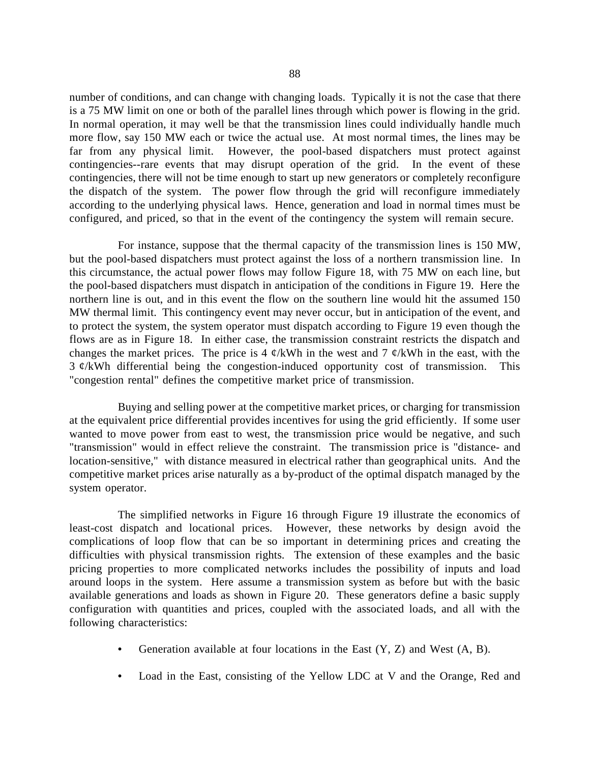number of conditions, and can change with changing loads. Typically it is not the case that there is a 75 MW limit on one or both of the parallel lines through which power is flowing in the grid. In normal operation, it may well be that the transmission lines could individually handle much more flow, say 150 MW each or twice the actual use. At most normal times, the lines may be far from any physical limit. However, the pool-based dispatchers must protect against contingencies--rare events that may disrupt operation of the grid. In the event of these contingencies, there will not be time enough to start up new generators or completely reconfigure the dispatch of the system. The power flow through the grid will reconfigure immediately according to the underlying physical laws. Hence, generation and load in normal times must be configured, and priced, so that in the event of the contingency the system will remain secure.

For instance, suppose that the thermal capacity of the transmission lines is 150 MW, but the pool-based dispatchers must protect against the loss of a northern transmission line. In this circumstance, the actual power flows may follow Figure 18, with 75 MW on each line, but the pool-based dispatchers must dispatch in anticipation of the conditions in Figure 19. Here the northern line is out, and in this event the flow on the southern line would hit the assumed 150 MW thermal limit. This contingency event may never occur, but in anticipation of the event, and to protect the system, the system operator must dispatch according to Figure 19 even though the flows are as in Figure 18. In either case, the transmission constraint restricts the dispatch and changes the market prices. The price is 4  $\phi$ /kWh in the west and 7  $\phi$ /kWh in the east, with the 3 ¢/kWh differential being the congestion-induced opportunity cost of transmission. This "congestion rental" defines the competitive market price of transmission.

Buying and selling power at the competitive market prices, or charging for transmission at the equivalent price differential provides incentives for using the grid efficiently. If some user wanted to move power from east to west, the transmission price would be negative, and such "transmission" would in effect relieve the constraint. The transmission price is "distance- and location-sensitive," with distance measured in electrical rather than geographical units. And the competitive market prices arise naturally as a by-product of the optimal dispatch managed by the system operator.

The simplified networks in Figure 16 through Figure 19 illustrate the economics of least-cost dispatch and locational prices. However, these networks by design avoid the complications of loop flow that can be so important in determining prices and creating the difficulties with physical transmission rights. The extension of these examples and the basic pricing properties to more complicated networks includes the possibility of inputs and load around loops in the system. Here assume a transmission system as before but with the basic available generations and loads as shown in Figure 20. These generators define a basic supply configuration with quantities and prices, coupled with the associated loads, and all with the following characteristics:

- Generation available at four locations in the East  $(Y, Z)$  and West  $(A, B)$ .
- **•** Load in the East, consisting of the Yellow LDC at V and the Orange, Red and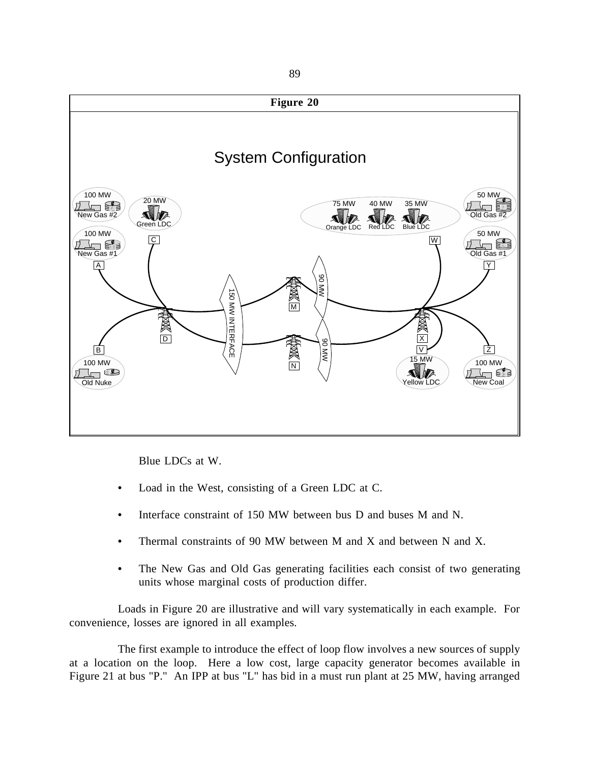

Blue LDCs at W.

- **•** Load in the West, consisting of a Green LDC at C.
- **•** Interface constraint of 150 MW between bus D and buses M and N.
- Thermal constraints of 90 MW between M and X and between N and X.
- The New Gas and Old Gas generating facilities each consist of two generating units whose marginal costs of production differ.

Loads in Figure 20 are illustrative and will vary systematically in each example. For convenience, losses are ignored in all examples.

The first example to introduce the effect of loop flow involves a new sources of supply at a location on the loop. Here a low cost, large capacity generator becomes available in Figure 21 at bus "P." An IPP at bus "L" has bid in a must run plant at 25 MW, having arranged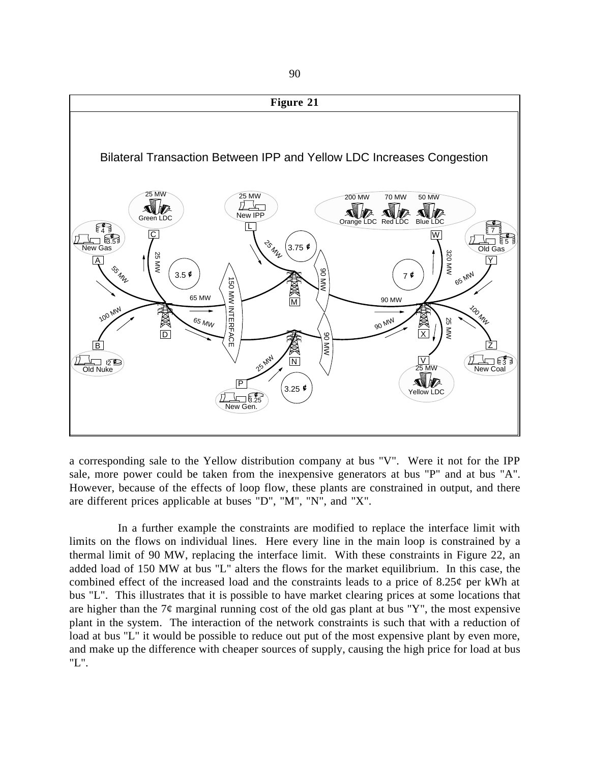

a corresponding sale to the Yellow distribution company at bus "V". Were it not for the IPP sale, more power could be taken from the inexpensive generators at bus "P" and at bus "A". However, because of the effects of loop flow, these plants are constrained in output, and there are different prices applicable at buses "D", "M", "N", and "X".

In a further example the constraints are modified to replace the interface limit with limits on the flows on individual lines. Here every line in the main loop is constrained by a thermal limit of 90 MW, replacing the interface limit. With these constraints in Figure 22, an added load of 150 MW at bus "L" alters the flows for the market equilibrium. In this case, the combined effect of the increased load and the constraints leads to a price of 8.25¢ per kWh at bus "L". This illustrates that it is possible to have market clearing prices at some locations that are higher than the  $7\phi$  marginal running cost of the old gas plant at bus "Y", the most expensive plant in the system. The interaction of the network constraints is such that with a reduction of load at bus "L" it would be possible to reduce out put of the most expensive plant by even more, and make up the difference with cheaper sources of supply, causing the high price for load at bus "L".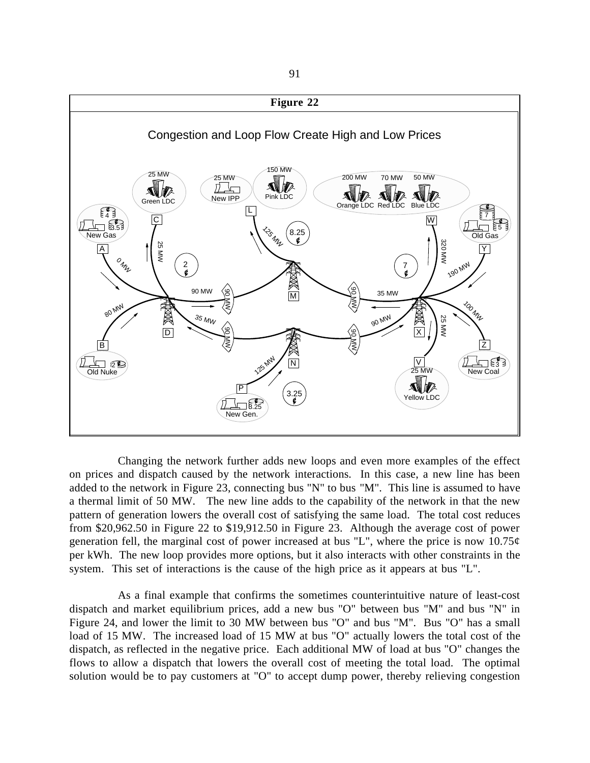

Changing the network further adds new loops and even more examples of the effect on prices and dispatch caused by the network interactions. In this case, a new line has been added to the network in Figure 23, connecting bus "N" to bus "M". This line is assumed to have a thermal limit of 50 MW. The new line adds to the capability of the network in that the new pattern of generation lowers the overall cost of satisfying the same load. The total cost reduces from \$20,962.50 in Figure 22 to \$19,912.50 in Figure 23. Although the average cost of power generation fell, the marginal cost of power increased at bus "L", where the price is now  $10.75\phi$ per kWh. The new loop provides more options, but it also interacts with other constraints in the system. This set of interactions is the cause of the high price as it appears at bus "L".

As a final example that confirms the sometimes counterintuitive nature of least-cost dispatch and market equilibrium prices, add a new bus "O" between bus "M" and bus "N" in Figure 24, and lower the limit to 30 MW between bus "O" and bus "M". Bus "O" has a small load of 15 MW. The increased load of 15 MW at bus "O" actually lowers the total cost of the dispatch, as reflected in the negative price. Each additional MW of load at bus "O" changes the flows to allow a dispatch that lowers the overall cost of meeting the total load. The optimal solution would be to pay customers at "O" to accept dump power, thereby relieving congestion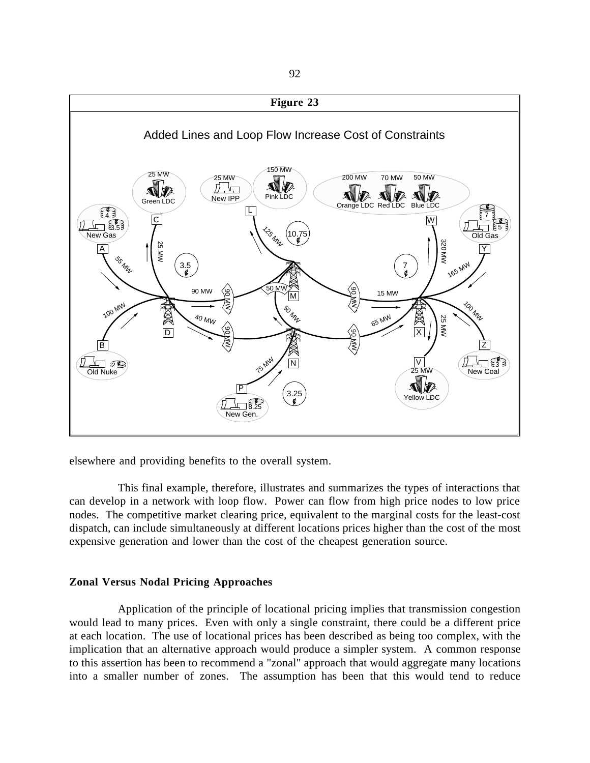

elsewhere and providing benefits to the overall system.

This final example, therefore, illustrates and summarizes the types of interactions that can develop in a network with loop flow. Power can flow from high price nodes to low price nodes. The competitive market clearing price, equivalent to the marginal costs for the least-cost dispatch, can include simultaneously at different locations prices higher than the cost of the most expensive generation and lower than the cost of the cheapest generation source.

# **Zonal Versus Nodal Pricing Approaches**

Application of the principle of locational pricing implies that transmission congestion would lead to many prices. Even with only a single constraint, there could be a different price at each location. The use of locational prices has been described as being too complex, with the implication that an alternative approach would produce a simpler system. A common response to this assertion has been to recommend a "zonal" approach that would aggregate many locations into a smaller number of zones. The assumption has been that this would tend to reduce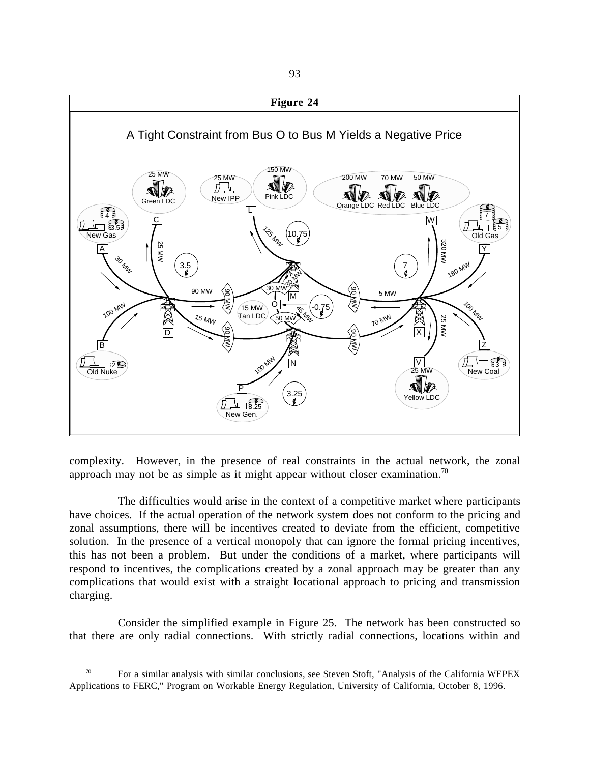

complexity. However, in the presence of real constraints in the actual network, the zonal approach may not be as simple as it might appear without closer examination.<sup>70</sup>

The difficulties would arise in the context of a competitive market where participants have choices. If the actual operation of the network system does not conform to the pricing and zonal assumptions, there will be incentives created to deviate from the efficient, competitive solution. In the presence of a vertical monopoly that can ignore the formal pricing incentives, this has not been a problem. But under the conditions of a market, where participants will respond to incentives, the complications created by a zonal approach may be greater than any complications that would exist with a straight locational approach to pricing and transmission charging.

Consider the simplified example in Figure 25. The network has been constructed so that there are only radial connections. With strictly radial connections, locations within and

 $\overline{a}$ 

 $70$  For a similar analysis with similar conclusions, see Steven Stoft, "Analysis of the California WEPEX Applications to FERC," Program on Workable Energy Regulation, University of California, October 8, 1996.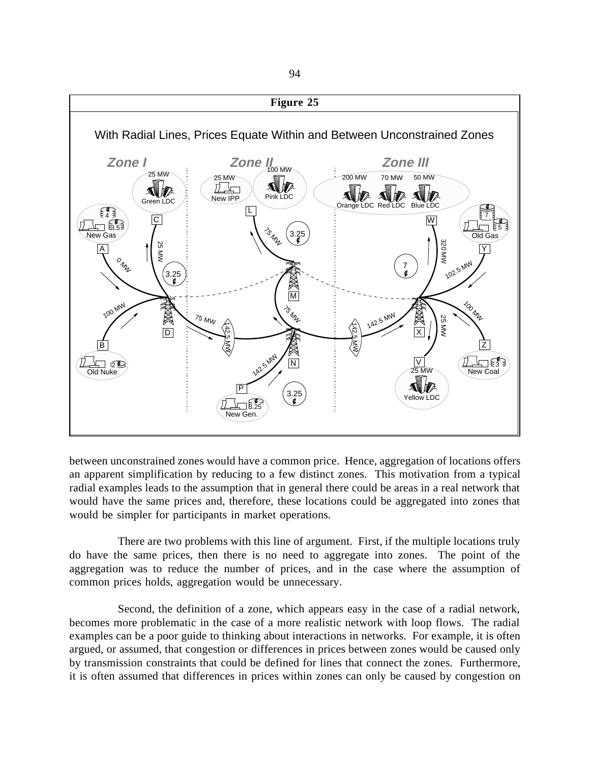

between unconstrained zones would have a common price. Hence, aggregation of locations offers an apparent simplification by reducing to a few distinct zones. This motivation from a typical radial examples leads to the assumption that in general there could be areas in a real network that would have the same prices and, therefore, these locations could be aggregated into zones that would be simpler for participants in market operations.

There are two problems with this line of argument. First, if the multiple locations truly do have the same prices, then there is no need to aggregate into zones. The point of the aggregation was to reduce the number of prices, and in the case where the assumption of common prices holds, aggregation would be unnecessary.

Second, the definition of a zone, which appears easy in the case of a radial network, becomes more problematic in the case of a more realistic network with loop flows. The radial examples can be a poor guide to thinking about interactions in networks. For example, it is often argued, or assumed, that congestion or differences in prices between zones would be caused only by transmission constraints that could be defined for lines that connect the zones. Furthermore, it is often assumed that differences in prices within zones can only be caused by congestion on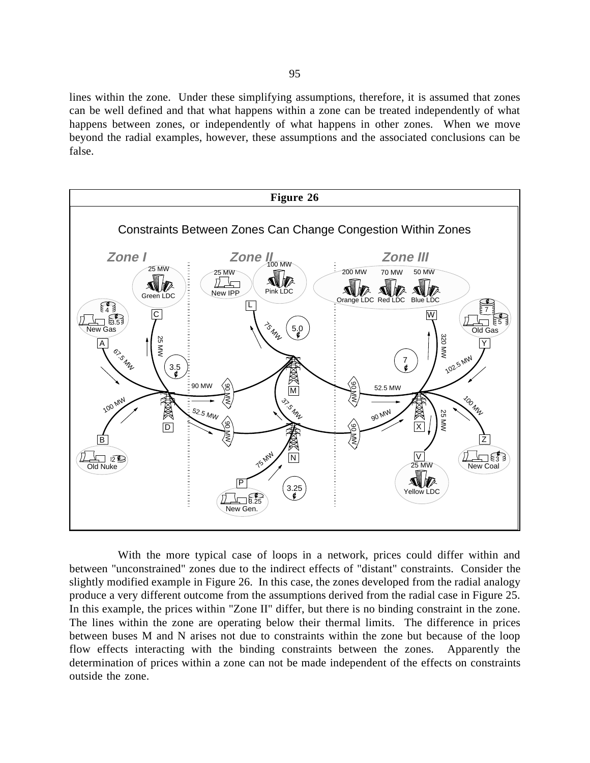lines within the zone. Under these simplifying assumptions, therefore, it is assumed that zones can be well defined and that what happens within a zone can be treated independently of what happens between zones, or independently of what happens in other zones. When we move beyond the radial examples, however, these assumptions and the associated conclusions can be false.



With the more typical case of loops in a network, prices could differ within and between "unconstrained" zones due to the indirect effects of "distant" constraints. Consider the slightly modified example in Figure 26. In this case, the zones developed from the radial analogy produce a very different outcome from the assumptions derived from the radial case in Figure 25. In this example, the prices within "Zone II" differ, but there is no binding constraint in the zone. The lines within the zone are operating below their thermal limits. The difference in prices between buses M and N arises not due to constraints within the zone but because of the loop flow effects interacting with the binding constraints between the zones. Apparently the determination of prices within a zone can not be made independent of the effects on constraints outside the zone.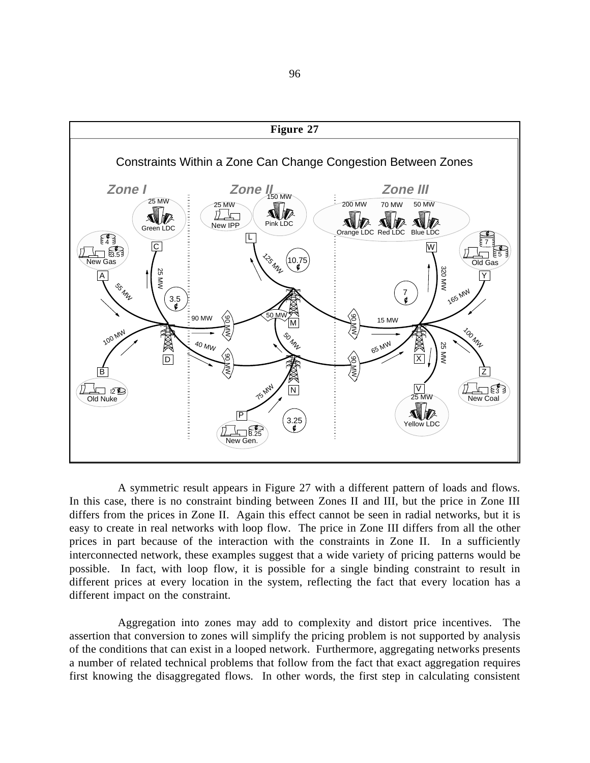

A symmetric result appears in Figure 27 with a different pattern of loads and flows. In this case, there is no constraint binding between Zones II and III, but the price in Zone III differs from the prices in Zone II. Again this effect cannot be seen in radial networks, but it is easy to create in real networks with loop flow. The price in Zone III differs from all the other prices in part because of the interaction with the constraints in Zone II. In a sufficiently interconnected network, these examples suggest that a wide variety of pricing patterns would be possible. In fact, with loop flow, it is possible for a single binding constraint to result in different prices at every location in the system, reflecting the fact that every location has a different impact on the constraint.

Aggregation into zones may add to complexity and distort price incentives. The assertion that conversion to zones will simplify the pricing problem is not supported by analysis of the conditions that can exist in a looped network. Furthermore, aggregating networks presents a number of related technical problems that follow from the fact that exact aggregation requires first knowing the disaggregated flows. In other words, the first step in calculating consistent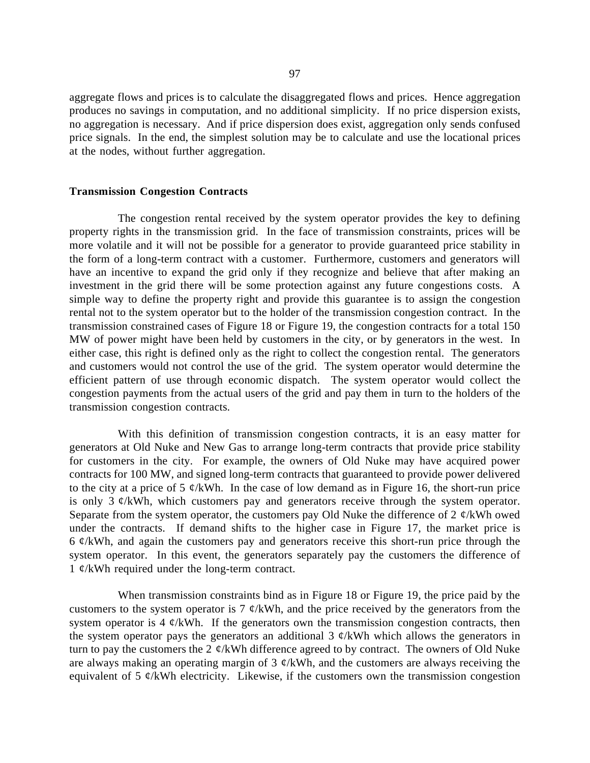aggregate flows and prices is to calculate the disaggregated flows and prices. Hence aggregation produces no savings in computation, and no additional simplicity. If no price dispersion exists, no aggregation is necessary. And if price dispersion does exist, aggregation only sends confused price signals. In the end, the simplest solution may be to calculate and use the locational prices at the nodes, without further aggregation.

#### **Transmission Congestion Contracts**

The congestion rental received by the system operator provides the key to defining property rights in the transmission grid. In the face of transmission constraints, prices will be more volatile and it will not be possible for a generator to provide guaranteed price stability in the form of a long-term contract with a customer. Furthermore, customers and generators will have an incentive to expand the grid only if they recognize and believe that after making an investment in the grid there will be some protection against any future congestions costs. A simple way to define the property right and provide this guarantee is to assign the congestion rental not to the system operator but to the holder of the transmission congestion contract. In the transmission constrained cases of Figure 18 or Figure 19, the congestion contracts for a total 150 MW of power might have been held by customers in the city, or by generators in the west. In either case, this right is defined only as the right to collect the congestion rental. The generators and customers would not control the use of the grid. The system operator would determine the efficient pattern of use through economic dispatch. The system operator would collect the congestion payments from the actual users of the grid and pay them in turn to the holders of the transmission congestion contracts.

With this definition of transmission congestion contracts, it is an easy matter for generators at Old Nuke and New Gas to arrange long-term contracts that provide price stability for customers in the city. For example, the owners of Old Nuke may have acquired power contracts for 100 MW, and signed long-term contracts that guaranteed to provide power delivered to the city at a price of 5  $\mathcal{C}/kWh$ . In the case of low demand as in Figure 16, the short-run price is only 3  $\phi$ /kWh, which customers pay and generators receive through the system operator. Separate from the system operator, the customers pay Old Nuke the difference of 2  $\varphi$ /kWh owed under the contracts. If demand shifts to the higher case in Figure 17, the market price is  $6 \notin$  KWh, and again the customers pay and generators receive this short-run price through the system operator. In this event, the generators separately pay the customers the difference of 1  $\mathcal{C}/kWh$  required under the long-term contract.

When transmission constraints bind as in Figure 18 or Figure 19, the price paid by the customers to the system operator is 7  $\phi$ /kWh, and the price received by the generators from the system operator is 4  $\phi$ /kWh. If the generators own the transmission congestion contracts, then the system operator pays the generators an additional  $3 \phi$ /kWh which allows the generators in turn to pay the customers the 2  $\phi$ /kWh difference agreed to by contract. The owners of Old Nuke are always making an operating margin of  $3 \phi$ /kWh, and the customers are always receiving the equivalent of 5  $\phi$ /kWh electricity. Likewise, if the customers own the transmission congestion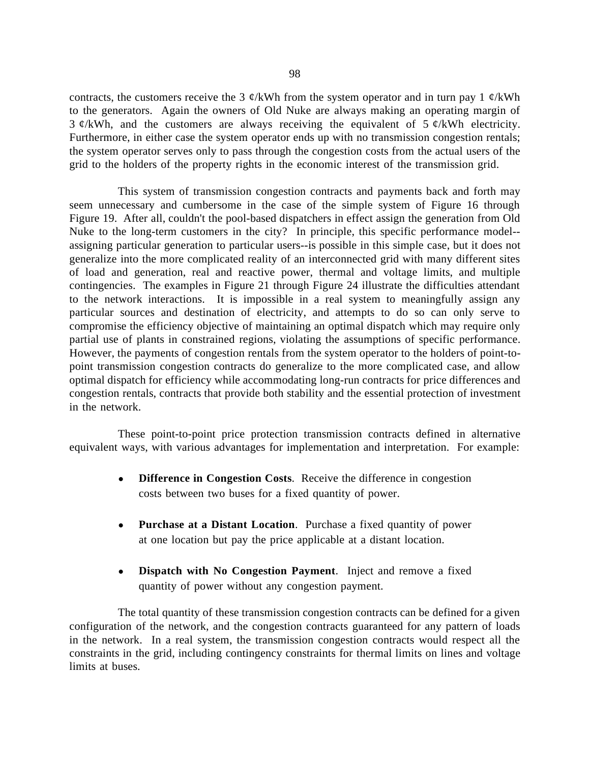contracts, the customers receive the 3  $\phi$ /kWh from the system operator and in turn pay 1  $\phi$ /kWh to the generators. Again the owners of Old Nuke are always making an operating margin of  $3 \notin$  KWh, and the customers are always receiving the equivalent of  $5 \notin$  KWh electricity. Furthermore, in either case the system operator ends up with no transmission congestion rentals; the system operator serves only to pass through the congestion costs from the actual users of the grid to the holders of the property rights in the economic interest of the transmission grid.

This system of transmission congestion contracts and payments back and forth may seem unnecessary and cumbersome in the case of the simple system of Figure 16 through Figure 19. After all, couldn't the pool-based dispatchers in effect assign the generation from Old Nuke to the long-term customers in the city? In principle, this specific performance model- assigning particular generation to particular users--is possible in this simple case, but it does not generalize into the more complicated reality of an interconnected grid with many different sites of load and generation, real and reactive power, thermal and voltage limits, and multiple contingencies. The examples in Figure 21 through Figure 24 illustrate the difficulties attendant to the network interactions. It is impossible in a real system to meaningfully assign any particular sources and destination of electricity, and attempts to do so can only serve to compromise the efficiency objective of maintaining an optimal dispatch which may require only partial use of plants in constrained regions, violating the assumptions of specific performance. However, the payments of congestion rentals from the system operator to the holders of point-topoint transmission congestion contracts do generalize to the more complicated case, and allow optimal dispatch for efficiency while accommodating long-run contracts for price differences and congestion rentals, contracts that provide both stability and the essential protection of investment in the network.

These point-to-point price protection transmission contracts defined in alternative equivalent ways, with various advantages for implementation and interpretation. For example:

- **Difference in Congestion Costs**. Receive the difference in congestion costs between two buses for a fixed quantity of power.
- **Purchase at a Distant Location**. Purchase a fixed quantity of power at one location but pay the price applicable at a distant location.
- **Dispatch with No Congestion Payment**. Inject and remove a fixed quantity of power without any congestion payment.

The total quantity of these transmission congestion contracts can be defined for a given configuration of the network, and the congestion contracts guaranteed for any pattern of loads in the network. In a real system, the transmission congestion contracts would respect all the constraints in the grid, including contingency constraints for thermal limits on lines and voltage limits at buses.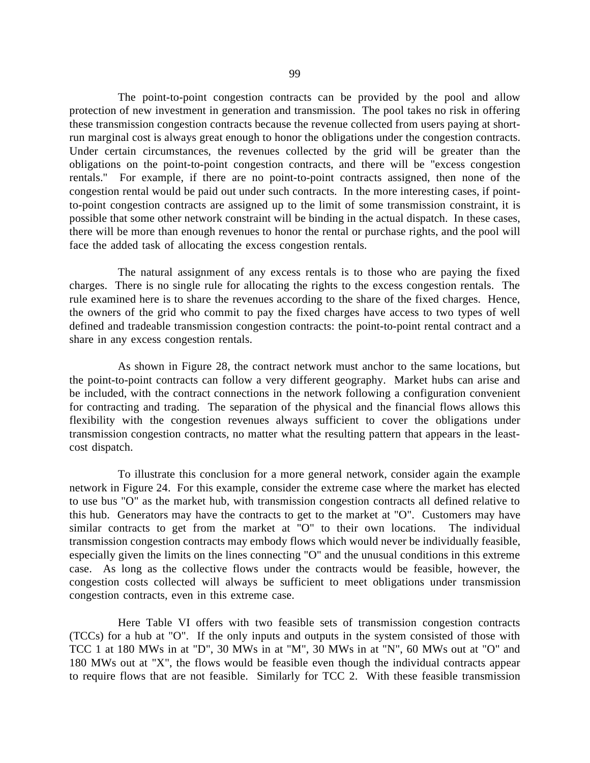The point-to-point congestion contracts can be provided by the pool and allow protection of new investment in generation and transmission. The pool takes no risk in offering these transmission congestion contracts because the revenue collected from users paying at shortrun marginal cost is always great enough to honor the obligations under the congestion contracts. Under certain circumstances, the revenues collected by the grid will be greater than the obligations on the point-to-point congestion contracts, and there will be "excess congestion rentals." For example, if there are no point-to-point contracts assigned, then none of the congestion rental would be paid out under such contracts. In the more interesting cases, if pointto-point congestion contracts are assigned up to the limit of some transmission constraint, it is possible that some other network constraint will be binding in the actual dispatch. In these cases, there will be more than enough revenues to honor the rental or purchase rights, and the pool will face the added task of allocating the excess congestion rentals.

The natural assignment of any excess rentals is to those who are paying the fixed charges. There is no single rule for allocating the rights to the excess congestion rentals. The rule examined here is to share the revenues according to the share of the fixed charges. Hence, the owners of the grid who commit to pay the fixed charges have access to two types of well defined and tradeable transmission congestion contracts: the point-to-point rental contract and a share in any excess congestion rentals.

As shown in Figure 28, the contract network must anchor to the same locations, but the point-to-point contracts can follow a very different geography. Market hubs can arise and be included, with the contract connections in the network following a configuration convenient for contracting and trading. The separation of the physical and the financial flows allows this flexibility with the congestion revenues always sufficient to cover the obligations under transmission congestion contracts, no matter what the resulting pattern that appears in the leastcost dispatch.

To illustrate this conclusion for a more general network, consider again the example network in Figure 24. For this example, consider the extreme case where the market has elected to use bus "O" as the market hub, with transmission congestion contracts all defined relative to this hub. Generators may have the contracts to get to the market at "O". Customers may have similar contracts to get from the market at "O" to their own locations. The individual transmission congestion contracts may embody flows which would never be individually feasible, especially given the limits on the lines connecting "O" and the unusual conditions in this extreme case. As long as the collective flows under the contracts would be feasible, however, the congestion costs collected will always be sufficient to meet obligations under transmission congestion contracts, even in this extreme case.

Here Table VI offers with two feasible sets of transmission congestion contracts (TCCs) for a hub at "O". If the only inputs and outputs in the system consisted of those with TCC 1 at 180 MWs in at "D", 30 MWs in at "M", 30 MWs in at "N", 60 MWs out at "O" and 180 MWs out at "X", the flows would be feasible even though the individual contracts appear to require flows that are not feasible. Similarly for TCC 2. With these feasible transmission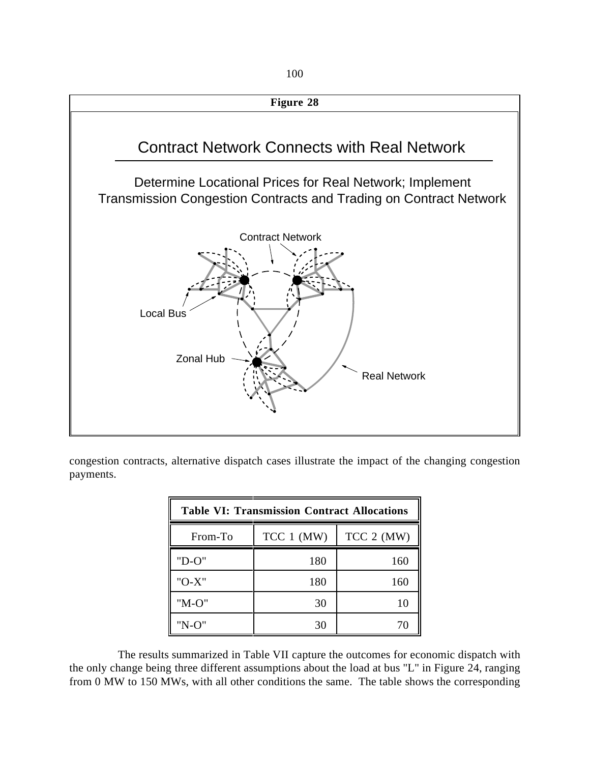

congestion contracts, alternative dispatch cases illustrate the impact of the changing congestion payments.

| <b>Table VI: Transmission Contract Allocations</b> |              |              |  |  |  |  |
|----------------------------------------------------|--------------|--------------|--|--|--|--|
| From-To                                            | $TCC 1$ (MW) | $TCC 2$ (MW) |  |  |  |  |
| "D-0"                                              | 180          | 160          |  |  |  |  |
| $"O-X"$                                            | 180          | 160          |  |  |  |  |
| $"M-O"$                                            | 30           | 10           |  |  |  |  |
| "N-O"                                              | 30           | 70           |  |  |  |  |

The results summarized in Table VII capture the outcomes for economic dispatch with the only change being three different assumptions about the load at bus "L" in Figure 24, ranging from 0 MW to 150 MWs, with all other conditions the same. The table shows the corresponding